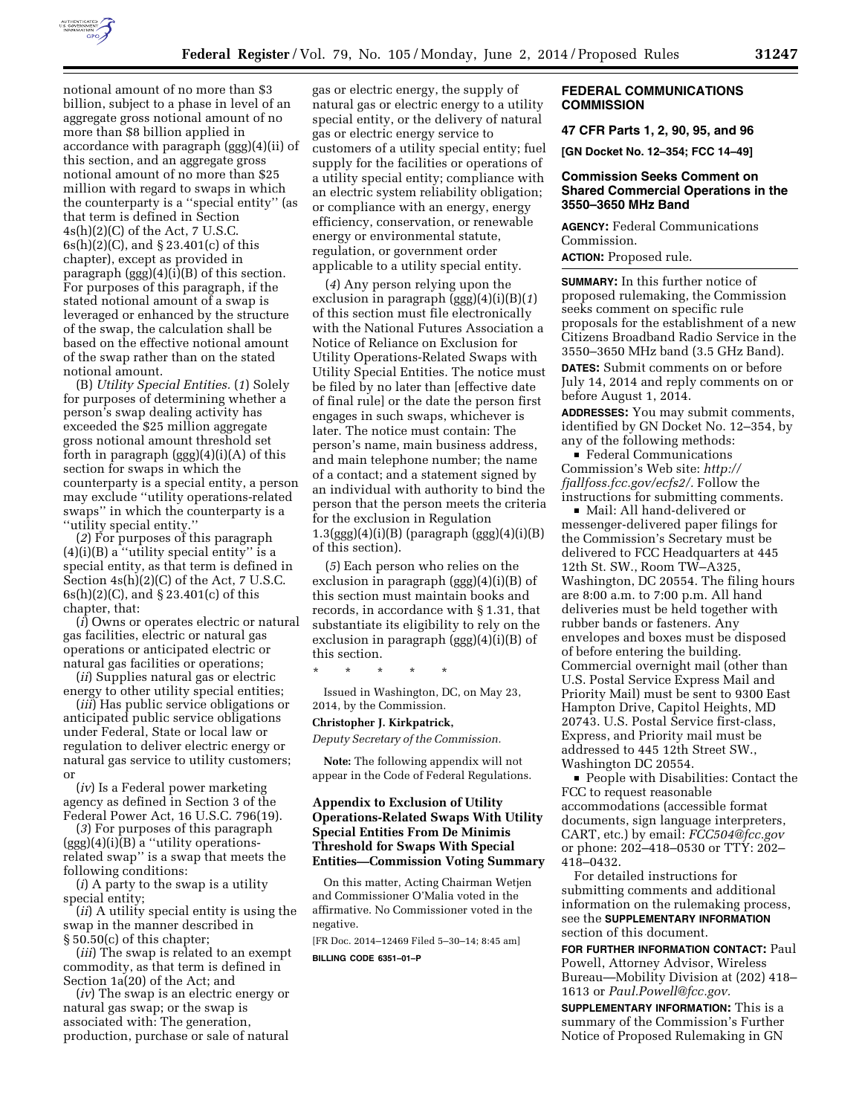

notional amount of no more than \$3 billion, subject to a phase in level of an aggregate gross notional amount of no more than \$8 billion applied in accordance with paragraph (ggg)(4)(ii) of this section, and an aggregate gross notional amount of no more than \$25 million with regard to swaps in which the counterparty is a ''special entity'' (as that term is defined in Section 4s(h)(2)(C) of the Act, 7 U.S.C. 6s(h)(2)(C), and § 23.401(c) of this chapter), except as provided in paragraph (ggg)(4)(i)(B) of this section. For purposes of this paragraph, if the stated notional amount of a swap is leveraged or enhanced by the structure of the swap, the calculation shall be based on the effective notional amount of the swap rather than on the stated notional amount.

(B) *Utility Special Entities.* (*1*) Solely for purposes of determining whether a person's swap dealing activity has exceeded the \$25 million aggregate gross notional amount threshold set forth in paragraph (ggg)(4)(i)(A) of this section for swaps in which the counterparty is a special entity, a person may exclude ''utility operations-related swaps'' in which the counterparty is a ''utility special entity.''

(*2*) For purposes of this paragraph (4)(i)(B) a ''utility special entity'' is a special entity, as that term is defined in Section 4s(h)(2)(C) of the Act, 7 U.S.C. 6s(h)(2)(C), and § 23.401(c) of this chapter, that:

(*i*) Owns or operates electric or natural gas facilities, electric or natural gas operations or anticipated electric or natural gas facilities or operations;

(*ii*) Supplies natural gas or electric energy to other utility special entities;

(*iii*) Has public service obligations or anticipated public service obligations under Federal, State or local law or regulation to deliver electric energy or natural gas service to utility customers; or

(*iv*) Is a Federal power marketing agency as defined in Section 3 of the Federal Power Act, 16 U.S.C. 796(19).

(*3*) For purposes of this paragraph  $(ggg)(4)(i)(B)$  a "utility operationsrelated swap'' is a swap that meets the following conditions:

(*i*) A party to the swap is a utility special entity;

(*ii*) A utility special entity is using the swap in the manner described in § 50.50(c) of this chapter;

(*iii*) The swap is related to an exempt commodity, as that term is defined in Section 1a(20) of the Act; and

(*iv*) The swap is an electric energy or natural gas swap; or the swap is associated with: The generation, production, purchase or sale of natural

gas or electric energy, the supply of natural gas or electric energy to a utility special entity, or the delivery of natural gas or electric energy service to customers of a utility special entity; fuel supply for the facilities or operations of a utility special entity; compliance with an electric system reliability obligation; or compliance with an energy, energy efficiency, conservation, or renewable energy or environmental statute, regulation, or government order applicable to a utility special entity.

(*4*) Any person relying upon the exclusion in paragraph (ggg)(4)(i)(B)(*1*) of this section must file electronically with the National Futures Association a Notice of Reliance on Exclusion for Utility Operations-Related Swaps with Utility Special Entities. The notice must be filed by no later than [effective date of final rule] or the date the person first engages in such swaps, whichever is later. The notice must contain: The person's name, main business address, and main telephone number; the name of a contact; and a statement signed by an individual with authority to bind the person that the person meets the criteria for the exclusion in Regulation  $1.3\text{(ggg)}(4)\text{(i)}(B)$  (paragraph  $\text{(ggg)}(4)\text{(i)}(B)$ ) of this section).

(*5*) Each person who relies on the exclusion in paragraph (ggg)(4)(i)(B) of this section must maintain books and records, in accordance with § 1.31, that substantiate its eligibility to rely on the exclusion in paragraph (ggg)(4)(i)(B) of this section.

\* \* \* \* \*

Issued in Washington, DC, on May 23, 2014, by the Commission.

## **Christopher J. Kirkpatrick,**

*Deputy Secretary of the Commission.* 

**Note:** The following appendix will not appear in the Code of Federal Regulations.

# **Appendix to Exclusion of Utility Operations-Related Swaps With Utility Special Entities From De Minimis Threshold for Swaps With Special Entities—Commission Voting Summary**

On this matter, Acting Chairman Wetjen and Commissioner O'Malia voted in the affirmative. No Commissioner voted in the negative.

[FR Doc. 2014–12469 Filed 5–30–14; 8:45 am] **BILLING CODE 6351–01–P** 

## **FEDERAL COMMUNICATIONS COMMISSION**

**47 CFR Parts 1, 2, 90, 95, and 96** 

**[GN Docket No. 12–354; FCC 14–49]** 

# **Commission Seeks Comment on Shared Commercial Operations in the 3550–3650 MHz Band**

**AGENCY:** Federal Communications Commission.

**ACTION:** Proposed rule.

**SUMMARY:** In this further notice of proposed rulemaking, the Commission seeks comment on specific rule proposals for the establishment of a new Citizens Broadband Radio Service in the 3550–3650 MHz band (3.5 GHz Band).

**DATES:** Submit comments on or before July 14, 2014 and reply comments on or before August 1, 2014.

**ADDRESSES:** You may submit comments, identified by GN Docket No. 12–354, by any of the following methods:

■ Federal Communications Commission's Web site: *http:// fjallfoss.fcc.gov/ecfs2/.* Follow the instructions for submitting comments.

 $\blacksquare$  Mail: All hand-delivered or messenger-delivered paper filings for the Commission's Secretary must be delivered to FCC Headquarters at 445 12th St. SW., Room TW–A325, Washington, DC 20554. The filing hours are 8:00 a.m. to 7:00 p.m. All hand deliveries must be held together with rubber bands or fasteners. Any envelopes and boxes must be disposed of before entering the building. Commercial overnight mail (other than U.S. Postal Service Express Mail and Priority Mail) must be sent to 9300 East Hampton Drive, Capitol Heights, MD 20743. U.S. Postal Service first-class, Express, and Priority mail must be addressed to 445 12th Street SW., Washington DC 20554.

**People with Disabilities: Contact the** FCC to request reasonable accommodations (accessible format documents, sign language interpreters, CART, etc.) by email: *FCC504@fcc.gov*  or phone: 202–418–0530 or TTY: 202– 418–0432.

For detailed instructions for submitting comments and additional information on the rulemaking process, see the **SUPPLEMENTARY INFORMATION** section of this document.

**FOR FURTHER INFORMATION CONTACT:** Paul Powell, Attorney Advisor, Wireless Bureau—Mobility Division at (202) 418– 1613 or *Paul.Powell@fcc.gov.* 

**SUPPLEMENTARY INFORMATION:** This is a summary of the Commission's Further Notice of Proposed Rulemaking in GN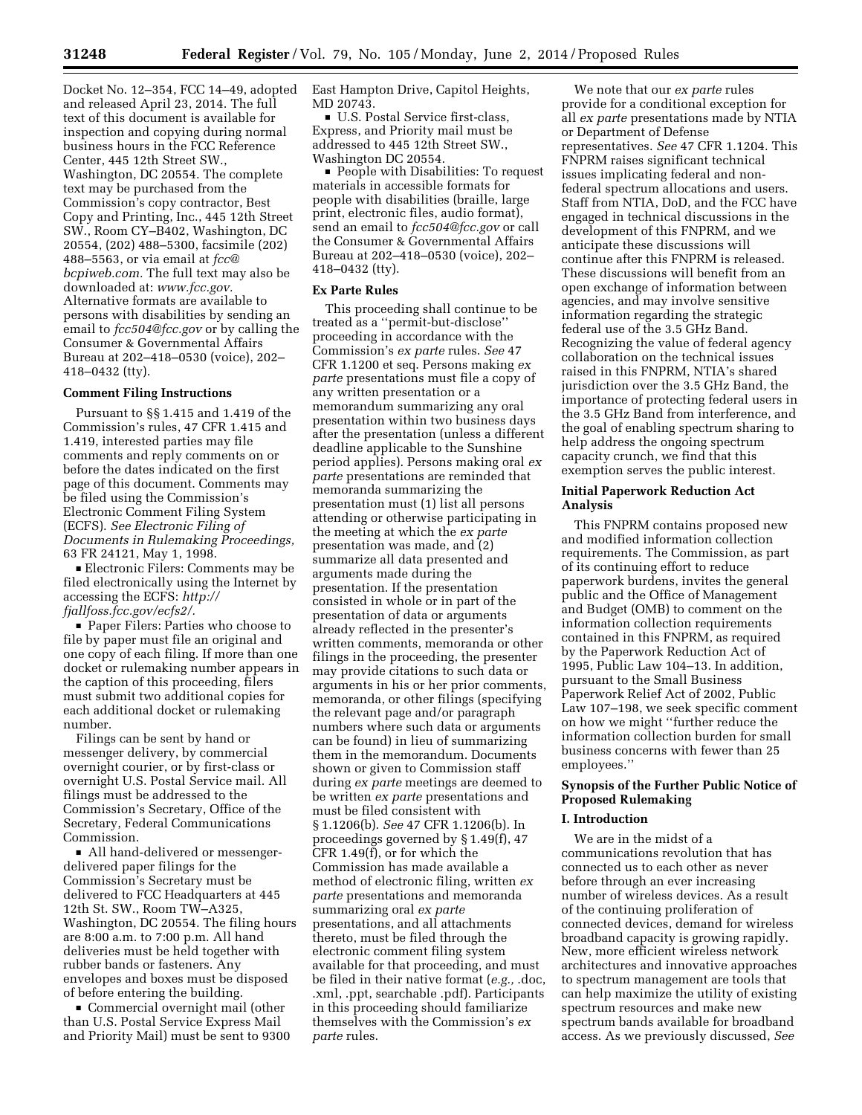Docket No. 12–354, FCC 14–49, adopted and released April 23, 2014. The full text of this document is available for inspection and copying during normal business hours in the FCC Reference Center, 445 12th Street SW., Washington, DC 20554. The complete text may be purchased from the Commission's copy contractor, Best Copy and Printing, Inc., 445 12th Street SW., Room CY–B402, Washington, DC 20554, (202) 488–5300, facsimile (202) 488–5563, or via email at *fcc@ bcpiweb.com.* The full text may also be downloaded at: *www.fcc.gov.*  Alternative formats are available to persons with disabilities by sending an email to *fcc504@fcc.gov* or by calling the Consumer & Governmental Affairs Bureau at 202–418–0530 (voice), 202– 418–0432 (tty).

## **Comment Filing Instructions**

Pursuant to §§ 1.415 and 1.419 of the Commission's rules, 47 CFR 1.415 and 1.419, interested parties may file comments and reply comments on or before the dates indicated on the first page of this document. Comments may be filed using the Commission's Electronic Comment Filing System (ECFS). *See Electronic Filing of Documents in Rulemaking Proceedings,*  63 FR 24121, May 1, 1998.

**Electronic Filers: Comments may be** filed electronically using the Internet by accessing the ECFS: *http:// fjallfoss.fcc.gov/ecfs2/.* 

■ Paper Filers: Parties who choose to file by paper must file an original and one copy of each filing. If more than one docket or rulemaking number appears in the caption of this proceeding, filers must submit two additional copies for each additional docket or rulemaking number.

Filings can be sent by hand or messenger delivery, by commercial overnight courier, or by first-class or overnight U.S. Postal Service mail. All filings must be addressed to the Commission's Secretary, Office of the Secretary, Federal Communications Commission.

• All hand-delivered or messengerdelivered paper filings for the Commission's Secretary must be delivered to FCC Headquarters at 445 12th St. SW., Room TW–A325, Washington, DC 20554. The filing hours are 8:00 a.m. to 7:00 p.m. All hand deliveries must be held together with rubber bands or fasteners. Any envelopes and boxes must be disposed of before entering the building.

 $\blacksquare$  Commercial overnight mail (other than U.S. Postal Service Express Mail and Priority Mail) must be sent to 9300 East Hampton Drive, Capitol Heights, MD 20743.

■ U.S. Postal Service first-class, Express, and Priority mail must be addressed to 445 12th Street SW., Washington DC 20554.

**People with Disabilities: To request** materials in accessible formats for people with disabilities (braille, large print, electronic files, audio format), send an email to *fcc504@fcc.gov* or call the Consumer & Governmental Affairs Bureau at 202–418–0530 (voice), 202– 418–0432 (tty).

# **Ex Parte Rules**

This proceeding shall continue to be treated as a ''permit-but-disclose'' proceeding in accordance with the Commission's *ex parte* rules. *See* 47 CFR 1.1200 et seq. Persons making *ex parte* presentations must file a copy of any written presentation or a memorandum summarizing any oral presentation within two business days after the presentation (unless a different deadline applicable to the Sunshine period applies). Persons making oral *ex parte* presentations are reminded that memoranda summarizing the presentation must (1) list all persons attending or otherwise participating in the meeting at which the *ex parte*  presentation was made, and (2) summarize all data presented and arguments made during the presentation. If the presentation consisted in whole or in part of the presentation of data or arguments already reflected in the presenter's written comments, memoranda or other filings in the proceeding, the presenter may provide citations to such data or arguments in his or her prior comments, memoranda, or other filings (specifying the relevant page and/or paragraph numbers where such data or arguments can be found) in lieu of summarizing them in the memorandum. Documents shown or given to Commission staff during *ex parte* meetings are deemed to be written *ex parte* presentations and must be filed consistent with § 1.1206(b). *See* 47 CFR 1.1206(b). In proceedings governed by § 1.49(f), 47 CFR 1.49(f), or for which the Commission has made available a method of electronic filing, written *ex parte* presentations and memoranda summarizing oral *ex parte*  presentations, and all attachments thereto, must be filed through the electronic comment filing system available for that proceeding, and must be filed in their native format (*e.g.,* .doc, .xml, .ppt, searchable .pdf). Participants in this proceeding should familiarize themselves with the Commission's *ex parte* rules.

We note that our *ex parte* rules provide for a conditional exception for all *ex parte* presentations made by NTIA or Department of Defense representatives. *See* 47 CFR 1.1204. This FNPRM raises significant technical issues implicating federal and nonfederal spectrum allocations and users. Staff from NTIA, DoD, and the FCC have engaged in technical discussions in the development of this FNPRM, and we anticipate these discussions will continue after this FNPRM is released. These discussions will benefit from an open exchange of information between agencies, and may involve sensitive information regarding the strategic federal use of the 3.5 GHz Band. Recognizing the value of federal agency collaboration on the technical issues raised in this FNPRM, NTIA's shared jurisdiction over the 3.5 GHz Band, the importance of protecting federal users in the 3.5 GHz Band from interference, and the goal of enabling spectrum sharing to help address the ongoing spectrum capacity crunch, we find that this exemption serves the public interest.

# **Initial Paperwork Reduction Act Analysis**

This FNPRM contains proposed new and modified information collection requirements. The Commission, as part of its continuing effort to reduce paperwork burdens, invites the general public and the Office of Management and Budget (OMB) to comment on the information collection requirements contained in this FNPRM, as required by the Paperwork Reduction Act of 1995, Public Law 104–13. In addition, pursuant to the Small Business Paperwork Relief Act of 2002, Public Law 107–198, we seek specific comment on how we might ''further reduce the information collection burden for small business concerns with fewer than 25 employees.''

# **Synopsis of the Further Public Notice of Proposed Rulemaking**

# **I. Introduction**

We are in the midst of a communications revolution that has connected us to each other as never before through an ever increasing number of wireless devices. As a result of the continuing proliferation of connected devices, demand for wireless broadband capacity is growing rapidly. New, more efficient wireless network architectures and innovative approaches to spectrum management are tools that can help maximize the utility of existing spectrum resources and make new spectrum bands available for broadband access. As we previously discussed, *See*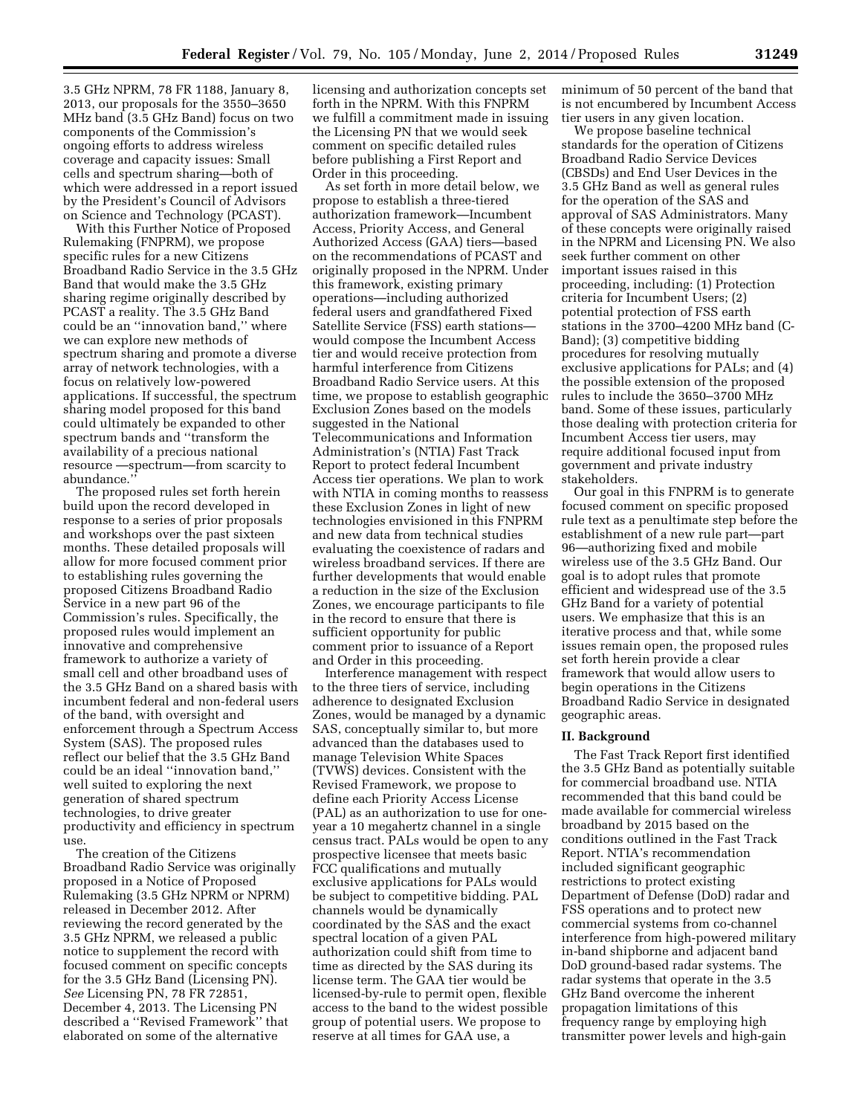3.5 GHz NPRM, 78 FR 1188, January 8, 2013, our proposals for the 3550–3650 MHz band (3.5 GHz Band) focus on two components of the Commission's ongoing efforts to address wireless coverage and capacity issues: Small cells and spectrum sharing—both of which were addressed in a report issued by the President's Council of Advisors on Science and Technology (PCAST).

With this Further Notice of Proposed Rulemaking (FNPRM), we propose specific rules for a new Citizens Broadband Radio Service in the 3.5 GHz Band that would make the 3.5 GHz sharing regime originally described by PCAST a reality. The 3.5 GHz Band could be an ''innovation band,'' where we can explore new methods of spectrum sharing and promote a diverse array of network technologies, with a focus on relatively low-powered applications. If successful, the spectrum sharing model proposed for this band could ultimately be expanded to other spectrum bands and ''transform the availability of a precious national resource —spectrum—from scarcity to abundance.''

The proposed rules set forth herein build upon the record developed in response to a series of prior proposals and workshops over the past sixteen months. These detailed proposals will allow for more focused comment prior to establishing rules governing the proposed Citizens Broadband Radio Service in a new part 96 of the Commission's rules. Specifically, the proposed rules would implement an innovative and comprehensive framework to authorize a variety of small cell and other broadband uses of the 3.5 GHz Band on a shared basis with incumbent federal and non-federal users of the band, with oversight and enforcement through a Spectrum Access System (SAS). The proposed rules reflect our belief that the 3.5 GHz Band could be an ideal ''innovation band,'' well suited to exploring the next generation of shared spectrum technologies, to drive greater productivity and efficiency in spectrum use.

The creation of the Citizens Broadband Radio Service was originally proposed in a Notice of Proposed Rulemaking (3.5 GHz NPRM or NPRM) released in December 2012. After reviewing the record generated by the 3.5 GHz NPRM, we released a public notice to supplement the record with focused comment on specific concepts for the 3.5 GHz Band (Licensing PN). *See* Licensing PN, 78 FR 72851, December 4, 2013. The Licensing PN described a ''Revised Framework'' that elaborated on some of the alternative

licensing and authorization concepts set forth in the NPRM. With this FNPRM we fulfill a commitment made in issuing the Licensing PN that we would seek comment on specific detailed rules before publishing a First Report and Order in this proceeding.

As set forth in more detail below, we propose to establish a three-tiered authorization framework—Incumbent Access, Priority Access, and General Authorized Access (GAA) tiers—based on the recommendations of PCAST and originally proposed in the NPRM. Under this framework, existing primary operations—including authorized federal users and grandfathered Fixed Satellite Service (FSS) earth stations would compose the Incumbent Access tier and would receive protection from harmful interference from Citizens Broadband Radio Service users. At this time, we propose to establish geographic Exclusion Zones based on the models suggested in the National Telecommunications and Information Administration's (NTIA) Fast Track Report to protect federal Incumbent Access tier operations. We plan to work with NTIA in coming months to reassess these Exclusion Zones in light of new technologies envisioned in this FNPRM and new data from technical studies evaluating the coexistence of radars and wireless broadband services. If there are further developments that would enable a reduction in the size of the Exclusion Zones, we encourage participants to file in the record to ensure that there is sufficient opportunity for public comment prior to issuance of a Report and Order in this proceeding.

Interference management with respect to the three tiers of service, including adherence to designated Exclusion Zones, would be managed by a dynamic SAS, conceptually similar to, but more advanced than the databases used to manage Television White Spaces (TVWS) devices. Consistent with the Revised Framework, we propose to define each Priority Access License (PAL) as an authorization to use for oneyear a 10 megahertz channel in a single census tract. PALs would be open to any prospective licensee that meets basic FCC qualifications and mutually exclusive applications for PALs would be subject to competitive bidding. PAL channels would be dynamically coordinated by the SAS and the exact spectral location of a given PAL authorization could shift from time to time as directed by the SAS during its license term. The GAA tier would be licensed-by-rule to permit open, flexible access to the band to the widest possible group of potential users. We propose to reserve at all times for GAA use, a

minimum of 50 percent of the band that is not encumbered by Incumbent Access tier users in any given location.

We propose baseline technical standards for the operation of Citizens Broadband Radio Service Devices (CBSDs) and End User Devices in the 3.5 GHz Band as well as general rules for the operation of the SAS and approval of SAS Administrators. Many of these concepts were originally raised in the NPRM and Licensing PN. We also seek further comment on other important issues raised in this proceeding, including: (1) Protection criteria for Incumbent Users; (2) potential protection of FSS earth stations in the 3700–4200 MHz band (C-Band); (3) competitive bidding procedures for resolving mutually exclusive applications for PALs; and (4) the possible extension of the proposed rules to include the 3650–3700 MHz band. Some of these issues, particularly those dealing with protection criteria for Incumbent Access tier users, may require additional focused input from government and private industry stakeholders.

Our goal in this FNPRM is to generate focused comment on specific proposed rule text as a penultimate step before the establishment of a new rule part—part 96—authorizing fixed and mobile wireless use of the 3.5 GHz Band. Our goal is to adopt rules that promote efficient and widespread use of the 3.5 GHz Band for a variety of potential users. We emphasize that this is an iterative process and that, while some issues remain open, the proposed rules set forth herein provide a clear framework that would allow users to begin operations in the Citizens Broadband Radio Service in designated geographic areas.

# **II. Background**

The Fast Track Report first identified the 3.5 GHz Band as potentially suitable for commercial broadband use. NTIA recommended that this band could be made available for commercial wireless broadband by 2015 based on the conditions outlined in the Fast Track Report. NTIA's recommendation included significant geographic restrictions to protect existing Department of Defense (DoD) radar and FSS operations and to protect new commercial systems from co-channel interference from high-powered military in-band shipborne and adjacent band DoD ground-based radar systems. The radar systems that operate in the 3.5 GHz Band overcome the inherent propagation limitations of this frequency range by employing high transmitter power levels and high-gain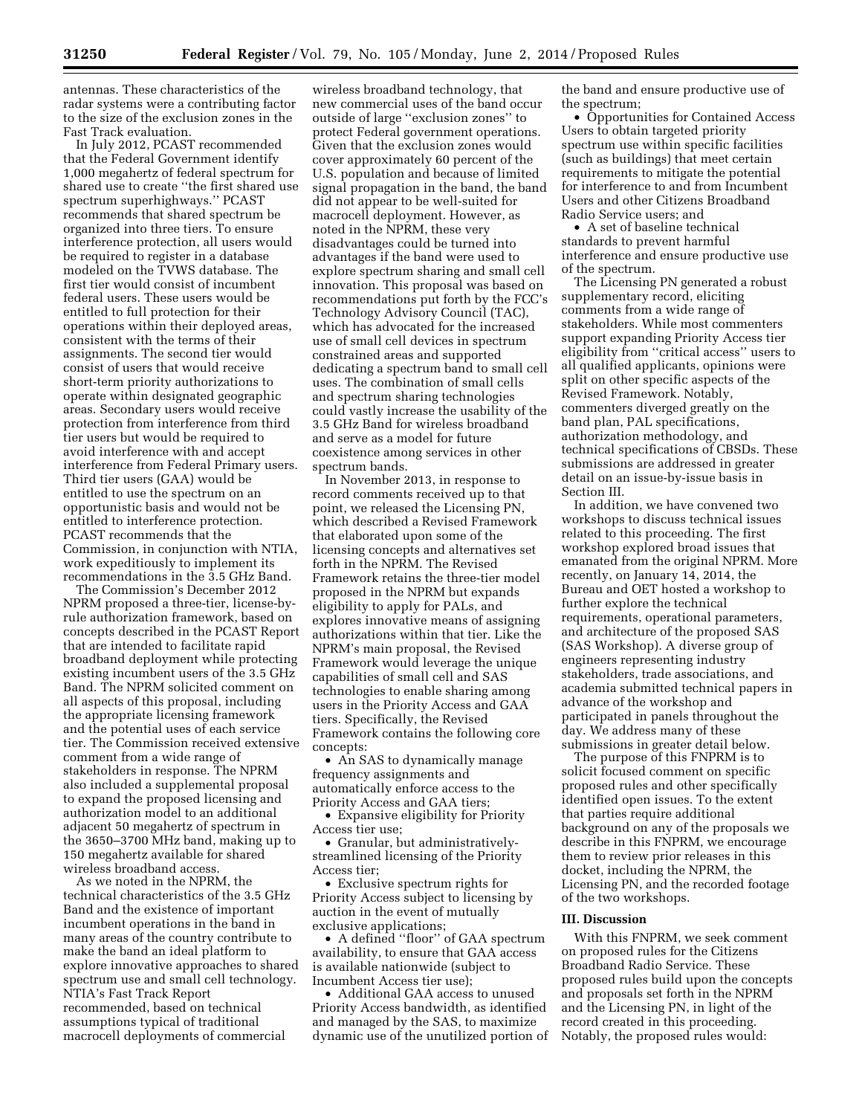antennas. These characteristics of the radar systems were a contributing factor to the size of the exclusion zones in the Fast Track evaluation.

In July 2012, PCAST recommended that the Federal Government identify 1,000 megahertz of federal spectrum for shared use to create ''the first shared use spectrum superhighways.'' PCAST recommends that shared spectrum be organized into three tiers. To ensure interference protection, all users would be required to register in a database modeled on the TVWS database. The first tier would consist of incumbent federal users. These users would be entitled to full protection for their operations within their deployed areas, consistent with the terms of their assignments. The second tier would consist of users that would receive short-term priority authorizations to operate within designated geographic areas. Secondary users would receive protection from interference from third tier users but would be required to avoid interference with and accept interference from Federal Primary users. Third tier users (GAA) would be entitled to use the spectrum on an opportunistic basis and would not be entitled to interference protection. PCAST recommends that the Commission, in conjunction with NTIA, work expeditiously to implement its recommendations in the 3.5 GHz Band.

The Commission's December 2012 NPRM proposed a three-tier, license-byrule authorization framework, based on concepts described in the PCAST Report that are intended to facilitate rapid broadband deployment while protecting existing incumbent users of the 3.5 GHz Band. The NPRM solicited comment on all aspects of this proposal, including the appropriate licensing framework and the potential uses of each service tier. The Commission received extensive comment from a wide range of stakeholders in response. The NPRM also included a supplemental proposal to expand the proposed licensing and authorization model to an additional adjacent 50 megahertz of spectrum in the 3650–3700 MHz band, making up to 150 megahertz available for shared wireless broadband access.

As we noted in the NPRM, the technical characteristics of the 3.5 GHz Band and the existence of important incumbent operations in the band in many areas of the country contribute to make the band an ideal platform to explore innovative approaches to shared spectrum use and small cell technology. NTIA's Fast Track Report recommended, based on technical assumptions typical of traditional macrocell deployments of commercial

wireless broadband technology, that new commercial uses of the band occur outside of large ''exclusion zones'' to protect Federal government operations. Given that the exclusion zones would cover approximately 60 percent of the U.S. population and because of limited signal propagation in the band, the band did not appear to be well-suited for macrocell deployment. However, as noted in the NPRM, these very disadvantages could be turned into advantages if the band were used to explore spectrum sharing and small cell innovation. This proposal was based on recommendations put forth by the FCC's Technology Advisory Council (TAC), which has advocated for the increased use of small cell devices in spectrum constrained areas and supported dedicating a spectrum band to small cell uses. The combination of small cells and spectrum sharing technologies could vastly increase the usability of the 3.5 GHz Band for wireless broadband and serve as a model for future coexistence among services in other spectrum bands.

In November 2013, in response to record comments received up to that point, we released the Licensing PN, which described a Revised Framework that elaborated upon some of the licensing concepts and alternatives set forth in the NPRM. The Revised Framework retains the three-tier model proposed in the NPRM but expands eligibility to apply for PALs, and explores innovative means of assigning authorizations within that tier. Like the NPRM's main proposal, the Revised Framework would leverage the unique capabilities of small cell and SAS technologies to enable sharing among users in the Priority Access and GAA tiers. Specifically, the Revised Framework contains the following core concepts:

• An SAS to dynamically manage frequency assignments and automatically enforce access to the Priority Access and GAA tiers;

• Expansive eligibility for Priority Access tier use;

• Granular, but administrativelystreamlined licensing of the Priority Access tier;

• Exclusive spectrum rights for Priority Access subject to licensing by auction in the event of mutually exclusive applications;

• A defined ''floor'' of GAA spectrum availability, to ensure that GAA access is available nationwide (subject to Incumbent Access tier use);

• Additional GAA access to unused Priority Access bandwidth, as identified and managed by the SAS, to maximize dynamic use of the unutilized portion of the band and ensure productive use of the spectrum;

• Opportunities for Contained Access Users to obtain targeted priority spectrum use within specific facilities (such as buildings) that meet certain requirements to mitigate the potential for interference to and from Incumbent Users and other Citizens Broadband Radio Service users; and

• A set of baseline technical standards to prevent harmful interference and ensure productive use of the spectrum.

The Licensing PN generated a robust supplementary record, eliciting comments from a wide range of stakeholders. While most commenters support expanding Priority Access tier eligibility from ''critical access'' users to all qualified applicants, opinions were split on other specific aspects of the Revised Framework. Notably, commenters diverged greatly on the band plan, PAL specifications, authorization methodology, and technical specifications of CBSDs. These submissions are addressed in greater detail on an issue-by-issue basis in Section III.

In addition, we have convened two workshops to discuss technical issues related to this proceeding. The first workshop explored broad issues that emanated from the original NPRM. More recently, on January 14, 2014, the Bureau and OET hosted a workshop to further explore the technical requirements, operational parameters, and architecture of the proposed SAS (SAS Workshop). A diverse group of engineers representing industry stakeholders, trade associations, and academia submitted technical papers in advance of the workshop and participated in panels throughout the day. We address many of these submissions in greater detail below.

The purpose of this FNPRM is to solicit focused comment on specific proposed rules and other specifically identified open issues. To the extent that parties require additional background on any of the proposals we describe in this FNPRM, we encourage them to review prior releases in this docket, including the NPRM, the Licensing PN, and the recorded footage of the two workshops.

# **III. Discussion**

With this FNPRM, we seek comment on proposed rules for the Citizens Broadband Radio Service. These proposed rules build upon the concepts and proposals set forth in the NPRM and the Licensing PN, in light of the record created in this proceeding. Notably, the proposed rules would: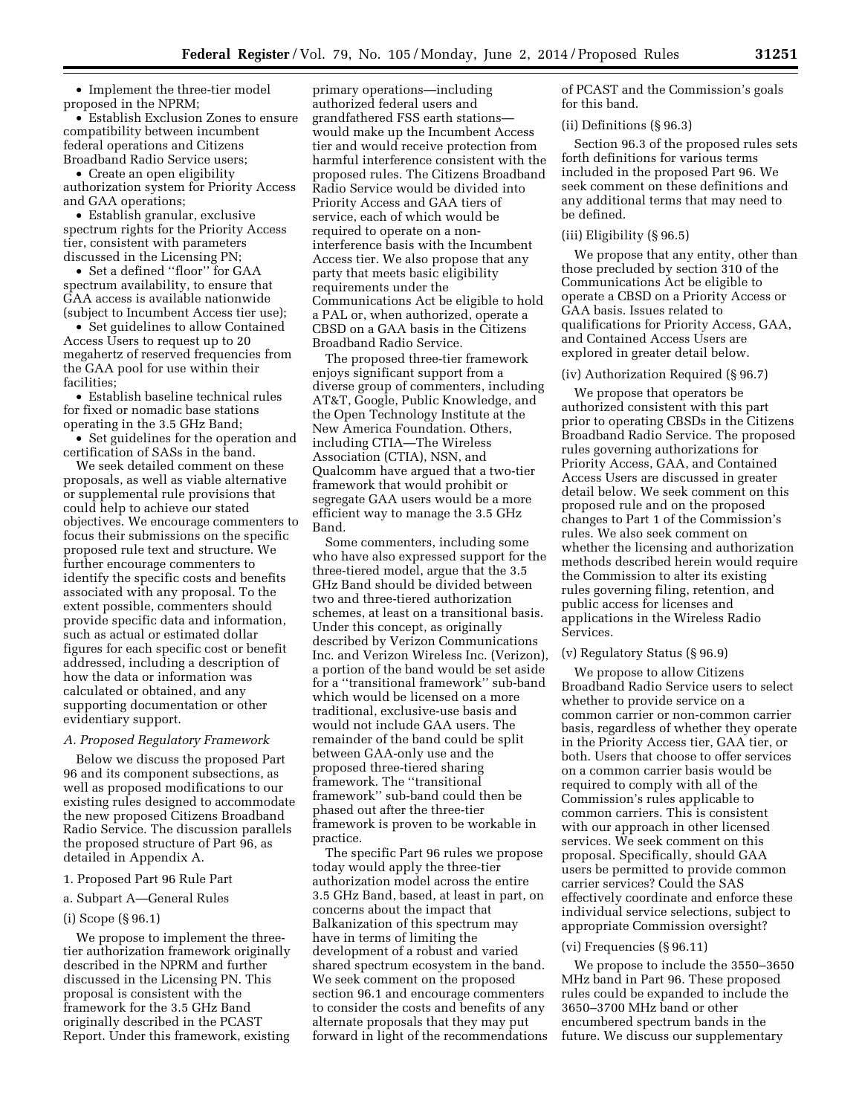• Implement the three-tier model proposed in the NPRM;

• Establish Exclusion Zones to ensure compatibility between incumbent federal operations and Citizens Broadband Radio Service users;

• Create an open eligibility authorization system for Priority Access and GAA operations;

• Establish granular, exclusive spectrum rights for the Priority Access tier, consistent with parameters discussed in the Licensing PN;

• Set a defined ''floor'' for GAA spectrum availability, to ensure that GAA access is available nationwide (subject to Incumbent Access tier use);

• Set guidelines to allow Contained Access Users to request up to 20 megahertz of reserved frequencies from the GAA pool for use within their facilities;

• Establish baseline technical rules for fixed or nomadic base stations operating in the 3.5 GHz Band;

• Set guidelines for the operation and certification of SASs in the band.

We seek detailed comment on these proposals, as well as viable alternative or supplemental rule provisions that could help to achieve our stated objectives. We encourage commenters to focus their submissions on the specific proposed rule text and structure. We further encourage commenters to identify the specific costs and benefits associated with any proposal. To the extent possible, commenters should provide specific data and information, such as actual or estimated dollar figures for each specific cost or benefit addressed, including a description of how the data or information was calculated or obtained, and any supporting documentation or other evidentiary support.

## *A. Proposed Regulatory Framework*

Below we discuss the proposed Part 96 and its component subsections, as well as proposed modifications to our existing rules designed to accommodate the new proposed Citizens Broadband Radio Service. The discussion parallels the proposed structure of Part 96, as detailed in Appendix A.

1. Proposed Part 96 Rule Part

## a. Subpart A—General Rules

## (i) Scope (§ 96.1)

We propose to implement the threetier authorization framework originally described in the NPRM and further discussed in the Licensing PN. This proposal is consistent with the framework for the 3.5 GHz Band originally described in the PCAST Report. Under this framework, existing

primary operations—including authorized federal users and grandfathered FSS earth stations would make up the Incumbent Access tier and would receive protection from harmful interference consistent with the proposed rules. The Citizens Broadband Radio Service would be divided into Priority Access and GAA tiers of service, each of which would be required to operate on a noninterference basis with the Incumbent Access tier. We also propose that any party that meets basic eligibility requirements under the Communications Act be eligible to hold a PAL or, when authorized, operate a CBSD on a GAA basis in the Citizens Broadband Radio Service.

The proposed three-tier framework enjoys significant support from a diverse group of commenters, including AT&T, Google, Public Knowledge, and the Open Technology Institute at the New America Foundation. Others, including CTIA—The Wireless Association (CTIA), NSN, and Qualcomm have argued that a two-tier framework that would prohibit or segregate GAA users would be a more efficient way to manage the 3.5 GHz Band.

Some commenters, including some who have also expressed support for the three-tiered model, argue that the 3.5 GHz Band should be divided between two and three-tiered authorization schemes, at least on a transitional basis. Under this concept, as originally described by Verizon Communications Inc. and Verizon Wireless Inc. (Verizon), a portion of the band would be set aside for a ''transitional framework'' sub-band which would be licensed on a more traditional, exclusive-use basis and would not include GAA users. The remainder of the band could be split between GAA-only use and the proposed three-tiered sharing framework. The ''transitional framework'' sub-band could then be phased out after the three-tier framework is proven to be workable in practice.

The specific Part 96 rules we propose today would apply the three-tier authorization model across the entire 3.5 GHz Band, based, at least in part, on concerns about the impact that Balkanization of this spectrum may have in terms of limiting the development of a robust and varied shared spectrum ecosystem in the band. We seek comment on the proposed section 96.1 and encourage commenters to consider the costs and benefits of any alternate proposals that they may put forward in light of the recommendations of PCAST and the Commission's goals for this band.

## (ii) Definitions (§ 96.3)

Section 96.3 of the proposed rules sets forth definitions for various terms included in the proposed Part 96. We seek comment on these definitions and any additional terms that may need to be defined.

#### (iii) Eligibility (§ 96.5)

We propose that any entity, other than those precluded by section 310 of the Communications Act be eligible to operate a CBSD on a Priority Access or GAA basis. Issues related to qualifications for Priority Access, GAA, and Contained Access Users are explored in greater detail below.

#### (iv) Authorization Required (§ 96.7)

We propose that operators be authorized consistent with this part prior to operating CBSDs in the Citizens Broadband Radio Service. The proposed rules governing authorizations for Priority Access, GAA, and Contained Access Users are discussed in greater detail below. We seek comment on this proposed rule and on the proposed changes to Part 1 of the Commission's rules. We also seek comment on whether the licensing and authorization methods described herein would require the Commission to alter its existing rules governing filing, retention, and public access for licenses and applications in the Wireless Radio Services.

# (v) Regulatory Status (§ 96.9)

We propose to allow Citizens Broadband Radio Service users to select whether to provide service on a common carrier or non-common carrier basis, regardless of whether they operate in the Priority Access tier, GAA tier, or both. Users that choose to offer services on a common carrier basis would be required to comply with all of the Commission's rules applicable to common carriers. This is consistent with our approach in other licensed services. We seek comment on this proposal. Specifically, should GAA users be permitted to provide common carrier services? Could the SAS effectively coordinate and enforce these individual service selections, subject to appropriate Commission oversight?

#### (vi) Frequencies (§ 96.11)

We propose to include the 3550–3650 MHz band in Part 96. These proposed rules could be expanded to include the 3650–3700 MHz band or other encumbered spectrum bands in the future. We discuss our supplementary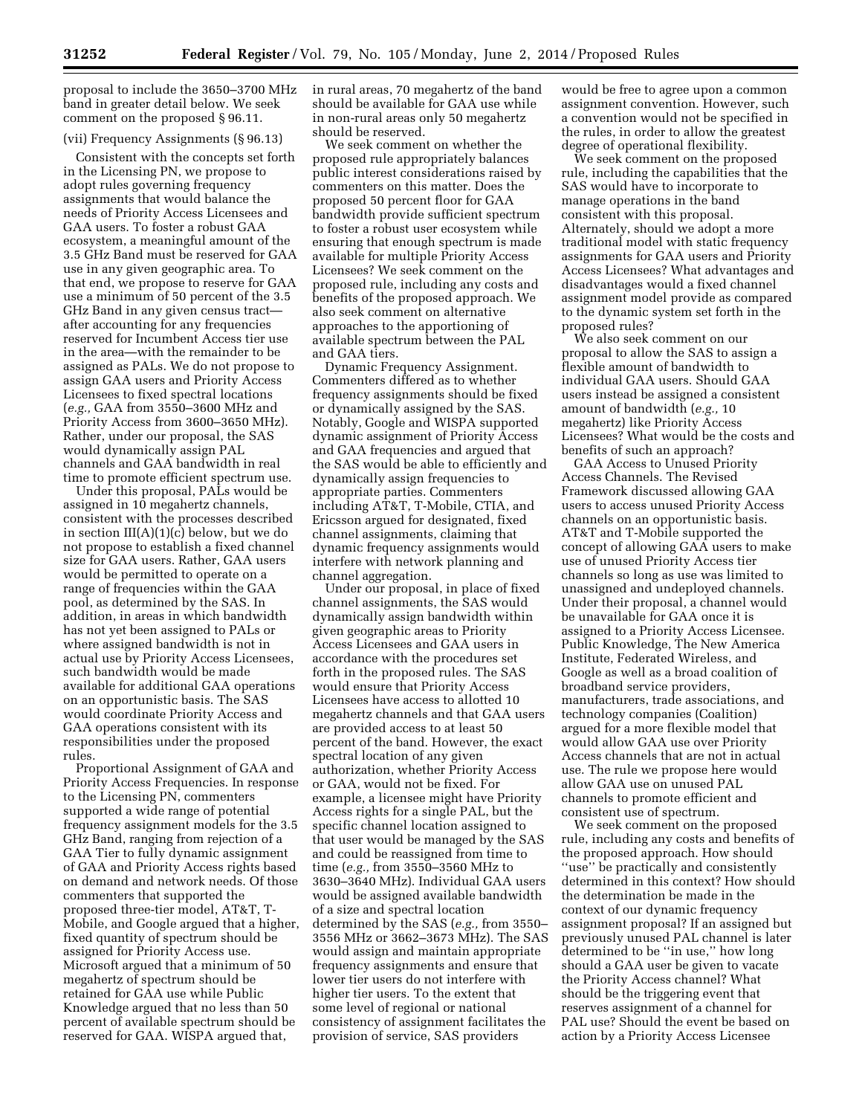proposal to include the 3650–3700 MHz band in greater detail below. We seek comment on the proposed § 96.11.

# (vii) Frequency Assignments (§ 96.13)

Consistent with the concepts set forth in the Licensing PN, we propose to adopt rules governing frequency assignments that would balance the needs of Priority Access Licensees and GAA users. To foster a robust GAA ecosystem, a meaningful amount of the 3.5 GHz Band must be reserved for GAA use in any given geographic area. To that end, we propose to reserve for GAA use a minimum of 50 percent of the 3.5 GHz Band in any given census tract after accounting for any frequencies reserved for Incumbent Access tier use in the area—with the remainder to be assigned as PALs. We do not propose to assign GAA users and Priority Access Licensees to fixed spectral locations (*e.g.,* GAA from 3550–3600 MHz and Priority Access from 3600–3650 MHz). Rather, under our proposal, the SAS would dynamically assign PAL channels and GAA bandwidth in real time to promote efficient spectrum use.

Under this proposal, PALs would be assigned in 10 megahertz channels, consistent with the processes described in section III(A)(1)(c) below, but we do not propose to establish a fixed channel size for GAA users. Rather, GAA users would be permitted to operate on a range of frequencies within the GAA pool, as determined by the SAS. In addition, in areas in which bandwidth has not yet been assigned to PALs or where assigned bandwidth is not in actual use by Priority Access Licensees, such bandwidth would be made available for additional GAA operations on an opportunistic basis. The SAS would coordinate Priority Access and GAA operations consistent with its responsibilities under the proposed rules.

Proportional Assignment of GAA and Priority Access Frequencies. In response to the Licensing PN, commenters supported a wide range of potential frequency assignment models for the 3.5 GHz Band, ranging from rejection of a GAA Tier to fully dynamic assignment of GAA and Priority Access rights based on demand and network needs. Of those commenters that supported the proposed three-tier model, AT&T, T-Mobile, and Google argued that a higher, fixed quantity of spectrum should be assigned for Priority Access use. Microsoft argued that a minimum of 50 megahertz of spectrum should be retained for GAA use while Public Knowledge argued that no less than 50 percent of available spectrum should be reserved for GAA. WISPA argued that,

in rural areas, 70 megahertz of the band should be available for GAA use while in non-rural areas only 50 megahertz should be reserved.

We seek comment on whether the proposed rule appropriately balances public interest considerations raised by commenters on this matter. Does the proposed 50 percent floor for GAA bandwidth provide sufficient spectrum to foster a robust user ecosystem while ensuring that enough spectrum is made available for multiple Priority Access Licensees? We seek comment on the proposed rule, including any costs and benefits of the proposed approach. We also seek comment on alternative approaches to the apportioning of available spectrum between the PAL and GAA tiers.

Dynamic Frequency Assignment. Commenters differed as to whether frequency assignments should be fixed or dynamically assigned by the SAS. Notably, Google and WISPA supported dynamic assignment of Priority Access and GAA frequencies and argued that the SAS would be able to efficiently and dynamically assign frequencies to appropriate parties. Commenters including AT&T, T-Mobile, CTIA, and Ericsson argued for designated, fixed channel assignments, claiming that dynamic frequency assignments would interfere with network planning and channel aggregation.

Under our proposal, in place of fixed channel assignments, the SAS would dynamically assign bandwidth within given geographic areas to Priority Access Licensees and GAA users in accordance with the procedures set forth in the proposed rules. The SAS would ensure that Priority Access Licensees have access to allotted 10 megahertz channels and that GAA users are provided access to at least 50 percent of the band. However, the exact spectral location of any given authorization, whether Priority Access or GAA, would not be fixed. For example, a licensee might have Priority Access rights for a single PAL, but the specific channel location assigned to that user would be managed by the SAS and could be reassigned from time to time (*e.g.,* from 3550–3560 MHz to 3630–3640 MHz). Individual GAA users would be assigned available bandwidth of a size and spectral location determined by the SAS (*e.g.,* from 3550– 3556 MHz or 3662–3673 MHz). The SAS would assign and maintain appropriate frequency assignments and ensure that lower tier users do not interfere with higher tier users. To the extent that some level of regional or national consistency of assignment facilitates the provision of service, SAS providers

would be free to agree upon a common assignment convention. However, such a convention would not be specified in the rules, in order to allow the greatest degree of operational flexibility.

We seek comment on the proposed rule, including the capabilities that the SAS would have to incorporate to manage operations in the band consistent with this proposal. Alternately, should we adopt a more traditional model with static frequency assignments for GAA users and Priority Access Licensees? What advantages and disadvantages would a fixed channel assignment model provide as compared to the dynamic system set forth in the proposed rules?

We also seek comment on our proposal to allow the SAS to assign a flexible amount of bandwidth to individual GAA users. Should GAA users instead be assigned a consistent amount of bandwidth (*e.g.,* 10 megahertz) like Priority Access Licensees? What would be the costs and benefits of such an approach?

GAA Access to Unused Priority Access Channels. The Revised Framework discussed allowing GAA users to access unused Priority Access channels on an opportunistic basis. AT&T and T-Mobile supported the concept of allowing GAA users to make use of unused Priority Access tier channels so long as use was limited to unassigned and undeployed channels. Under their proposal, a channel would be unavailable for GAA once it is assigned to a Priority Access Licensee. Public Knowledge, The New America Institute, Federated Wireless, and Google as well as a broad coalition of broadband service providers, manufacturers, trade associations, and technology companies (Coalition) argued for a more flexible model that would allow GAA use over Priority Access channels that are not in actual use. The rule we propose here would allow GAA use on unused PAL channels to promote efficient and consistent use of spectrum.

We seek comment on the proposed rule, including any costs and benefits of the proposed approach. How should "use" be practically and consistently determined in this context? How should the determination be made in the context of our dynamic frequency assignment proposal? If an assigned but previously unused PAL channel is later determined to be ''in use,'' how long should a GAA user be given to vacate the Priority Access channel? What should be the triggering event that reserves assignment of a channel for PAL use? Should the event be based on action by a Priority Access Licensee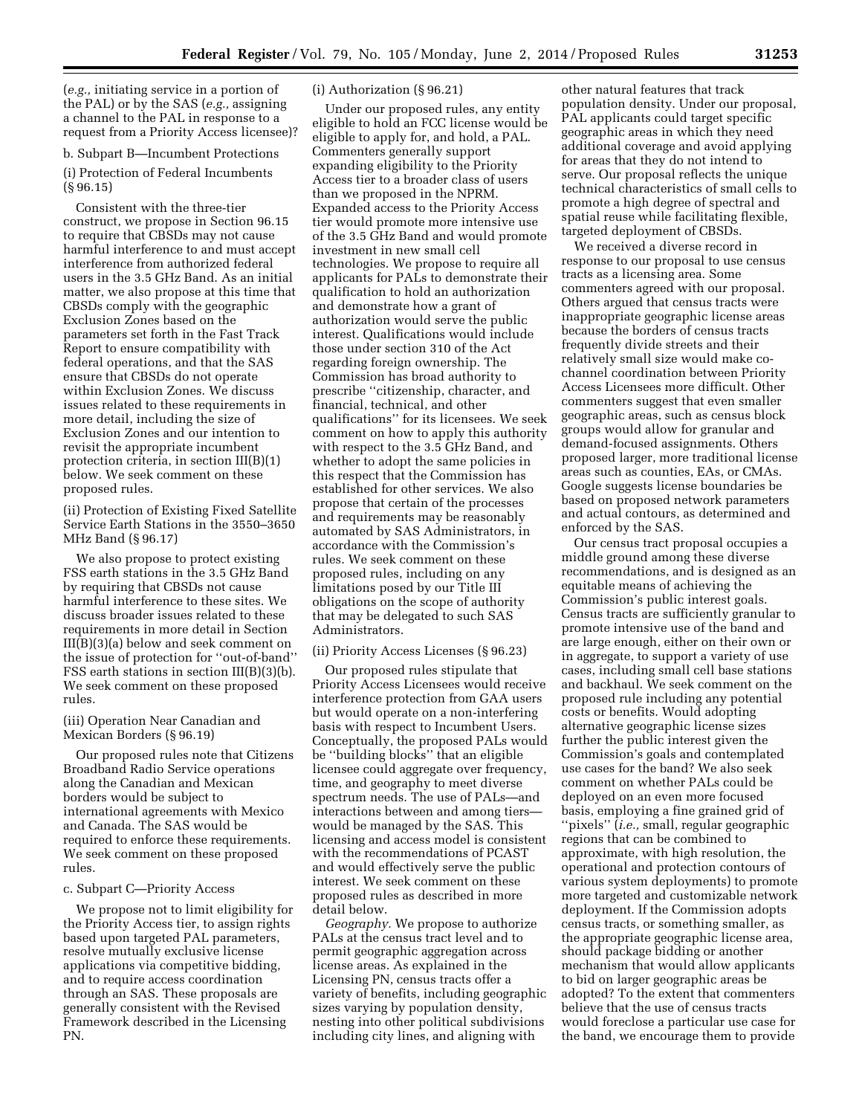(*e.g.,* initiating service in a portion of the PAL) or by the SAS (*e.g.,* assigning a channel to the PAL in response to a request from a Priority Access licensee)?

b. Subpart B—Incumbent Protections

(i) Protection of Federal Incumbents (§ 96.15)

Consistent with the three-tier construct, we propose in Section 96.15 to require that CBSDs may not cause harmful interference to and must accept interference from authorized federal users in the 3.5 GHz Band. As an initial matter, we also propose at this time that CBSDs comply with the geographic Exclusion Zones based on the parameters set forth in the Fast Track Report to ensure compatibility with federal operations, and that the SAS ensure that CBSDs do not operate within Exclusion Zones. We discuss issues related to these requirements in more detail, including the size of Exclusion Zones and our intention to revisit the appropriate incumbent protection criteria, in section III(B)(1) below. We seek comment on these proposed rules.

(ii) Protection of Existing Fixed Satellite Service Earth Stations in the 3550–3650 MHz Band (§ 96.17)

We also propose to protect existing FSS earth stations in the 3.5 GHz Band by requiring that CBSDs not cause harmful interference to these sites. We discuss broader issues related to these requirements in more detail in Section III(B)(3)(a) below and seek comment on the issue of protection for ''out-of-band'' FSS earth stations in section III(B)(3)(b). We seek comment on these proposed rules.

# (iii) Operation Near Canadian and Mexican Borders (§ 96.19)

Our proposed rules note that Citizens Broadband Radio Service operations along the Canadian and Mexican borders would be subject to international agreements with Mexico and Canada. The SAS would be required to enforce these requirements. We seek comment on these proposed rules.

# c. Subpart C—Priority Access

We propose not to limit eligibility for the Priority Access tier, to assign rights based upon targeted PAL parameters, resolve mutually exclusive license applications via competitive bidding, and to require access coordination through an SAS. These proposals are generally consistent with the Revised Framework described in the Licensing PN.

# (i) Authorization (§ 96.21)

Under our proposed rules, any entity eligible to hold an FCC license would be eligible to apply for, and hold, a PAL. Commenters generally support expanding eligibility to the Priority Access tier to a broader class of users than we proposed in the NPRM. Expanded access to the Priority Access tier would promote more intensive use of the 3.5 GHz Band and would promote investment in new small cell technologies. We propose to require all applicants for PALs to demonstrate their qualification to hold an authorization and demonstrate how a grant of authorization would serve the public interest. Qualifications would include those under section 310 of the Act regarding foreign ownership. The Commission has broad authority to prescribe ''citizenship, character, and financial, technical, and other qualifications'' for its licensees. We seek comment on how to apply this authority with respect to the 3.5 GHz Band, and whether to adopt the same policies in this respect that the Commission has established for other services. We also propose that certain of the processes and requirements may be reasonably automated by SAS Administrators, in accordance with the Commission's rules. We seek comment on these proposed rules, including on any limitations posed by our Title III obligations on the scope of authority that may be delegated to such SAS Administrators.

## (ii) Priority Access Licenses (§ 96.23)

Our proposed rules stipulate that Priority Access Licensees would receive interference protection from GAA users but would operate on a non-interfering basis with respect to Incumbent Users. Conceptually, the proposed PALs would be ''building blocks'' that an eligible licensee could aggregate over frequency, time, and geography to meet diverse spectrum needs. The use of PALs—and interactions between and among tiers would be managed by the SAS. This licensing and access model is consistent with the recommendations of PCAST and would effectively serve the public interest. We seek comment on these proposed rules as described in more detail below.

*Geography.* We propose to authorize PALs at the census tract level and to permit geographic aggregation across license areas. As explained in the Licensing PN, census tracts offer a variety of benefits, including geographic sizes varying by population density, nesting into other political subdivisions including city lines, and aligning with

other natural features that track population density. Under our proposal, PAL applicants could target specific geographic areas in which they need additional coverage and avoid applying for areas that they do not intend to serve. Our proposal reflects the unique technical characteristics of small cells to promote a high degree of spectral and spatial reuse while facilitating flexible, targeted deployment of CBSDs.

We received a diverse record in response to our proposal to use census tracts as a licensing area. Some commenters agreed with our proposal. Others argued that census tracts were inappropriate geographic license areas because the borders of census tracts frequently divide streets and their relatively small size would make cochannel coordination between Priority Access Licensees more difficult. Other commenters suggest that even smaller geographic areas, such as census block groups would allow for granular and demand-focused assignments. Others proposed larger, more traditional license areas such as counties, EAs, or CMAs. Google suggests license boundaries be based on proposed network parameters and actual contours, as determined and enforced by the SAS.

Our census tract proposal occupies a middle ground among these diverse recommendations, and is designed as an equitable means of achieving the Commission's public interest goals. Census tracts are sufficiently granular to promote intensive use of the band and are large enough, either on their own or in aggregate, to support a variety of use cases, including small cell base stations and backhaul. We seek comment on the proposed rule including any potential costs or benefits. Would adopting alternative geographic license sizes further the public interest given the Commission's goals and contemplated use cases for the band? We also seek comment on whether PALs could be deployed on an even more focused basis, employing a fine grained grid of ''pixels'' (*i.e.,* small, regular geographic regions that can be combined to approximate, with high resolution, the operational and protection contours of various system deployments) to promote more targeted and customizable network deployment. If the Commission adopts census tracts, or something smaller, as the appropriate geographic license area, should package bidding or another mechanism that would allow applicants to bid on larger geographic areas be adopted? To the extent that commenters believe that the use of census tracts would foreclose a particular use case for the band, we encourage them to provide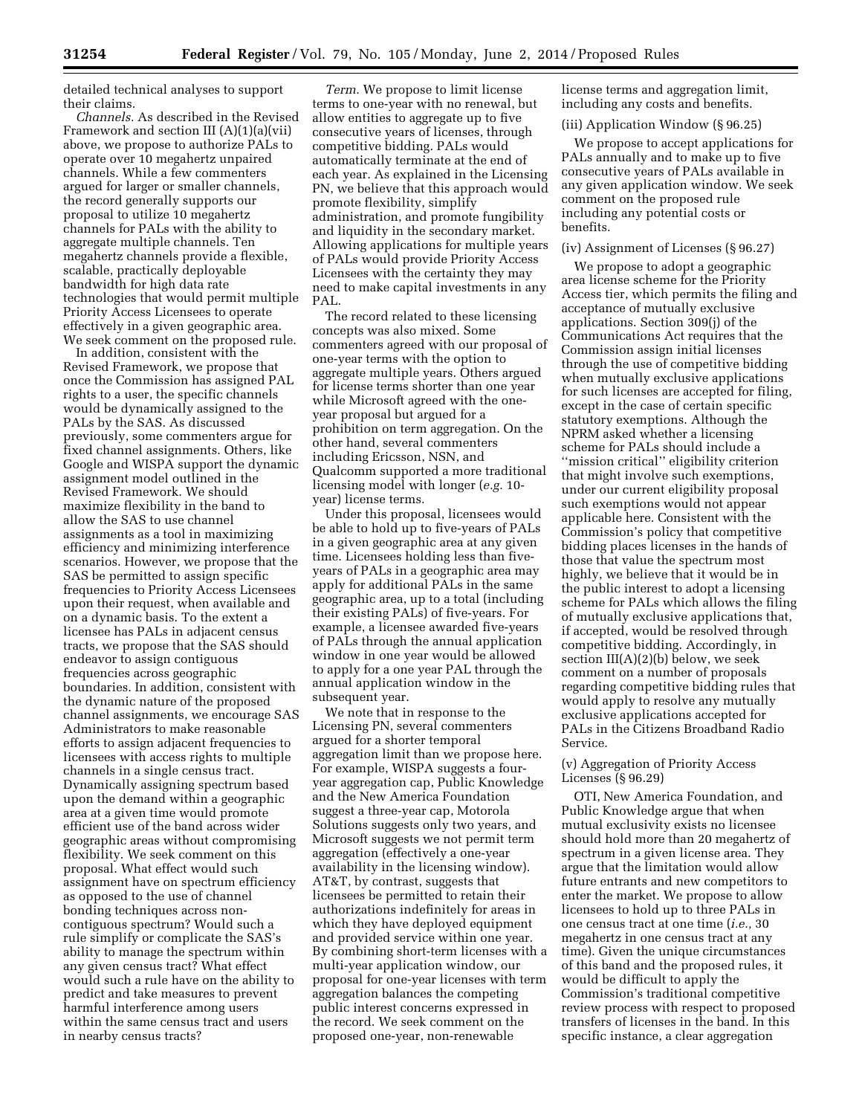detailed technical analyses to support their claims.

*Channels.* As described in the Revised Framework and section III (A)(1)(a)(vii) above, we propose to authorize PALs to operate over 10 megahertz unpaired channels. While a few commenters argued for larger or smaller channels, the record generally supports our proposal to utilize 10 megahertz channels for PALs with the ability to aggregate multiple channels. Ten megahertz channels provide a flexible, scalable, practically deployable bandwidth for high data rate technologies that would permit multiple Priority Access Licensees to operate effectively in a given geographic area. We seek comment on the proposed rule.

In addition, consistent with the Revised Framework, we propose that once the Commission has assigned PAL rights to a user, the specific channels would be dynamically assigned to the PALs by the SAS. As discussed previously, some commenters argue for fixed channel assignments. Others, like Google and WISPA support the dynamic assignment model outlined in the Revised Framework. We should maximize flexibility in the band to allow the SAS to use channel assignments as a tool in maximizing efficiency and minimizing interference scenarios. However, we propose that the SAS be permitted to assign specific frequencies to Priority Access Licensees upon their request, when available and on a dynamic basis. To the extent a licensee has PALs in adjacent census tracts, we propose that the SAS should endeavor to assign contiguous frequencies across geographic boundaries. In addition, consistent with the dynamic nature of the proposed channel assignments, we encourage SAS Administrators to make reasonable efforts to assign adjacent frequencies to licensees with access rights to multiple channels in a single census tract. Dynamically assigning spectrum based upon the demand within a geographic area at a given time would promote efficient use of the band across wider geographic areas without compromising flexibility. We seek comment on this proposal. What effect would such assignment have on spectrum efficiency as opposed to the use of channel bonding techniques across noncontiguous spectrum? Would such a rule simplify or complicate the SAS's ability to manage the spectrum within any given census tract? What effect would such a rule have on the ability to predict and take measures to prevent harmful interference among users within the same census tract and users in nearby census tracts?

*Term.* We propose to limit license terms to one-year with no renewal, but allow entities to aggregate up to five consecutive years of licenses, through competitive bidding. PALs would automatically terminate at the end of each year. As explained in the Licensing PN, we believe that this approach would promote flexibility, simplify administration, and promote fungibility and liquidity in the secondary market. Allowing applications for multiple years of PALs would provide Priority Access Licensees with the certainty they may need to make capital investments in any PAL.

The record related to these licensing concepts was also mixed. Some commenters agreed with our proposal of one-year terms with the option to aggregate multiple years. Others argued for license terms shorter than one year while Microsoft agreed with the oneyear proposal but argued for a prohibition on term aggregation. On the other hand, several commenters including Ericsson, NSN, and Qualcomm supported a more traditional licensing model with longer (*e.g.* 10 year) license terms.

Under this proposal, licensees would be able to hold up to five-years of PALs in a given geographic area at any given time. Licensees holding less than fiveyears of PALs in a geographic area may apply for additional PALs in the same geographic area, up to a total (including their existing PALs) of five-years. For example, a licensee awarded five-years of PALs through the annual application window in one year would be allowed to apply for a one year PAL through the annual application window in the subsequent year.

We note that in response to the Licensing PN, several commenters argued for a shorter temporal aggregation limit than we propose here. For example, WISPA suggests a fouryear aggregation cap, Public Knowledge and the New America Foundation suggest a three-year cap, Motorola Solutions suggests only two years, and Microsoft suggests we not permit term aggregation (effectively a one-year availability in the licensing window). AT&T, by contrast, suggests that licensees be permitted to retain their authorizations indefinitely for areas in which they have deployed equipment and provided service within one year. By combining short-term licenses with a multi-year application window, our proposal for one-year licenses with term aggregation balances the competing public interest concerns expressed in the record. We seek comment on the proposed one-year, non-renewable

license terms and aggregation limit, including any costs and benefits.

## (iii) Application Window (§ 96.25)

We propose to accept applications for PALs annually and to make up to five consecutive years of PALs available in any given application window. We seek comment on the proposed rule including any potential costs or benefits.

# (iv) Assignment of Licenses (§ 96.27)

We propose to adopt a geographic area license scheme for the Priority Access tier, which permits the filing and acceptance of mutually exclusive applications. Section 309(j) of the Communications Act requires that the Commission assign initial licenses through the use of competitive bidding when mutually exclusive applications for such licenses are accepted for filing, except in the case of certain specific statutory exemptions. Although the NPRM asked whether a licensing scheme for PALs should include a ''mission critical'' eligibility criterion that might involve such exemptions, under our current eligibility proposal such exemptions would not appear applicable here. Consistent with the Commission's policy that competitive bidding places licenses in the hands of those that value the spectrum most highly, we believe that it would be in the public interest to adopt a licensing scheme for PALs which allows the filing of mutually exclusive applications that, if accepted, would be resolved through competitive bidding. Accordingly, in section  $III(A)(2)(b)$  below, we seek comment on a number of proposals regarding competitive bidding rules that would apply to resolve any mutually exclusive applications accepted for PALs in the Citizens Broadband Radio Service.

# (v) Aggregation of Priority Access Licenses (§ 96.29)

OTI, New America Foundation, and Public Knowledge argue that when mutual exclusivity exists no licensee should hold more than 20 megahertz of spectrum in a given license area. They argue that the limitation would allow future entrants and new competitors to enter the market. We propose to allow licensees to hold up to three PALs in one census tract at one time (*i.e.,* 30 megahertz in one census tract at any time). Given the unique circumstances of this band and the proposed rules, it would be difficult to apply the Commission's traditional competitive review process with respect to proposed transfers of licenses in the band. In this specific instance, a clear aggregation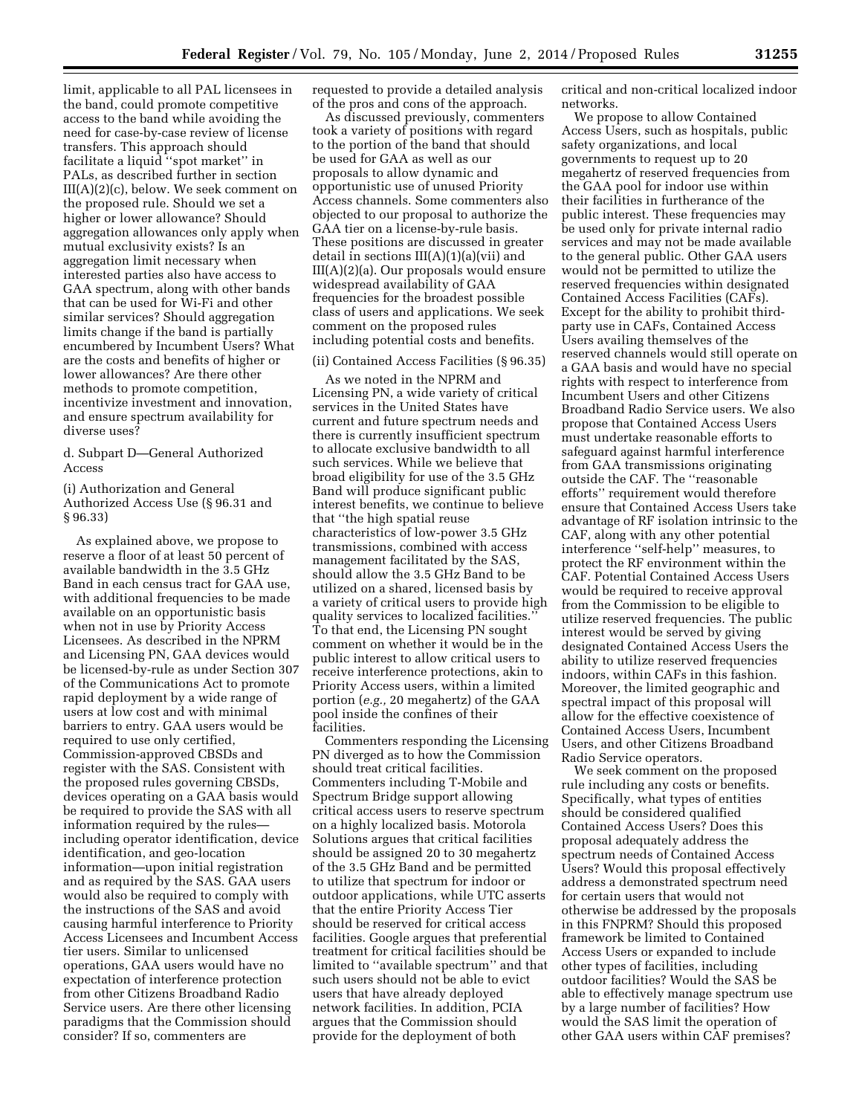limit, applicable to all PAL licensees in the band, could promote competitive access to the band while avoiding the need for case-by-case review of license transfers. This approach should facilitate a liquid ''spot market'' in PALs, as described further in section III(A)(2)(c), below. We seek comment on the proposed rule. Should we set a higher or lower allowance? Should aggregation allowances only apply when mutual exclusivity exists? Is an aggregation limit necessary when interested parties also have access to GAA spectrum, along with other bands that can be used for Wi-Fi and other similar services? Should aggregation limits change if the band is partially encumbered by Incumbent Users? What are the costs and benefits of higher or lower allowances? Are there other methods to promote competition, incentivize investment and innovation, and ensure spectrum availability for diverse uses?

d. Subpart D—General Authorized Access

(i) Authorization and General Authorized Access Use (§ 96.31 and § 96.33)

As explained above, we propose to reserve a floor of at least 50 percent of available bandwidth in the 3.5 GHz Band in each census tract for GAA use, with additional frequencies to be made available on an opportunistic basis when not in use by Priority Access Licensees. As described in the NPRM and Licensing PN, GAA devices would be licensed-by-rule as under Section 307 of the Communications Act to promote rapid deployment by a wide range of users at low cost and with minimal barriers to entry. GAA users would be required to use only certified, Commission-approved CBSDs and register with the SAS. Consistent with the proposed rules governing CBSDs, devices operating on a GAA basis would be required to provide the SAS with all information required by the rules including operator identification, device identification, and geo-location information—upon initial registration and as required by the SAS. GAA users would also be required to comply with the instructions of the SAS and avoid causing harmful interference to Priority Access Licensees and Incumbent Access tier users. Similar to unlicensed operations, GAA users would have no expectation of interference protection from other Citizens Broadband Radio Service users. Are there other licensing paradigms that the Commission should consider? If so, commenters are

requested to provide a detailed analysis of the pros and cons of the approach.

As discussed previously, commenters took a variety of positions with regard to the portion of the band that should be used for GAA as well as our proposals to allow dynamic and opportunistic use of unused Priority Access channels. Some commenters also objected to our proposal to authorize the GAA tier on a license-by-rule basis. These positions are discussed in greater detail in sections  $III(A)(1)(a)(vi)$  and III(A)(2)(a). Our proposals would ensure widespread availability of GAA frequencies for the broadest possible class of users and applications. We seek comment on the proposed rules including potential costs and benefits.

(ii) Contained Access Facilities (§ 96.35)

As we noted in the NPRM and Licensing PN, a wide variety of critical services in the United States have current and future spectrum needs and there is currently insufficient spectrum to allocate exclusive bandwidth to all such services. While we believe that broad eligibility for use of the 3.5 GHz Band will produce significant public interest benefits, we continue to believe that ''the high spatial reuse characteristics of low-power 3.5 GHz transmissions, combined with access management facilitated by the SAS, should allow the 3.5 GHz Band to be utilized on a shared, licensed basis by a variety of critical users to provide high quality services to localized facilities.'' To that end, the Licensing PN sought comment on whether it would be in the public interest to allow critical users to receive interference protections, akin to Priority Access users, within a limited portion (*e.g.,* 20 megahertz) of the GAA pool inside the confines of their facilities.

Commenters responding the Licensing PN diverged as to how the Commission should treat critical facilities. Commenters including T-Mobile and Spectrum Bridge support allowing critical access users to reserve spectrum on a highly localized basis. Motorola Solutions argues that critical facilities should be assigned 20 to 30 megahertz of the 3.5 GHz Band and be permitted to utilize that spectrum for indoor or outdoor applications, while UTC asserts that the entire Priority Access Tier should be reserved for critical access facilities. Google argues that preferential treatment for critical facilities should be limited to ''available spectrum'' and that such users should not be able to evict users that have already deployed network facilities. In addition, PCIA argues that the Commission should provide for the deployment of both

critical and non-critical localized indoor networks.

We propose to allow Contained Access Users, such as hospitals, public safety organizations, and local governments to request up to 20 megahertz of reserved frequencies from the GAA pool for indoor use within their facilities in furtherance of the public interest. These frequencies may be used only for private internal radio services and may not be made available to the general public. Other GAA users would not be permitted to utilize the reserved frequencies within designated Contained Access Facilities (CAFs). Except for the ability to prohibit thirdparty use in CAFs, Contained Access Users availing themselves of the reserved channels would still operate on a GAA basis and would have no special rights with respect to interference from Incumbent Users and other Citizens Broadband Radio Service users. We also propose that Contained Access Users must undertake reasonable efforts to safeguard against harmful interference from GAA transmissions originating outside the CAF. The ''reasonable efforts'' requirement would therefore ensure that Contained Access Users take advantage of RF isolation intrinsic to the CAF, along with any other potential interference ''self-help'' measures, to protect the RF environment within the CAF. Potential Contained Access Users would be required to receive approval from the Commission to be eligible to utilize reserved frequencies. The public interest would be served by giving designated Contained Access Users the ability to utilize reserved frequencies indoors, within CAFs in this fashion. Moreover, the limited geographic and spectral impact of this proposal will allow for the effective coexistence of Contained Access Users, Incumbent Users, and other Citizens Broadband Radio Service operators.

We seek comment on the proposed rule including any costs or benefits. Specifically, what types of entities should be considered qualified Contained Access Users? Does this proposal adequately address the spectrum needs of Contained Access Users? Would this proposal effectively address a demonstrated spectrum need for certain users that would not otherwise be addressed by the proposals in this FNPRM? Should this proposed framework be limited to Contained Access Users or expanded to include other types of facilities, including outdoor facilities? Would the SAS be able to effectively manage spectrum use by a large number of facilities? How would the SAS limit the operation of other GAA users within CAF premises?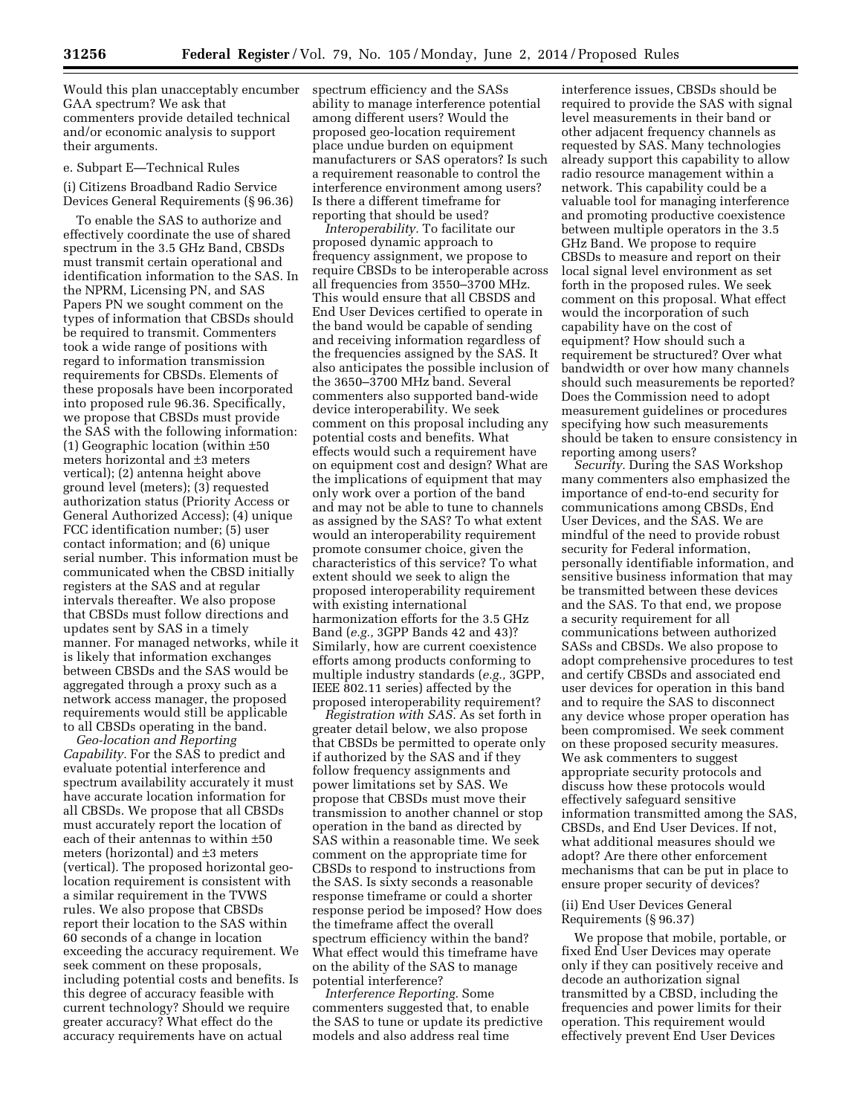Would this plan unacceptably encumber GAA spectrum? We ask that commenters provide detailed technical and/or economic analysis to support their arguments.

e. Subpart E—Technical Rules

(i) Citizens Broadband Radio Service Devices General Requirements (§ 96.36)

To enable the SAS to authorize and effectively coordinate the use of shared spectrum in the 3.5 GHz Band, CBSDs must transmit certain operational and identification information to the SAS. In the NPRM, Licensing PN, and SAS Papers PN we sought comment on the types of information that CBSDs should be required to transmit. Commenters took a wide range of positions with regard to information transmission requirements for CBSDs. Elements of these proposals have been incorporated into proposed rule 96.36. Specifically, we propose that CBSDs must provide the SAS with the following information: (1) Geographic location (within ±50 meters horizontal and ±3 meters vertical); (2) antenna height above ground level (meters); (3) requested authorization status (Priority Access or General Authorized Access); (4) unique FCC identification number; (5) user contact information; and (6) unique serial number. This information must be communicated when the CBSD initially registers at the SAS and at regular intervals thereafter. We also propose that CBSDs must follow directions and updates sent by SAS in a timely manner. For managed networks, while it is likely that information exchanges between CBSDs and the SAS would be aggregated through a proxy such as a network access manager, the proposed requirements would still be applicable to all CBSDs operating in the band.

*Geo-location and Reporting Capability.* For the SAS to predict and evaluate potential interference and spectrum availability accurately it must have accurate location information for all CBSDs. We propose that all CBSDs must accurately report the location of each of their antennas to within ±50 meters (horizontal) and ±3 meters (vertical). The proposed horizontal geolocation requirement is consistent with a similar requirement in the TVWS rules. We also propose that CBSDs report their location to the SAS within 60 seconds of a change in location exceeding the accuracy requirement. We seek comment on these proposals, including potential costs and benefits. Is this degree of accuracy feasible with current technology? Should we require greater accuracy? What effect do the accuracy requirements have on actual

spectrum efficiency and the SASs ability to manage interference potential among different users? Would the proposed geo-location requirement place undue burden on equipment manufacturers or SAS operators? Is such a requirement reasonable to control the interference environment among users? Is there a different timeframe for reporting that should be used?

*Interoperability.* To facilitate our proposed dynamic approach to frequency assignment, we propose to require CBSDs to be interoperable across all frequencies from 3550–3700 MHz. This would ensure that all CBSDS and End User Devices certified to operate in the band would be capable of sending and receiving information regardless of the frequencies assigned by the SAS. It also anticipates the possible inclusion of the 3650–3700 MHz band. Several commenters also supported band-wide device interoperability. We seek comment on this proposal including any potential costs and benefits. What effects would such a requirement have on equipment cost and design? What are the implications of equipment that may only work over a portion of the band and may not be able to tune to channels as assigned by the SAS? To what extent would an interoperability requirement promote consumer choice, given the characteristics of this service? To what extent should we seek to align the proposed interoperability requirement with existing international harmonization efforts for the 3.5 GHz Band (*e.g.,* 3GPP Bands 42 and 43)? Similarly, how are current coexistence efforts among products conforming to multiple industry standards (*e.g.,* 3GPP, IEEE 802.11 series) affected by the proposed interoperability requirement?

*Registration with SAS.* As set forth in greater detail below, we also propose that CBSDs be permitted to operate only if authorized by the SAS and if they follow frequency assignments and power limitations set by SAS. We propose that CBSDs must move their transmission to another channel or stop operation in the band as directed by SAS within a reasonable time. We seek comment on the appropriate time for CBSDs to respond to instructions from the SAS. Is sixty seconds a reasonable response timeframe or could a shorter response period be imposed? How does the timeframe affect the overall spectrum efficiency within the band? What effect would this timeframe have on the ability of the SAS to manage potential interference?

*Interference Reporting.* Some commenters suggested that, to enable the SAS to tune or update its predictive models and also address real time

interference issues, CBSDs should be required to provide the SAS with signal level measurements in their band or other adjacent frequency channels as requested by SAS. Many technologies already support this capability to allow radio resource management within a network. This capability could be a valuable tool for managing interference and promoting productive coexistence between multiple operators in the 3.5 GHz Band. We propose to require CBSDs to measure and report on their local signal level environment as set forth in the proposed rules. We seek comment on this proposal. What effect would the incorporation of such capability have on the cost of equipment? How should such a requirement be structured? Over what bandwidth or over how many channels should such measurements be reported? Does the Commission need to adopt measurement guidelines or procedures specifying how such measurements should be taken to ensure consistency in reporting among users?

*Security.* During the SAS Workshop many commenters also emphasized the importance of end-to-end security for communications among CBSDs, End User Devices, and the SAS. We are mindful of the need to provide robust security for Federal information, personally identifiable information, and sensitive business information that may be transmitted between these devices and the SAS. To that end, we propose a security requirement for all communications between authorized SASs and CBSDs. We also propose to adopt comprehensive procedures to test and certify CBSDs and associated end user devices for operation in this band and to require the SAS to disconnect any device whose proper operation has been compromised. We seek comment on these proposed security measures. We ask commenters to suggest appropriate security protocols and discuss how these protocols would effectively safeguard sensitive information transmitted among the SAS, CBSDs, and End User Devices. If not, what additional measures should we adopt? Are there other enforcement mechanisms that can be put in place to ensure proper security of devices?

# (ii) End User Devices General Requirements (§ 96.37)

We propose that mobile, portable, or fixed End User Devices may operate only if they can positively receive and decode an authorization signal transmitted by a CBSD, including the frequencies and power limits for their operation. This requirement would effectively prevent End User Devices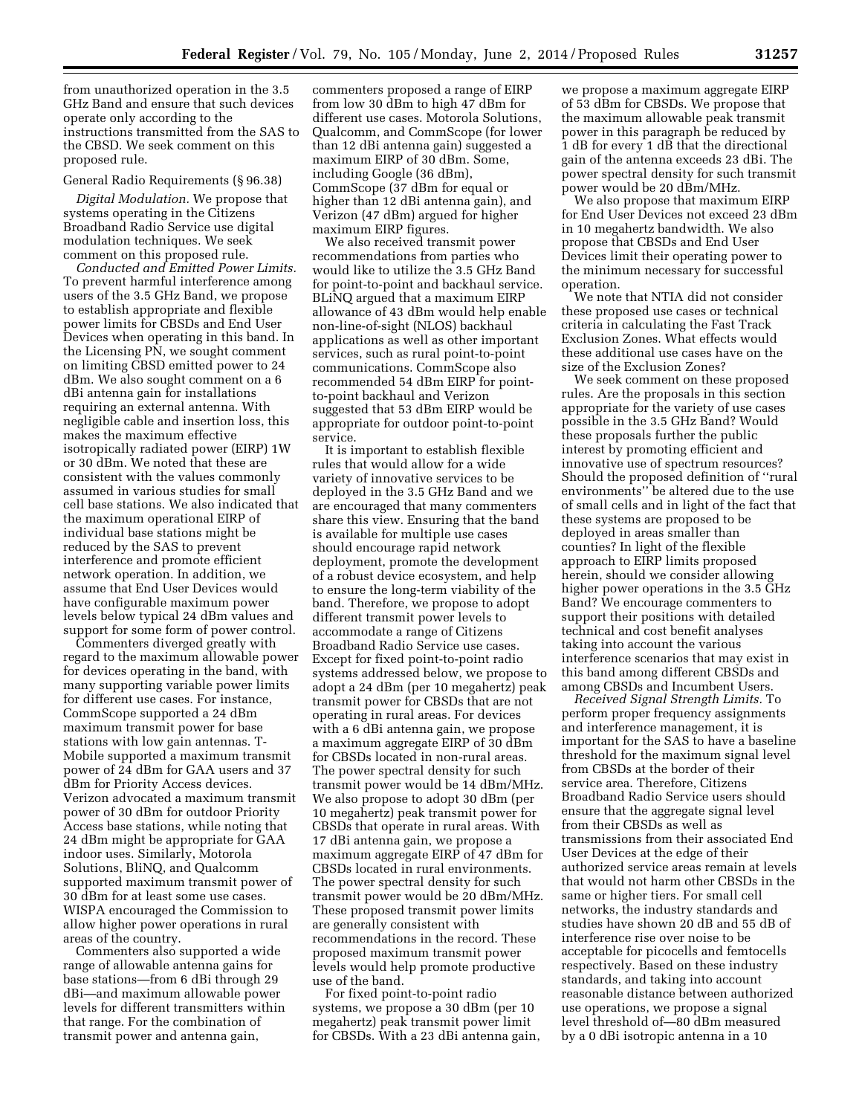from unauthorized operation in the 3.5 GHz Band and ensure that such devices operate only according to the instructions transmitted from the SAS to the CBSD. We seek comment on this proposed rule.

#### General Radio Requirements (§ 96.38)

*Digital Modulation.* We propose that systems operating in the Citizens Broadband Radio Service use digital modulation techniques. We seek comment on this proposed rule.

*Conducted and Emitted Power Limits.*  To prevent harmful interference among users of the 3.5 GHz Band, we propose to establish appropriate and flexible power limits for CBSDs and End User Devices when operating in this band. In the Licensing PN, we sought comment on limiting CBSD emitted power to 24 dBm. We also sought comment on a 6 dBi antenna gain for installations requiring an external antenna. With negligible cable and insertion loss, this makes the maximum effective isotropically radiated power (EIRP) 1W or 30 dBm. We noted that these are consistent with the values commonly assumed in various studies for small cell base stations. We also indicated that the maximum operational EIRP of individual base stations might be reduced by the SAS to prevent interference and promote efficient network operation. In addition, we assume that End User Devices would have configurable maximum power levels below typical 24 dBm values and support for some form of power control.

Commenters diverged greatly with regard to the maximum allowable power for devices operating in the band, with many supporting variable power limits for different use cases. For instance, CommScope supported a 24 dBm maximum transmit power for base stations with low gain antennas. T-Mobile supported a maximum transmit power of 24 dBm for GAA users and 37 dBm for Priority Access devices. Verizon advocated a maximum transmit power of 30 dBm for outdoor Priority Access base stations, while noting that 24 dBm might be appropriate for GAA indoor uses. Similarly, Motorola Solutions, BliNQ, and Qualcomm supported maximum transmit power of 30 dBm for at least some use cases. WISPA encouraged the Commission to allow higher power operations in rural areas of the country.

Commenters also supported a wide range of allowable antenna gains for base stations—from 6 dBi through 29 dBi—and maximum allowable power levels for different transmitters within that range. For the combination of transmit power and antenna gain,

commenters proposed a range of EIRP from low 30 dBm to high 47 dBm for different use cases. Motorola Solutions, Qualcomm, and CommScope (for lower than 12 dBi antenna gain) suggested a maximum EIRP of 30 dBm. Some, including Google (36 dBm), CommScope (37 dBm for equal or higher than 12 dBi antenna gain), and Verizon (47 dBm) argued for higher maximum EIRP figures.

We also received transmit power recommendations from parties who would like to utilize the 3.5 GHz Band for point-to-point and backhaul service. BLiNQ argued that a maximum EIRP allowance of 43 dBm would help enable non-line-of-sight (NLOS) backhaul applications as well as other important services, such as rural point-to-point communications. CommScope also recommended 54 dBm EIRP for pointto-point backhaul and Verizon suggested that 53 dBm EIRP would be appropriate for outdoor point-to-point service.

It is important to establish flexible rules that would allow for a wide variety of innovative services to be deployed in the 3.5 GHz Band and we are encouraged that many commenters share this view. Ensuring that the band is available for multiple use cases should encourage rapid network deployment, promote the development of a robust device ecosystem, and help to ensure the long-term viability of the band. Therefore, we propose to adopt different transmit power levels to accommodate a range of Citizens Broadband Radio Service use cases. Except for fixed point-to-point radio systems addressed below, we propose to adopt a 24 dBm (per 10 megahertz) peak transmit power for CBSDs that are not operating in rural areas. For devices with a 6 dBi antenna gain, we propose a maximum aggregate EIRP of 30 dBm for CBSDs located in non-rural areas. The power spectral density for such transmit power would be 14 dBm/MHz. We also propose to adopt 30 dBm (per 10 megahertz) peak transmit power for CBSDs that operate in rural areas. With 17 dBi antenna gain, we propose a maximum aggregate EIRP of 47 dBm for CBSDs located in rural environments. The power spectral density for such transmit power would be 20 dBm/MHz. These proposed transmit power limits are generally consistent with recommendations in the record. These proposed maximum transmit power levels would help promote productive use of the band.

For fixed point-to-point radio systems, we propose a 30 dBm (per 10 megahertz) peak transmit power limit for CBSDs. With a 23 dBi antenna gain,

we propose a maximum aggregate EIRP of 53 dBm for CBSDs. We propose that the maximum allowable peak transmit power in this paragraph be reduced by 1 dB for every 1 dB that the directional gain of the antenna exceeds 23 dBi. The power spectral density for such transmit power would be 20 dBm/MHz.

We also propose that maximum EIRP for End User Devices not exceed 23 dBm in 10 megahertz bandwidth. We also propose that CBSDs and End User Devices limit their operating power to the minimum necessary for successful operation.

We note that NTIA did not consider these proposed use cases or technical criteria in calculating the Fast Track Exclusion Zones. What effects would these additional use cases have on the size of the Exclusion Zones?

We seek comment on these proposed rules. Are the proposals in this section appropriate for the variety of use cases possible in the 3.5 GHz Band? Would these proposals further the public interest by promoting efficient and innovative use of spectrum resources? Should the proposed definition of ''rural environments'' be altered due to the use of small cells and in light of the fact that these systems are proposed to be deployed in areas smaller than counties? In light of the flexible approach to EIRP limits proposed herein, should we consider allowing higher power operations in the 3.5 GHz Band? We encourage commenters to support their positions with detailed technical and cost benefit analyses taking into account the various interference scenarios that may exist in this band among different CBSDs and among CBSDs and Incumbent Users.

*Received Signal Strength Limits.* To perform proper frequency assignments and interference management, it is important for the SAS to have a baseline threshold for the maximum signal level from CBSDs at the border of their service area. Therefore, Citizens Broadband Radio Service users should ensure that the aggregate signal level from their CBSDs as well as transmissions from their associated End User Devices at the edge of their authorized service areas remain at levels that would not harm other CBSDs in the same or higher tiers. For small cell networks, the industry standards and studies have shown 20 dB and 55 dB of interference rise over noise to be acceptable for picocells and femtocells respectively. Based on these industry standards, and taking into account reasonable distance between authorized use operations, we propose a signal level threshold of—80 dBm measured by a 0 dBi isotropic antenna in a 10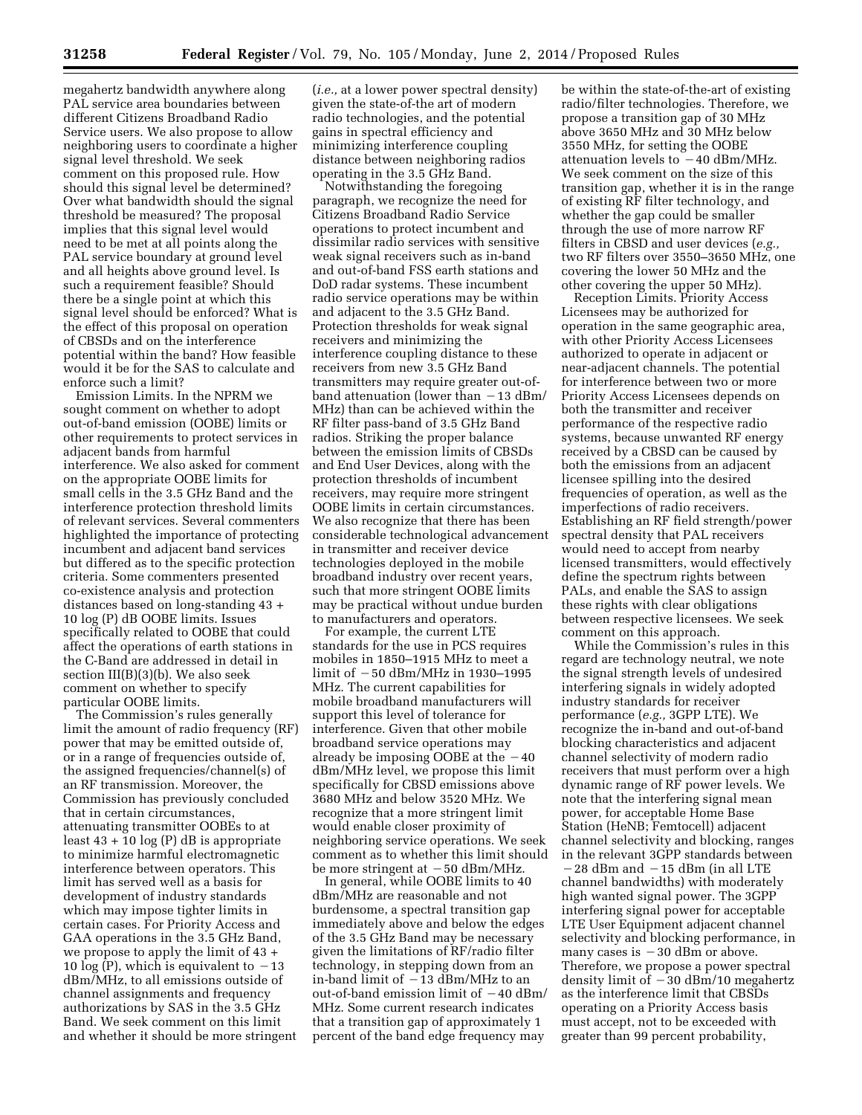megahertz bandwidth anywhere along PAL service area boundaries between different Citizens Broadband Radio Service users. We also propose to allow neighboring users to coordinate a higher signal level threshold. We seek comment on this proposed rule. How should this signal level be determined? Over what bandwidth should the signal threshold be measured? The proposal implies that this signal level would need to be met at all points along the PAL service boundary at ground level and all heights above ground level. Is such a requirement feasible? Should there be a single point at which this signal level should be enforced? What is the effect of this proposal on operation of CBSDs and on the interference potential within the band? How feasible would it be for the SAS to calculate and enforce such a limit?

Emission Limits. In the NPRM we sought comment on whether to adopt out-of-band emission (OOBE) limits or other requirements to protect services in adjacent bands from harmful interference. We also asked for comment on the appropriate OOBE limits for small cells in the 3.5 GHz Band and the interference protection threshold limits of relevant services. Several commenters highlighted the importance of protecting incumbent and adjacent band services but differed as to the specific protection criteria. Some commenters presented co-existence analysis and protection distances based on long-standing 43 + 10 log (P) dB OOBE limits. Issues specifically related to OOBE that could affect the operations of earth stations in the C-Band are addressed in detail in section III(B)(3)(b). We also seek comment on whether to specify particular OOBE limits.

The Commission's rules generally limit the amount of radio frequency (RF) power that may be emitted outside of, or in a range of frequencies outside of, the assigned frequencies/channel(s) of an RF transmission. Moreover, the Commission has previously concluded that in certain circumstances, attenuating transmitter OOBEs to at least  $43 + 10 \log(P)$  dB is appropriate to minimize harmful electromagnetic interference between operators. This limit has served well as a basis for development of industry standards which may impose tighter limits in certain cases. For Priority Access and GAA operations in the 3.5 GHz Band, we propose to apply the limit of 43 + 10  $\log(P)$ , which is equivalent to  $-13$ dBm/MHz, to all emissions outside of channel assignments and frequency authorizations by SAS in the 3.5 GHz Band. We seek comment on this limit and whether it should be more stringent

(*i.e.,* at a lower power spectral density) given the state-of-the art of modern radio technologies, and the potential gains in spectral efficiency and minimizing interference coupling distance between neighboring radios operating in the 3.5 GHz Band.

Notwithstanding the foregoing paragraph, we recognize the need for Citizens Broadband Radio Service operations to protect incumbent and dissimilar radio services with sensitive weak signal receivers such as in-band and out-of-band FSS earth stations and DoD radar systems. These incumbent radio service operations may be within and adjacent to the 3.5 GHz Band. Protection thresholds for weak signal receivers and minimizing the interference coupling distance to these receivers from new 3.5 GHz Band transmitters may require greater out-ofband attenuation (lower than  $-13$  dBm/ MHz) than can be achieved within the RF filter pass-band of 3.5 GHz Band radios. Striking the proper balance between the emission limits of CBSDs and End User Devices, along with the protection thresholds of incumbent receivers, may require more stringent OOBE limits in certain circumstances. We also recognize that there has been considerable technological advancement in transmitter and receiver device technologies deployed in the mobile broadband industry over recent years, such that more stringent OOBE limits may be practical without undue burden to manufacturers and operators.

For example, the current LTE standards for the use in PCS requires mobiles in 1850–1915 MHz to meet a limit of  $-50$  dBm/MHz in 1930–1995 MHz. The current capabilities for mobile broadband manufacturers will support this level of tolerance for interference. Given that other mobile broadband service operations may already be imposing OOBE at the  $-40$ dBm/MHz level, we propose this limit specifically for CBSD emissions above 3680 MHz and below 3520 MHz. We recognize that a more stringent limit would enable closer proximity of neighboring service operations. We seek comment as to whether this limit should be more stringent at  $-50$  dBm/MHz.

In general, while OOBE limits to 40 dBm/MHz are reasonable and not burdensome, a spectral transition gap immediately above and below the edges of the 3.5 GHz Band may be necessary given the limitations of RF/radio filter technology, in stepping down from an in-band limit of  $-13$  dBm/MHz to an out-of-band emission limit of  $-40$  dBm/ MHz. Some current research indicates that a transition gap of approximately 1 percent of the band edge frequency may

be within the state-of-the-art of existing radio/filter technologies. Therefore, we propose a transition gap of 30 MHz above 3650 MHz and 30 MHz below 3550 MHz, for setting the OOBE attenuation levels to  $-40$  dBm/MHz. We seek comment on the size of this transition gap, whether it is in the range of existing RF filter technology, and whether the gap could be smaller through the use of more narrow RF filters in CBSD and user devices (*e.g.,*  two RF filters over 3550–3650 MHz, one covering the lower 50 MHz and the other covering the upper 50 MHz).

Reception Limits. Priority Access Licensees may be authorized for operation in the same geographic area, with other Priority Access Licensees authorized to operate in adjacent or near-adjacent channels. The potential for interference between two or more Priority Access Licensees depends on both the transmitter and receiver performance of the respective radio systems, because unwanted RF energy received by a CBSD can be caused by both the emissions from an adjacent licensee spilling into the desired frequencies of operation, as well as the imperfections of radio receivers. Establishing an RF field strength/power spectral density that PAL receivers would need to accept from nearby licensed transmitters, would effectively define the spectrum rights between PALs, and enable the SAS to assign these rights with clear obligations between respective licensees. We seek comment on this approach.

While the Commission's rules in this regard are technology neutral, we note the signal strength levels of undesired interfering signals in widely adopted industry standards for receiver performance (*e.g.,* 3GPP LTE). We recognize the in-band and out-of-band blocking characteristics and adjacent channel selectivity of modern radio receivers that must perform over a high dynamic range of RF power levels. We note that the interfering signal mean power, for acceptable Home Base Station (HeNB; Femtocell) adjacent channel selectivity and blocking, ranges in the relevant 3GPP standards between  $-28$  dBm and  $-15$  dBm (in all LTE channel bandwidths) with moderately high wanted signal power. The 3GPP interfering signal power for acceptable LTE User Equipment adjacent channel selectivity and blocking performance, in many cases is  $-30$  dBm or above. Therefore, we propose a power spectral density limit of  $-30$  dBm/10 megahertz as the interference limit that CBSDs operating on a Priority Access basis must accept, not to be exceeded with greater than 99 percent probability,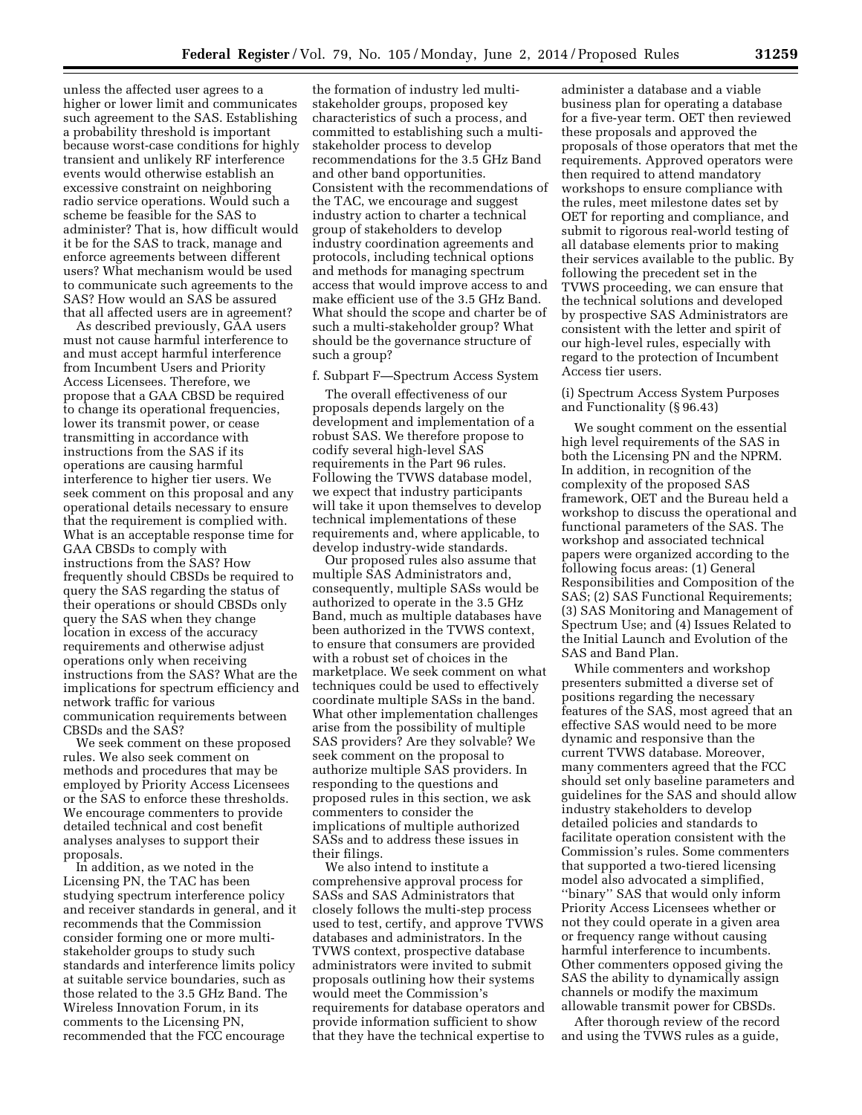unless the affected user agrees to a higher or lower limit and communicates such agreement to the SAS. Establishing a probability threshold is important because worst-case conditions for highly transient and unlikely RF interference events would otherwise establish an excessive constraint on neighboring radio service operations. Would such a scheme be feasible for the SAS to administer? That is, how difficult would it be for the SAS to track, manage and enforce agreements between different users? What mechanism would be used to communicate such agreements to the SAS? How would an SAS be assured that all affected users are in agreement?

As described previously, GAA users must not cause harmful interference to and must accept harmful interference from Incumbent Users and Priority Access Licensees. Therefore, we propose that a GAA CBSD be required to change its operational frequencies, lower its transmit power, or cease transmitting in accordance with instructions from the SAS if its operations are causing harmful interference to higher tier users. We seek comment on this proposal and any operational details necessary to ensure that the requirement is complied with. What is an acceptable response time for GAA CBSDs to comply with instructions from the SAS? How frequently should CBSDs be required to query the SAS regarding the status of their operations or should CBSDs only query the SAS when they change location in excess of the accuracy requirements and otherwise adjust operations only when receiving instructions from the SAS? What are the implications for spectrum efficiency and network traffic for various communication requirements between CBSDs and the SAS?

We seek comment on these proposed rules. We also seek comment on methods and procedures that may be employed by Priority Access Licensees or the SAS to enforce these thresholds. We encourage commenters to provide detailed technical and cost benefit analyses analyses to support their proposals.

In addition, as we noted in the Licensing PN, the TAC has been studying spectrum interference policy and receiver standards in general, and it recommends that the Commission consider forming one or more multistakeholder groups to study such standards and interference limits policy at suitable service boundaries, such as those related to the 3.5 GHz Band. The Wireless Innovation Forum, in its comments to the Licensing PN, recommended that the FCC encourage

the formation of industry led multistakeholder groups, proposed key characteristics of such a process, and committed to establishing such a multistakeholder process to develop recommendations for the 3.5 GHz Band and other band opportunities. Consistent with the recommendations of the TAC, we encourage and suggest industry action to charter a technical group of stakeholders to develop industry coordination agreements and protocols, including technical options and methods for managing spectrum access that would improve access to and make efficient use of the 3.5 GHz Band. What should the scope and charter be of such a multi-stakeholder group? What should be the governance structure of such a group?

#### f. Subpart F—Spectrum Access System

The overall effectiveness of our proposals depends largely on the development and implementation of a robust SAS. We therefore propose to codify several high-level SAS requirements in the Part 96 rules. Following the TVWS database model, we expect that industry participants will take it upon themselves to develop technical implementations of these requirements and, where applicable, to develop industry-wide standards.

Our proposed rules also assume that multiple SAS Administrators and, consequently, multiple SASs would be authorized to operate in the 3.5 GHz Band, much as multiple databases have been authorized in the TVWS context, to ensure that consumers are provided with a robust set of choices in the marketplace. We seek comment on what techniques could be used to effectively coordinate multiple SASs in the band. What other implementation challenges arise from the possibility of multiple SAS providers? Are they solvable? We seek comment on the proposal to authorize multiple SAS providers. In responding to the questions and proposed rules in this section, we ask commenters to consider the implications of multiple authorized SASs and to address these issues in their filings.

We also intend to institute a comprehensive approval process for SASs and SAS Administrators that closely follows the multi-step process used to test, certify, and approve TVWS databases and administrators. In the TVWS context, prospective database administrators were invited to submit proposals outlining how their systems would meet the Commission's requirements for database operators and provide information sufficient to show that they have the technical expertise to

administer a database and a viable business plan for operating a database for a five-year term. OET then reviewed these proposals and approved the proposals of those operators that met the requirements. Approved operators were then required to attend mandatory workshops to ensure compliance with the rules, meet milestone dates set by OET for reporting and compliance, and submit to rigorous real-world testing of all database elements prior to making their services available to the public. By following the precedent set in the TVWS proceeding, we can ensure that the technical solutions and developed by prospective SAS Administrators are consistent with the letter and spirit of our high-level rules, especially with regard to the protection of Incumbent Access tier users.

(i) Spectrum Access System Purposes and Functionality (§ 96.43)

We sought comment on the essential high level requirements of the SAS in both the Licensing PN and the NPRM. In addition, in recognition of the complexity of the proposed SAS framework, OET and the Bureau held a workshop to discuss the operational and functional parameters of the SAS. The workshop and associated technical papers were organized according to the following focus areas: (1) General Responsibilities and Composition of the SAS; (2) SAS Functional Requirements; (3) SAS Monitoring and Management of Spectrum Use; and (4) Issues Related to the Initial Launch and Evolution of the SAS and Band Plan.

While commenters and workshop presenters submitted a diverse set of positions regarding the necessary features of the SAS, most agreed that an effective SAS would need to be more dynamic and responsive than the current TVWS database. Moreover, many commenters agreed that the FCC should set only baseline parameters and guidelines for the SAS and should allow industry stakeholders to develop detailed policies and standards to facilitate operation consistent with the Commission's rules. Some commenters that supported a two-tiered licensing model also advocated a simplified, ''binary'' SAS that would only inform Priority Access Licensees whether or not they could operate in a given area or frequency range without causing harmful interference to incumbents. Other commenters opposed giving the SAS the ability to dynamically assign channels or modify the maximum allowable transmit power for CBSDs.

After thorough review of the record and using the TVWS rules as a guide,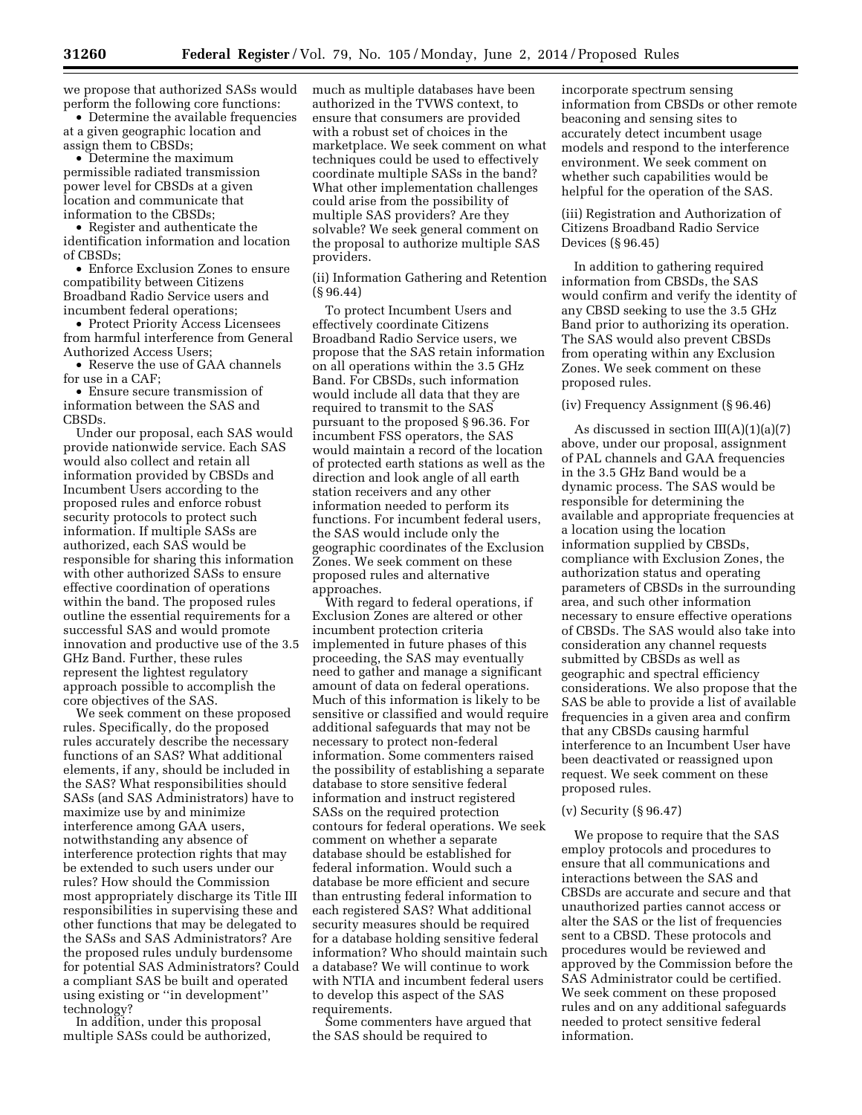we propose that authorized SASs would perform the following core functions:

• Determine the available frequencies at a given geographic location and assign them to CBSDs;

• Determine the maximum permissible radiated transmission power level for CBSDs at a given location and communicate that information to the CBSDs;

• Register and authenticate the identification information and location of CBSDs;

• Enforce Exclusion Zones to ensure compatibility between Citizens Broadband Radio Service users and incumbent federal operations;

• Protect Priority Access Licensees from harmful interference from General Authorized Access Users;

• Reserve the use of GAA channels for use in a CAF;

• Ensure secure transmission of information between the SAS and CBSDs.

Under our proposal, each SAS would provide nationwide service. Each SAS would also collect and retain all information provided by CBSDs and Incumbent Users according to the proposed rules and enforce robust security protocols to protect such information. If multiple SASs are authorized, each SAS would be responsible for sharing this information with other authorized SASs to ensure effective coordination of operations within the band. The proposed rules outline the essential requirements for a successful SAS and would promote innovation and productive use of the 3.5 GHz Band. Further, these rules represent the lightest regulatory approach possible to accomplish the core objectives of the SAS.

We seek comment on these proposed rules. Specifically, do the proposed rules accurately describe the necessary functions of an SAS? What additional elements, if any, should be included in the SAS? What responsibilities should SASs (and SAS Administrators) have to maximize use by and minimize interference among GAA users, notwithstanding any absence of interference protection rights that may be extended to such users under our rules? How should the Commission most appropriately discharge its Title III responsibilities in supervising these and other functions that may be delegated to the SASs and SAS Administrators? Are the proposed rules unduly burdensome for potential SAS Administrators? Could a compliant SAS be built and operated using existing or ''in development'' technology?

In addition, under this proposal multiple SASs could be authorized, much as multiple databases have been authorized in the TVWS context, to ensure that consumers are provided with a robust set of choices in the marketplace. We seek comment on what techniques could be used to effectively coordinate multiple SASs in the band? What other implementation challenges could arise from the possibility of multiple SAS providers? Are they solvable? We seek general comment on the proposal to authorize multiple SAS providers.

(ii) Information Gathering and Retention (§ 96.44)

To protect Incumbent Users and effectively coordinate Citizens Broadband Radio Service users, we propose that the SAS retain information on all operations within the 3.5 GHz Band. For CBSDs, such information would include all data that they are required to transmit to the SAS pursuant to the proposed § 96.36. For incumbent FSS operators, the SAS would maintain a record of the location of protected earth stations as well as the direction and look angle of all earth station receivers and any other information needed to perform its functions. For incumbent federal users, the SAS would include only the geographic coordinates of the Exclusion Zones. We seek comment on these proposed rules and alternative approaches.

With regard to federal operations, if Exclusion Zones are altered or other incumbent protection criteria implemented in future phases of this proceeding, the SAS may eventually need to gather and manage a significant amount of data on federal operations. Much of this information is likely to be sensitive or classified and would require additional safeguards that may not be necessary to protect non-federal information. Some commenters raised the possibility of establishing a separate database to store sensitive federal information and instruct registered SASs on the required protection contours for federal operations. We seek comment on whether a separate database should be established for federal information. Would such a database be more efficient and secure than entrusting federal information to each registered SAS? What additional security measures should be required for a database holding sensitive federal information? Who should maintain such a database? We will continue to work with NTIA and incumbent federal users to develop this aspect of the SAS requirements.

Some commenters have argued that the SAS should be required to

incorporate spectrum sensing information from CBSDs or other remote beaconing and sensing sites to accurately detect incumbent usage models and respond to the interference environment. We seek comment on whether such capabilities would be helpful for the operation of the SAS.

(iii) Registration and Authorization of Citizens Broadband Radio Service Devices (§ 96.45)

In addition to gathering required information from CBSDs, the SAS would confirm and verify the identity of any CBSD seeking to use the 3.5 GHz Band prior to authorizing its operation. The SAS would also prevent CBSDs from operating within any Exclusion Zones. We seek comment on these proposed rules.

#### (iv) Frequency Assignment (§ 96.46)

As discussed in section III(A)(1)(a)(7) above, under our proposal, assignment of PAL channels and GAA frequencies in the 3.5 GHz Band would be a dynamic process. The SAS would be responsible for determining the available and appropriate frequencies at a location using the location information supplied by CBSDs, compliance with Exclusion Zones, the authorization status and operating parameters of CBSDs in the surrounding area, and such other information necessary to ensure effective operations of CBSDs. The SAS would also take into consideration any channel requests submitted by CBSDs as well as geographic and spectral efficiency considerations. We also propose that the SAS be able to provide a list of available frequencies in a given area and confirm that any CBSDs causing harmful interference to an Incumbent User have been deactivated or reassigned upon request. We seek comment on these proposed rules.

# (v) Security (§ 96.47)

We propose to require that the SAS employ protocols and procedures to ensure that all communications and interactions between the SAS and CBSDs are accurate and secure and that unauthorized parties cannot access or alter the SAS or the list of frequencies sent to a CBSD. These protocols and procedures would be reviewed and approved by the Commission before the SAS Administrator could be certified. We seek comment on these proposed rules and on any additional safeguards needed to protect sensitive federal information.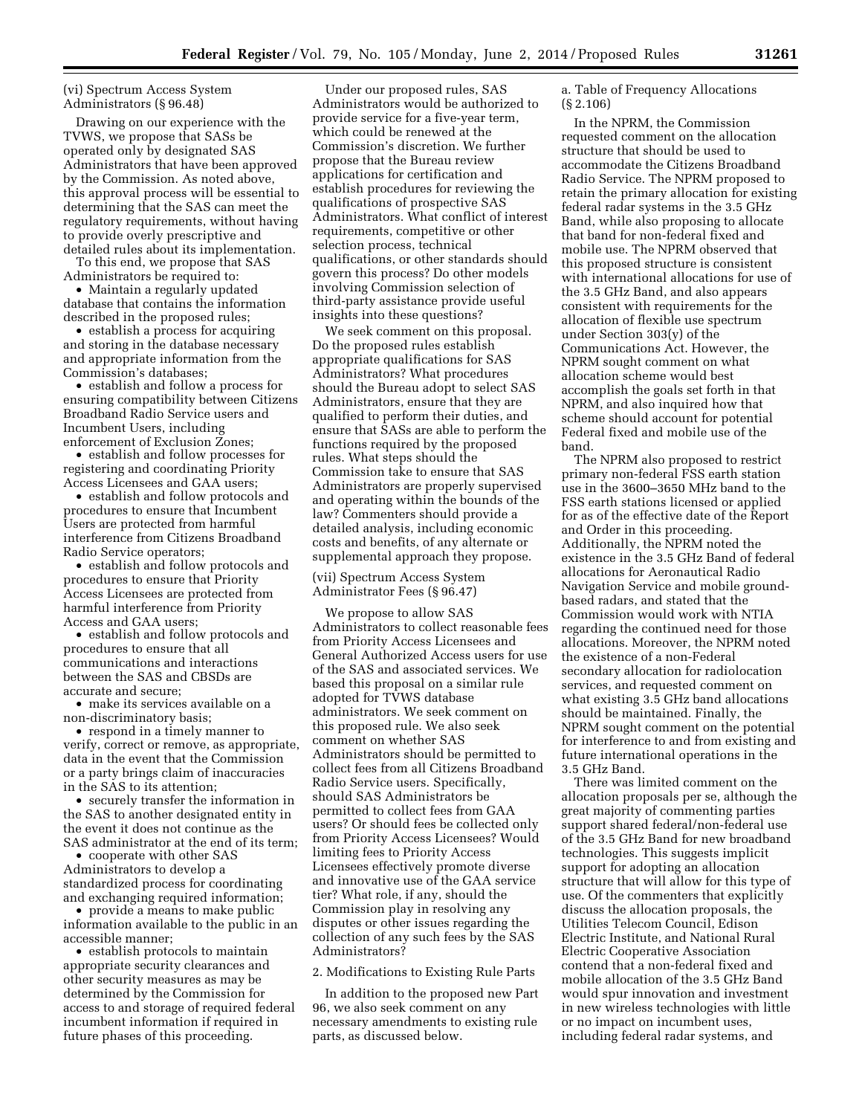# (vi) Spectrum Access System Administrators (§ 96.48)

Drawing on our experience with the TVWS, we propose that SASs be operated only by designated SAS Administrators that have been approved by the Commission. As noted above, this approval process will be essential to determining that the SAS can meet the regulatory requirements, without having to provide overly prescriptive and detailed rules about its implementation.

To this end, we propose that SAS Administrators be required to:

• Maintain a regularly updated database that contains the information described in the proposed rules;

• establish a process for acquiring and storing in the database necessary and appropriate information from the Commission's databases;

• establish and follow a process for ensuring compatibility between Citizens Broadband Radio Service users and Incumbent Users, including enforcement of Exclusion Zones;

• establish and follow processes for registering and coordinating Priority Access Licensees and GAA users;

• establish and follow protocols and procedures to ensure that Incumbent Users are protected from harmful interference from Citizens Broadband Radio Service operators;

• establish and follow protocols and procedures to ensure that Priority Access Licensees are protected from harmful interference from Priority Access and GAA users;

• establish and follow protocols and procedures to ensure that all communications and interactions between the SAS and CBSDs are accurate and secure;

• make its services available on a non-discriminatory basis;

• respond in a timely manner to verify, correct or remove, as appropriate, data in the event that the Commission or a party brings claim of inaccuracies in the SAS to its attention;

• securely transfer the information in the SAS to another designated entity in the event it does not continue as the SAS administrator at the end of its term;

• cooperate with other SAS Administrators to develop a standardized process for coordinating and exchanging required information;

• provide a means to make public information available to the public in an accessible manner;

• establish protocols to maintain appropriate security clearances and other security measures as may be determined by the Commission for access to and storage of required federal incumbent information if required in future phases of this proceeding.

Under our proposed rules, SAS Administrators would be authorized to provide service for a five-year term, which could be renewed at the Commission's discretion. We further propose that the Bureau review applications for certification and establish procedures for reviewing the qualifications of prospective SAS Administrators. What conflict of interest requirements, competitive or other selection process, technical qualifications, or other standards should govern this process? Do other models involving Commission selection of third-party assistance provide useful insights into these questions?

We seek comment on this proposal. Do the proposed rules establish appropriate qualifications for SAS Administrators? What procedures should the Bureau adopt to select SAS Administrators, ensure that they are qualified to perform their duties, and ensure that SASs are able to perform the functions required by the proposed rules. What steps should the Commission take to ensure that SAS Administrators are properly supervised and operating within the bounds of the law? Commenters should provide a detailed analysis, including economic costs and benefits, of any alternate or supplemental approach they propose.

(vii) Spectrum Access System Administrator Fees (§ 96.47)

We propose to allow SAS Administrators to collect reasonable fees from Priority Access Licensees and General Authorized Access users for use of the SAS and associated services. We based this proposal on a similar rule adopted for TVWS database administrators. We seek comment on this proposed rule. We also seek comment on whether SAS Administrators should be permitted to collect fees from all Citizens Broadband Radio Service users. Specifically, should SAS Administrators be permitted to collect fees from GAA users? Or should fees be collected only from Priority Access Licensees? Would limiting fees to Priority Access Licensees effectively promote diverse and innovative use of the GAA service tier? What role, if any, should the Commission play in resolving any disputes or other issues regarding the collection of any such fees by the SAS Administrators?

2. Modifications to Existing Rule Parts

In addition to the proposed new Part 96, we also seek comment on any necessary amendments to existing rule parts, as discussed below.

a. Table of Frequency Allocations (§ 2.106)

In the NPRM, the Commission requested comment on the allocation structure that should be used to accommodate the Citizens Broadband Radio Service. The NPRM proposed to retain the primary allocation for existing federal radar systems in the 3.5 GHz Band, while also proposing to allocate that band for non-federal fixed and mobile use. The NPRM observed that this proposed structure is consistent with international allocations for use of the 3.5 GHz Band, and also appears consistent with requirements for the allocation of flexible use spectrum under Section 303(y) of the Communications Act. However, the NPRM sought comment on what allocation scheme would best accomplish the goals set forth in that NPRM, and also inquired how that scheme should account for potential Federal fixed and mobile use of the band.

The NPRM also proposed to restrict primary non-federal FSS earth station use in the 3600–3650 MHz band to the FSS earth stations licensed or applied for as of the effective date of the Report and Order in this proceeding. Additionally, the NPRM noted the existence in the 3.5 GHz Band of federal allocations for Aeronautical Radio Navigation Service and mobile groundbased radars, and stated that the Commission would work with NTIA regarding the continued need for those allocations. Moreover, the NPRM noted the existence of a non-Federal secondary allocation for radiolocation services, and requested comment on what existing 3.5 GHz band allocations should be maintained. Finally, the NPRM sought comment on the potential for interference to and from existing and future international operations in the 3.5 GHz Band.

There was limited comment on the allocation proposals per se, although the great majority of commenting parties support shared federal/non-federal use of the 3.5 GHz Band for new broadband technologies. This suggests implicit support for adopting an allocation structure that will allow for this type of use. Of the commenters that explicitly discuss the allocation proposals, the Utilities Telecom Council, Edison Electric Institute, and National Rural Electric Cooperative Association contend that a non-federal fixed and mobile allocation of the 3.5 GHz Band would spur innovation and investment in new wireless technologies with little or no impact on incumbent uses, including federal radar systems, and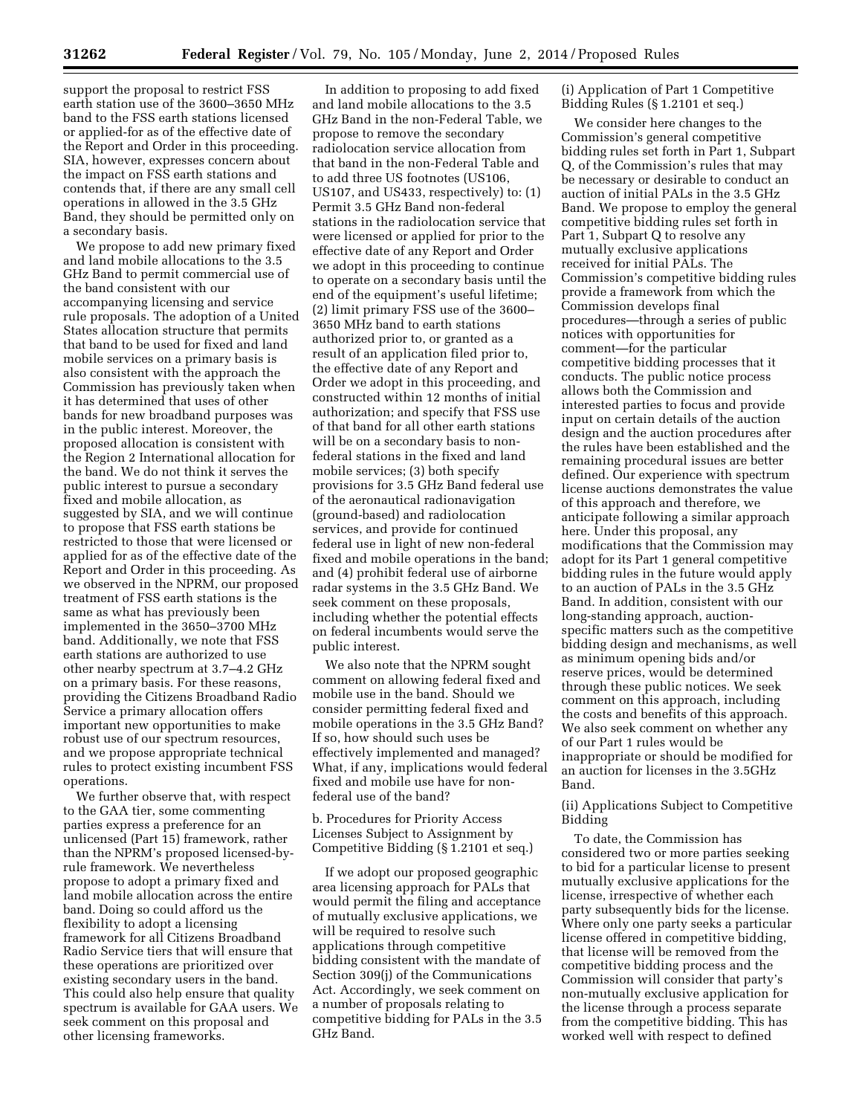support the proposal to restrict FSS earth station use of the 3600–3650 MHz band to the FSS earth stations licensed or applied-for as of the effective date of the Report and Order in this proceeding. SIA, however, expresses concern about the impact on FSS earth stations and contends that, if there are any small cell operations in allowed in the 3.5 GHz Band, they should be permitted only on a secondary basis.

We propose to add new primary fixed and land mobile allocations to the 3.5 GHz Band to permit commercial use of the band consistent with our accompanying licensing and service rule proposals. The adoption of a United States allocation structure that permits that band to be used for fixed and land mobile services on a primary basis is also consistent with the approach the Commission has previously taken when it has determined that uses of other bands for new broadband purposes was in the public interest. Moreover, the proposed allocation is consistent with the Region 2 International allocation for the band. We do not think it serves the public interest to pursue a secondary fixed and mobile allocation, as suggested by SIA, and we will continue to propose that FSS earth stations be restricted to those that were licensed or applied for as of the effective date of the Report and Order in this proceeding. As we observed in the NPRM, our proposed treatment of FSS earth stations is the same as what has previously been implemented in the 3650–3700 MHz band. Additionally, we note that FSS earth stations are authorized to use other nearby spectrum at 3.7–4.2 GHz on a primary basis. For these reasons, providing the Citizens Broadband Radio Service a primary allocation offers important new opportunities to make robust use of our spectrum resources, and we propose appropriate technical rules to protect existing incumbent FSS operations.

We further observe that, with respect to the GAA tier, some commenting parties express a preference for an unlicensed (Part 15) framework, rather than the NPRM's proposed licensed-byrule framework. We nevertheless propose to adopt a primary fixed and land mobile allocation across the entire band. Doing so could afford us the flexibility to adopt a licensing framework for all Citizens Broadband Radio Service tiers that will ensure that these operations are prioritized over existing secondary users in the band. This could also help ensure that quality spectrum is available for GAA users. We seek comment on this proposal and other licensing frameworks.

In addition to proposing to add fixed and land mobile allocations to the 3.5 GHz Band in the non-Federal Table, we propose to remove the secondary radiolocation service allocation from that band in the non-Federal Table and to add three US footnotes (US106, US107, and US433, respectively) to: (1) Permit 3.5 GHz Band non-federal stations in the radiolocation service that were licensed or applied for prior to the effective date of any Report and Order we adopt in this proceeding to continue to operate on a secondary basis until the end of the equipment's useful lifetime; (2) limit primary FSS use of the 3600– 3650 MHz band to earth stations authorized prior to, or granted as a result of an application filed prior to, the effective date of any Report and Order we adopt in this proceeding, and constructed within 12 months of initial authorization; and specify that FSS use of that band for all other earth stations will be on a secondary basis to nonfederal stations in the fixed and land mobile services; (3) both specify provisions for 3.5 GHz Band federal use of the aeronautical radionavigation (ground-based) and radiolocation services, and provide for continued federal use in light of new non-federal fixed and mobile operations in the band; and (4) prohibit federal use of airborne radar systems in the 3.5 GHz Band. We seek comment on these proposals, including whether the potential effects on federal incumbents would serve the public interest.

We also note that the NPRM sought comment on allowing federal fixed and mobile use in the band. Should we consider permitting federal fixed and mobile operations in the 3.5 GHz Band? If so, how should such uses be effectively implemented and managed? What, if any, implications would federal fixed and mobile use have for nonfederal use of the band?

b. Procedures for Priority Access Licenses Subject to Assignment by Competitive Bidding (§ 1.2101 et seq.)

If we adopt our proposed geographic area licensing approach for PALs that would permit the filing and acceptance of mutually exclusive applications, we will be required to resolve such applications through competitive bidding consistent with the mandate of Section 309(j) of the Communications Act. Accordingly, we seek comment on a number of proposals relating to competitive bidding for PALs in the 3.5 GHz Band.

(i) Application of Part 1 Competitive Bidding Rules (§ 1.2101 et seq.)

We consider here changes to the Commission's general competitive bidding rules set forth in Part 1, Subpart Q, of the Commission's rules that may be necessary or desirable to conduct an auction of initial PALs in the 3.5 GHz Band. We propose to employ the general competitive bidding rules set forth in Part 1, Subpart Q to resolve any mutually exclusive applications received for initial PALs. The Commission's competitive bidding rules provide a framework from which the Commission develops final procedures—through a series of public notices with opportunities for comment—for the particular competitive bidding processes that it conducts. The public notice process allows both the Commission and interested parties to focus and provide input on certain details of the auction design and the auction procedures after the rules have been established and the remaining procedural issues are better defined. Our experience with spectrum license auctions demonstrates the value of this approach and therefore, we anticipate following a similar approach here. Under this proposal, any modifications that the Commission may adopt for its Part 1 general competitive bidding rules in the future would apply to an auction of PALs in the 3.5 GHz Band. In addition, consistent with our long-standing approach, auctionspecific matters such as the competitive bidding design and mechanisms, as well as minimum opening bids and/or reserve prices, would be determined through these public notices. We seek comment on this approach, including the costs and benefits of this approach. We also seek comment on whether any of our Part 1 rules would be inappropriate or should be modified for an auction for licenses in the 3.5GHz Band.

# (ii) Applications Subject to Competitive Bidding

To date, the Commission has considered two or more parties seeking to bid for a particular license to present mutually exclusive applications for the license, irrespective of whether each party subsequently bids for the license. Where only one party seeks a particular license offered in competitive bidding, that license will be removed from the competitive bidding process and the Commission will consider that party's non-mutually exclusive application for the license through a process separate from the competitive bidding. This has worked well with respect to defined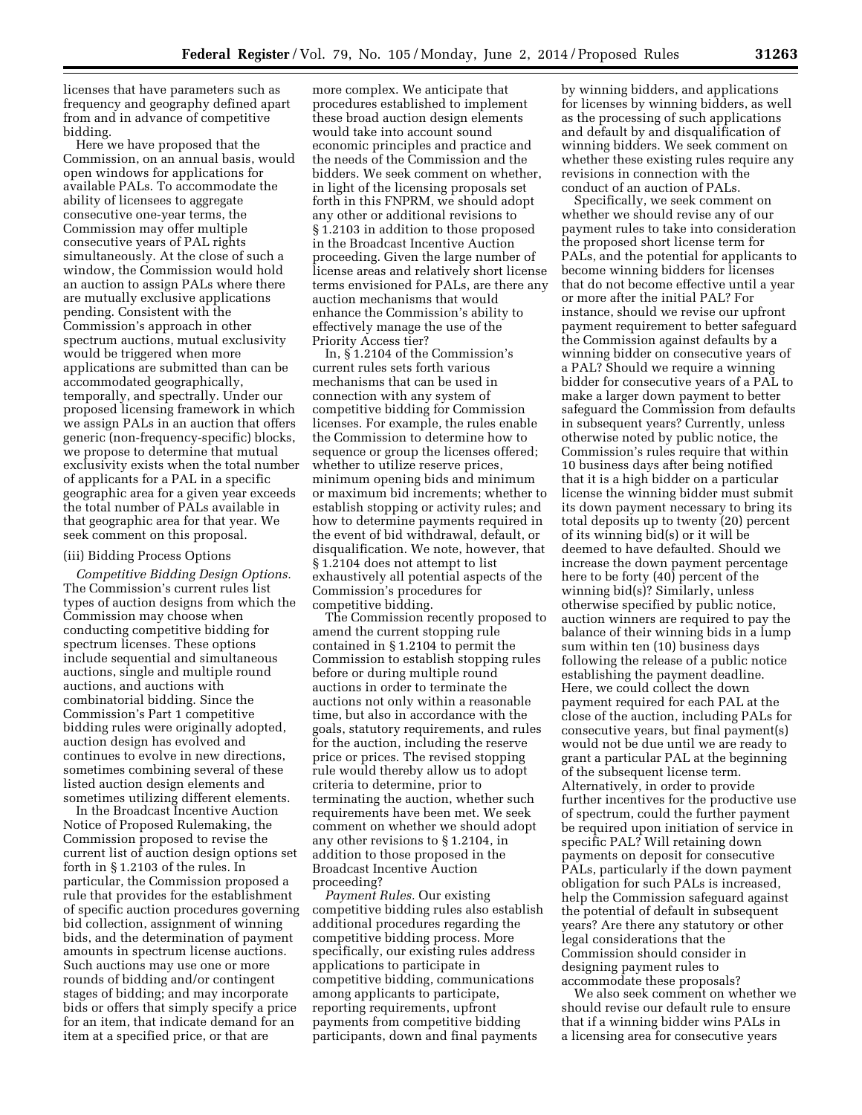licenses that have parameters such as frequency and geography defined apart from and in advance of competitive bidding.

Here we have proposed that the Commission, on an annual basis, would open windows for applications for available PALs. To accommodate the ability of licensees to aggregate consecutive one-year terms, the Commission may offer multiple consecutive years of PAL rights simultaneously. At the close of such a window, the Commission would hold an auction to assign PALs where there are mutually exclusive applications pending. Consistent with the Commission's approach in other spectrum auctions, mutual exclusivity would be triggered when more applications are submitted than can be accommodated geographically, temporally, and spectrally. Under our proposed licensing framework in which we assign PALs in an auction that offers generic (non-frequency-specific) blocks, we propose to determine that mutual exclusivity exists when the total number of applicants for a PAL in a specific geographic area for a given year exceeds the total number of PALs available in that geographic area for that year. We seek comment on this proposal.

## (iii) Bidding Process Options

*Competitive Bidding Design Options.*  The Commission's current rules list types of auction designs from which the Commission may choose when conducting competitive bidding for spectrum licenses. These options include sequential and simultaneous auctions, single and multiple round auctions, and auctions with combinatorial bidding. Since the Commission's Part 1 competitive bidding rules were originally adopted, auction design has evolved and continues to evolve in new directions, sometimes combining several of these listed auction design elements and sometimes utilizing different elements.

In the Broadcast Incentive Auction Notice of Proposed Rulemaking, the Commission proposed to revise the current list of auction design options set forth in § 1.2103 of the rules. In particular, the Commission proposed a rule that provides for the establishment of specific auction procedures governing bid collection, assignment of winning bids, and the determination of payment amounts in spectrum license auctions. Such auctions may use one or more rounds of bidding and/or contingent stages of bidding; and may incorporate bids or offers that simply specify a price for an item, that indicate demand for an item at a specified price, or that are

more complex. We anticipate that procedures established to implement these broad auction design elements would take into account sound economic principles and practice and the needs of the Commission and the bidders. We seek comment on whether, in light of the licensing proposals set forth in this FNPRM, we should adopt any other or additional revisions to § 1.2103 in addition to those proposed in the Broadcast Incentive Auction proceeding. Given the large number of license areas and relatively short license terms envisioned for PALs, are there any auction mechanisms that would enhance the Commission's ability to effectively manage the use of the Priority Access tier?

In, § 1.2104 of the Commission's current rules sets forth various mechanisms that can be used in connection with any system of competitive bidding for Commission licenses. For example, the rules enable the Commission to determine how to sequence or group the licenses offered; whether to utilize reserve prices, minimum opening bids and minimum or maximum bid increments; whether to establish stopping or activity rules; and how to determine payments required in the event of bid withdrawal, default, or disqualification. We note, however, that § 1.2104 does not attempt to list exhaustively all potential aspects of the Commission's procedures for competitive bidding.

The Commission recently proposed to amend the current stopping rule contained in § 1.2104 to permit the Commission to establish stopping rules before or during multiple round auctions in order to terminate the auctions not only within a reasonable time, but also in accordance with the goals, statutory requirements, and rules for the auction, including the reserve price or prices. The revised stopping rule would thereby allow us to adopt criteria to determine, prior to terminating the auction, whether such requirements have been met. We seek comment on whether we should adopt any other revisions to § 1.2104, in addition to those proposed in the Broadcast Incentive Auction proceeding?

*Payment Rules.* Our existing competitive bidding rules also establish additional procedures regarding the competitive bidding process. More specifically, our existing rules address applications to participate in competitive bidding, communications among applicants to participate, reporting requirements, upfront payments from competitive bidding participants, down and final payments

by winning bidders, and applications for licenses by winning bidders, as well as the processing of such applications and default by and disqualification of winning bidders. We seek comment on whether these existing rules require any revisions in connection with the conduct of an auction of PALs.

Specifically, we seek comment on whether we should revise any of our payment rules to take into consideration the proposed short license term for PALs, and the potential for applicants to become winning bidders for licenses that do not become effective until a year or more after the initial PAL? For instance, should we revise our upfront payment requirement to better safeguard the Commission against defaults by a winning bidder on consecutive years of a PAL? Should we require a winning bidder for consecutive years of a PAL to make a larger down payment to better safeguard the Commission from defaults in subsequent years? Currently, unless otherwise noted by public notice, the Commission's rules require that within 10 business days after being notified that it is a high bidder on a particular license the winning bidder must submit its down payment necessary to bring its total deposits up to twenty (20) percent of its winning bid(s) or it will be deemed to have defaulted. Should we increase the down payment percentage here to be forty (40) percent of the winning bid(s)? Similarly, unless otherwise specified by public notice, auction winners are required to pay the balance of their winning bids in a lump sum within ten (10) business days following the release of a public notice establishing the payment deadline. Here, we could collect the down payment required for each PAL at the close of the auction, including PALs for consecutive years, but final payment(s) would not be due until we are ready to grant a particular PAL at the beginning of the subsequent license term. Alternatively, in order to provide further incentives for the productive use of spectrum, could the further payment be required upon initiation of service in specific PAL? Will retaining down payments on deposit for consecutive PALs, particularly if the down payment obligation for such PALs is increased, help the Commission safeguard against the potential of default in subsequent years? Are there any statutory or other legal considerations that the Commission should consider in designing payment rules to accommodate these proposals?

We also seek comment on whether we should revise our default rule to ensure that if a winning bidder wins PALs in a licensing area for consecutive years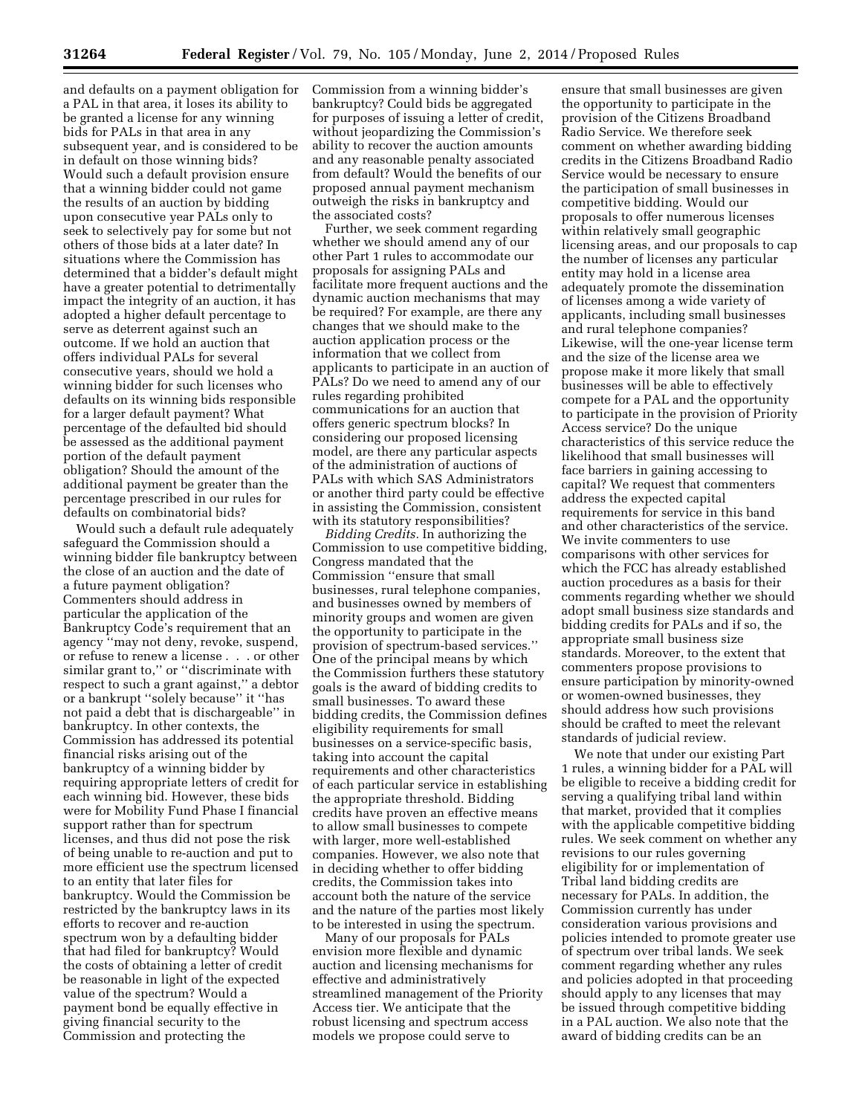and defaults on a payment obligation for a PAL in that area, it loses its ability to be granted a license for any winning bids for PALs in that area in any subsequent year, and is considered to be in default on those winning bids? Would such a default provision ensure that a winning bidder could not game the results of an auction by bidding upon consecutive year PALs only to seek to selectively pay for some but not others of those bids at a later date? In situations where the Commission has determined that a bidder's default might have a greater potential to detrimentally impact the integrity of an auction, it has adopted a higher default percentage to serve as deterrent against such an outcome. If we hold an auction that offers individual PALs for several consecutive years, should we hold a winning bidder for such licenses who defaults on its winning bids responsible for a larger default payment? What percentage of the defaulted bid should be assessed as the additional payment portion of the default payment obligation? Should the amount of the additional payment be greater than the percentage prescribed in our rules for defaults on combinatorial bids?

Would such a default rule adequately safeguard the Commission should a winning bidder file bankruptcy between the close of an auction and the date of a future payment obligation? Commenters should address in particular the application of the Bankruptcy Code's requirement that an agency ''may not deny, revoke, suspend, or refuse to renew a license . . . or other similar grant to,'' or ''discriminate with respect to such a grant against,'' a debtor or a bankrupt ''solely because'' it ''has not paid a debt that is dischargeable'' in bankruptcy. In other contexts, the Commission has addressed its potential financial risks arising out of the bankruptcy of a winning bidder by requiring appropriate letters of credit for each winning bid. However, these bids were for Mobility Fund Phase I financial support rather than for spectrum licenses, and thus did not pose the risk of being unable to re-auction and put to more efficient use the spectrum licensed to an entity that later files for bankruptcy. Would the Commission be restricted by the bankruptcy laws in its efforts to recover and re-auction spectrum won by a defaulting bidder that had filed for bankruptcy? Would the costs of obtaining a letter of credit be reasonable in light of the expected value of the spectrum? Would a payment bond be equally effective in giving financial security to the Commission and protecting the

Commission from a winning bidder's bankruptcy? Could bids be aggregated for purposes of issuing a letter of credit, without jeopardizing the Commission's ability to recover the auction amounts and any reasonable penalty associated from default? Would the benefits of our proposed annual payment mechanism outweigh the risks in bankruptcy and the associated costs?

Further, we seek comment regarding whether we should amend any of our other Part 1 rules to accommodate our proposals for assigning PALs and facilitate more frequent auctions and the dynamic auction mechanisms that may be required? For example, are there any changes that we should make to the auction application process or the information that we collect from applicants to participate in an auction of PALs? Do we need to amend any of our rules regarding prohibited communications for an auction that offers generic spectrum blocks? In considering our proposed licensing model, are there any particular aspects of the administration of auctions of PALs with which SAS Administrators or another third party could be effective in assisting the Commission, consistent with its statutory responsibilities?

*Bidding Credits.* In authorizing the Commission to use competitive bidding, Congress mandated that the Commission ''ensure that small businesses, rural telephone companies, and businesses owned by members of minority groups and women are given the opportunity to participate in the provision of spectrum-based services.'' One of the principal means by which the Commission furthers these statutory goals is the award of bidding credits to small businesses. To award these bidding credits, the Commission defines eligibility requirements for small businesses on a service-specific basis, taking into account the capital requirements and other characteristics of each particular service in establishing the appropriate threshold. Bidding credits have proven an effective means to allow small businesses to compete with larger, more well-established companies. However, we also note that in deciding whether to offer bidding credits, the Commission takes into account both the nature of the service and the nature of the parties most likely to be interested in using the spectrum.

Many of our proposals for PALs envision more flexible and dynamic auction and licensing mechanisms for effective and administratively streamlined management of the Priority Access tier. We anticipate that the robust licensing and spectrum access models we propose could serve to

ensure that small businesses are given the opportunity to participate in the provision of the Citizens Broadband Radio Service. We therefore seek comment on whether awarding bidding credits in the Citizens Broadband Radio Service would be necessary to ensure the participation of small businesses in competitive bidding. Would our proposals to offer numerous licenses within relatively small geographic licensing areas, and our proposals to cap the number of licenses any particular entity may hold in a license area adequately promote the dissemination of licenses among a wide variety of applicants, including small businesses and rural telephone companies? Likewise, will the one-year license term and the size of the license area we propose make it more likely that small businesses will be able to effectively compete for a PAL and the opportunity to participate in the provision of Priority Access service? Do the unique characteristics of this service reduce the likelihood that small businesses will face barriers in gaining accessing to capital? We request that commenters address the expected capital requirements for service in this band and other characteristics of the service. We invite commenters to use comparisons with other services for which the FCC has already established auction procedures as a basis for their comments regarding whether we should adopt small business size standards and bidding credits for PALs and if so, the appropriate small business size standards. Moreover, to the extent that commenters propose provisions to ensure participation by minority-owned or women-owned businesses, they should address how such provisions should be crafted to meet the relevant standards of judicial review.

We note that under our existing Part 1 rules, a winning bidder for a PAL will be eligible to receive a bidding credit for serving a qualifying tribal land within that market, provided that it complies with the applicable competitive bidding rules. We seek comment on whether any revisions to our rules governing eligibility for or implementation of Tribal land bidding credits are necessary for PALs. In addition, the Commission currently has under consideration various provisions and policies intended to promote greater use of spectrum over tribal lands. We seek comment regarding whether any rules and policies adopted in that proceeding should apply to any licenses that may be issued through competitive bidding in a PAL auction. We also note that the award of bidding credits can be an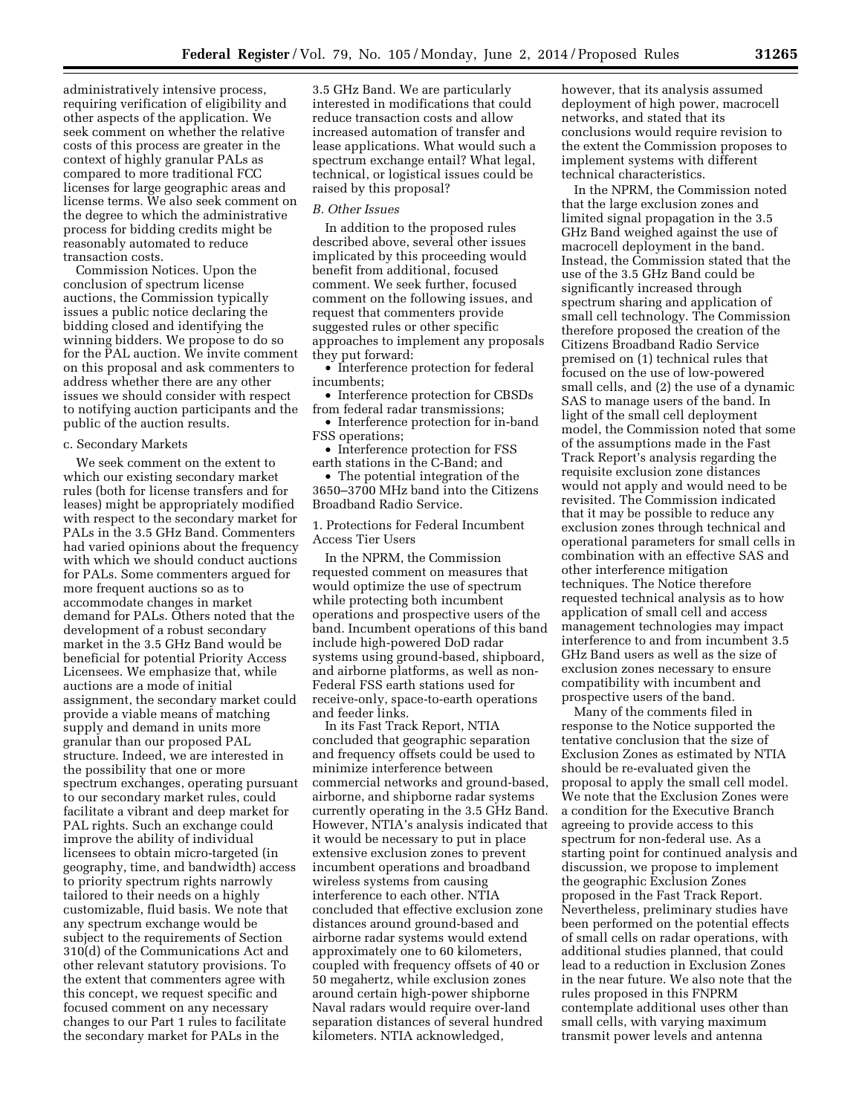administratively intensive process, requiring verification of eligibility and other aspects of the application. We seek comment on whether the relative costs of this process are greater in the context of highly granular PALs as compared to more traditional FCC licenses for large geographic areas and license terms. We also seek comment on the degree to which the administrative process for bidding credits might be reasonably automated to reduce transaction costs.

Commission Notices. Upon the conclusion of spectrum license auctions, the Commission typically issues a public notice declaring the bidding closed and identifying the winning bidders. We propose to do so for the PAL auction. We invite comment on this proposal and ask commenters to address whether there are any other issues we should consider with respect to notifying auction participants and the public of the auction results.

#### c. Secondary Markets

We seek comment on the extent to which our existing secondary market rules (both for license transfers and for leases) might be appropriately modified with respect to the secondary market for PALs in the 3.5 GHz Band. Commenters had varied opinions about the frequency with which we should conduct auctions for PALs. Some commenters argued for more frequent auctions so as to accommodate changes in market demand for PALs. Others noted that the development of a robust secondary market in the 3.5 GHz Band would be beneficial for potential Priority Access Licensees. We emphasize that, while auctions are a mode of initial assignment, the secondary market could provide a viable means of matching supply and demand in units more granular than our proposed PAL structure. Indeed, we are interested in the possibility that one or more spectrum exchanges, operating pursuant to our secondary market rules, could facilitate a vibrant and deep market for PAL rights. Such an exchange could improve the ability of individual licensees to obtain micro-targeted (in geography, time, and bandwidth) access to priority spectrum rights narrowly tailored to their needs on a highly customizable, fluid basis. We note that any spectrum exchange would be subject to the requirements of Section 310(d) of the Communications Act and other relevant statutory provisions. To the extent that commenters agree with this concept, we request specific and focused comment on any necessary changes to our Part 1 rules to facilitate the secondary market for PALs in the

3.5 GHz Band. We are particularly interested in modifications that could reduce transaction costs and allow increased automation of transfer and lease applications. What would such a spectrum exchange entail? What legal, technical, or logistical issues could be raised by this proposal?

## *B. Other Issues*

In addition to the proposed rules described above, several other issues implicated by this proceeding would benefit from additional, focused comment. We seek further, focused comment on the following issues, and request that commenters provide suggested rules or other specific approaches to implement any proposals they put forward:

• Interference protection for federal incumbents;

• Interference protection for CBSDs from federal radar transmissions;

• Interference protection for in-band FSS operations;

• Interference protection for FSS earth stations in the C-Band; and

• The potential integration of the 3650–3700 MHz band into the Citizens Broadband Radio Service.

1. Protections for Federal Incumbent Access Tier Users

In the NPRM, the Commission requested comment on measures that would optimize the use of spectrum while protecting both incumbent operations and prospective users of the band. Incumbent operations of this band include high-powered DoD radar systems using ground-based, shipboard, and airborne platforms, as well as non-Federal FSS earth stations used for receive-only, space-to-earth operations and feeder links.

In its Fast Track Report, NTIA concluded that geographic separation and frequency offsets could be used to minimize interference between commercial networks and ground-based, airborne, and shipborne radar systems currently operating in the 3.5 GHz Band. However, NTIA's analysis indicated that it would be necessary to put in place extensive exclusion zones to prevent incumbent operations and broadband wireless systems from causing interference to each other. NTIA concluded that effective exclusion zone distances around ground-based and airborne radar systems would extend approximately one to 60 kilometers, coupled with frequency offsets of 40 or 50 megahertz, while exclusion zones around certain high-power shipborne Naval radars would require over-land separation distances of several hundred kilometers. NTIA acknowledged,

however, that its analysis assumed deployment of high power, macrocell networks, and stated that its conclusions would require revision to the extent the Commission proposes to implement systems with different technical characteristics.

In the NPRM, the Commission noted that the large exclusion zones and limited signal propagation in the 3.5 GHz Band weighed against the use of macrocell deployment in the band. Instead, the Commission stated that the use of the 3.5 GHz Band could be significantly increased through spectrum sharing and application of small cell technology. The Commission therefore proposed the creation of the Citizens Broadband Radio Service premised on (1) technical rules that focused on the use of low-powered small cells, and (2) the use of a dynamic SAS to manage users of the band. In light of the small cell deployment model, the Commission noted that some of the assumptions made in the Fast Track Report's analysis regarding the requisite exclusion zone distances would not apply and would need to be revisited. The Commission indicated that it may be possible to reduce any exclusion zones through technical and operational parameters for small cells in combination with an effective SAS and other interference mitigation techniques. The Notice therefore requested technical analysis as to how application of small cell and access management technologies may impact interference to and from incumbent 3.5 GHz Band users as well as the size of exclusion zones necessary to ensure compatibility with incumbent and prospective users of the band.

Many of the comments filed in response to the Notice supported the tentative conclusion that the size of Exclusion Zones as estimated by NTIA should be re-evaluated given the proposal to apply the small cell model. We note that the Exclusion Zones were a condition for the Executive Branch agreeing to provide access to this spectrum for non-federal use. As a starting point for continued analysis and discussion, we propose to implement the geographic Exclusion Zones proposed in the Fast Track Report. Nevertheless, preliminary studies have been performed on the potential effects of small cells on radar operations, with additional studies planned, that could lead to a reduction in Exclusion Zones in the near future. We also note that the rules proposed in this FNPRM contemplate additional uses other than small cells, with varying maximum transmit power levels and antenna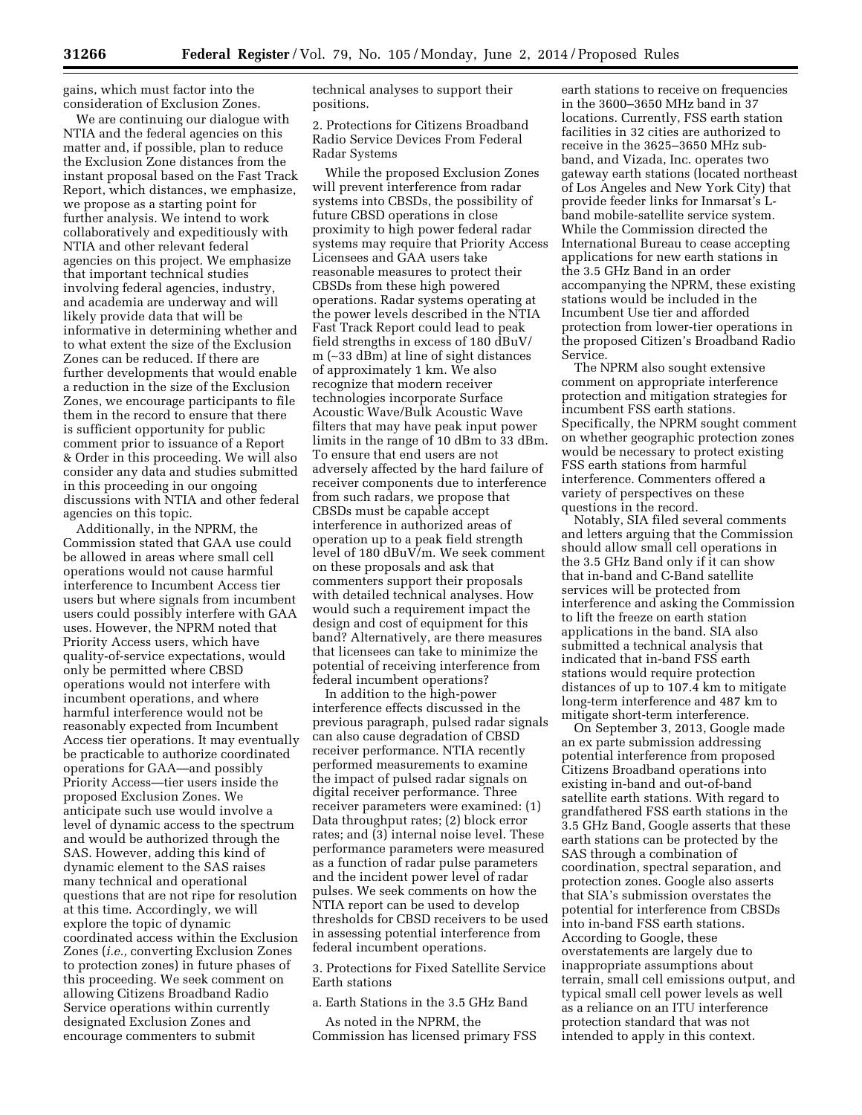gains, which must factor into the consideration of Exclusion Zones.

We are continuing our dialogue with NTIA and the federal agencies on this matter and, if possible, plan to reduce the Exclusion Zone distances from the instant proposal based on the Fast Track Report, which distances, we emphasize, we propose as a starting point for further analysis. We intend to work collaboratively and expeditiously with NTIA and other relevant federal agencies on this project. We emphasize that important technical studies involving federal agencies, industry, and academia are underway and will likely provide data that will be informative in determining whether and to what extent the size of the Exclusion Zones can be reduced. If there are further developments that would enable a reduction in the size of the Exclusion Zones, we encourage participants to file them in the record to ensure that there is sufficient opportunity for public comment prior to issuance of a Report & Order in this proceeding. We will also consider any data and studies submitted in this proceeding in our ongoing discussions with NTIA and other federal agencies on this topic.

Additionally, in the NPRM, the Commission stated that GAA use could be allowed in areas where small cell operations would not cause harmful interference to Incumbent Access tier users but where signals from incumbent users could possibly interfere with GAA uses. However, the NPRM noted that Priority Access users, which have quality-of-service expectations, would only be permitted where CBSD operations would not interfere with incumbent operations, and where harmful interference would not be reasonably expected from Incumbent Access tier operations. It may eventually be practicable to authorize coordinated operations for GAA—and possibly Priority Access—tier users inside the proposed Exclusion Zones. We anticipate such use would involve a level of dynamic access to the spectrum and would be authorized through the SAS. However, adding this kind of dynamic element to the SAS raises many technical and operational questions that are not ripe for resolution at this time. Accordingly, we will explore the topic of dynamic coordinated access within the Exclusion Zones (*i.e.,* converting Exclusion Zones to protection zones) in future phases of this proceeding. We seek comment on allowing Citizens Broadband Radio Service operations within currently designated Exclusion Zones and encourage commenters to submit

technical analyses to support their positions.

2. Protections for Citizens Broadband Radio Service Devices From Federal Radar Systems

While the proposed Exclusion Zones will prevent interference from radar systems into CBSDs, the possibility of future CBSD operations in close proximity to high power federal radar systems may require that Priority Access Licensees and GAA users take reasonable measures to protect their CBSDs from these high powered operations. Radar systems operating at the power levels described in the NTIA Fast Track Report could lead to peak field strengths in excess of 180 dBuV/ m (∼33 dBm) at line of sight distances of approximately 1 km. We also recognize that modern receiver technologies incorporate Surface Acoustic Wave/Bulk Acoustic Wave filters that may have peak input power limits in the range of 10 dBm to 33 dBm. To ensure that end users are not adversely affected by the hard failure of receiver components due to interference from such radars, we propose that CBSDs must be capable accept interference in authorized areas of operation up to a peak field strength level of 180 dBuV/m. We seek comment on these proposals and ask that commenters support their proposals with detailed technical analyses. How would such a requirement impact the design and cost of equipment for this band? Alternatively, are there measures that licensees can take to minimize the potential of receiving interference from federal incumbent operations?

In addition to the high-power interference effects discussed in the previous paragraph, pulsed radar signals can also cause degradation of CBSD receiver performance. NTIA recently performed measurements to examine the impact of pulsed radar signals on digital receiver performance. Three receiver parameters were examined: (1) Data throughput rates; (2) block error rates; and (3) internal noise level. These performance parameters were measured as a function of radar pulse parameters and the incident power level of radar pulses. We seek comments on how the NTIA report can be used to develop thresholds for CBSD receivers to be used in assessing potential interference from federal incumbent operations.

3. Protections for Fixed Satellite Service Earth stations

a. Earth Stations in the 3.5 GHz Band

As noted in the NPRM, the Commission has licensed primary FSS

earth stations to receive on frequencies in the 3600–3650 MHz band in 37 locations. Currently, FSS earth station facilities in 32 cities are authorized to receive in the 3625–3650 MHz subband, and Vizada, Inc. operates two gateway earth stations (located northeast of Los Angeles and New York City) that provide feeder links for Inmarsat's Lband mobile-satellite service system. While the Commission directed the International Bureau to cease accepting applications for new earth stations in the 3.5 GHz Band in an order accompanying the NPRM, these existing stations would be included in the Incumbent Use tier and afforded protection from lower-tier operations in the proposed Citizen's Broadband Radio Service.

The NPRM also sought extensive comment on appropriate interference protection and mitigation strategies for incumbent FSS earth stations. Specifically, the NPRM sought comment on whether geographic protection zones would be necessary to protect existing FSS earth stations from harmful interference. Commenters offered a variety of perspectives on these questions in the record.

Notably, SIA filed several comments and letters arguing that the Commission should allow small cell operations in the 3.5 GHz Band only if it can show that in-band and C-Band satellite services will be protected from interference and asking the Commission to lift the freeze on earth station applications in the band. SIA also submitted a technical analysis that indicated that in-band FSS earth stations would require protection distances of up to 107.4 km to mitigate long-term interference and 487 km to mitigate short-term interference.

On September 3, 2013, Google made an ex parte submission addressing potential interference from proposed Citizens Broadband operations into existing in-band and out-of-band satellite earth stations. With regard to grandfathered FSS earth stations in the 3.5 GHz Band, Google asserts that these earth stations can be protected by the SAS through a combination of coordination, spectral separation, and protection zones. Google also asserts that SIA's submission overstates the potential for interference from CBSDs into in-band FSS earth stations. According to Google, these overstatements are largely due to inappropriate assumptions about terrain, small cell emissions output, and typical small cell power levels as well as a reliance on an ITU interference protection standard that was not intended to apply in this context.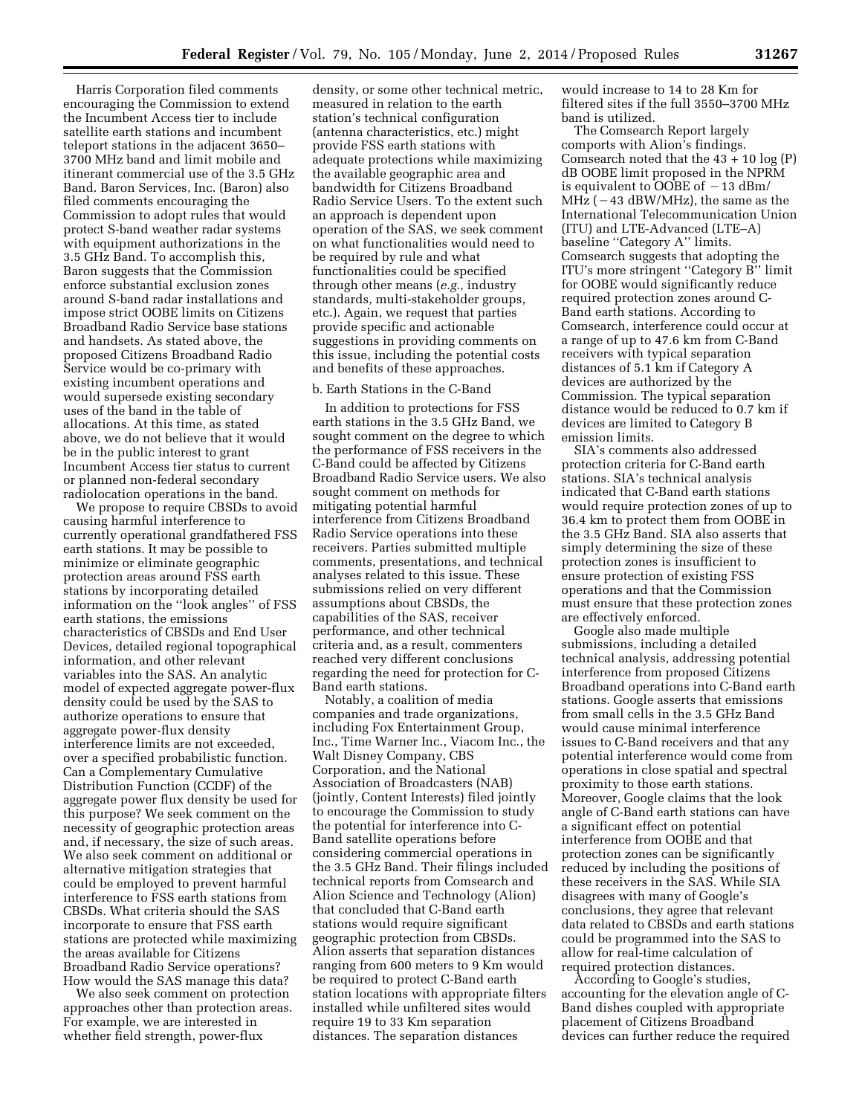Harris Corporation filed comments encouraging the Commission to extend the Incumbent Access tier to include satellite earth stations and incumbent teleport stations in the adjacent 3650– 3700 MHz band and limit mobile and itinerant commercial use of the 3.5 GHz Band. Baron Services, Inc. (Baron) also filed comments encouraging the Commission to adopt rules that would protect S-band weather radar systems with equipment authorizations in the 3.5 GHz Band. To accomplish this, Baron suggests that the Commission enforce substantial exclusion zones around S-band radar installations and impose strict OOBE limits on Citizens Broadband Radio Service base stations and handsets. As stated above, the proposed Citizens Broadband Radio Service would be co-primary with existing incumbent operations and would supersede existing secondary uses of the band in the table of allocations. At this time, as stated above, we do not believe that it would be in the public interest to grant Incumbent Access tier status to current or planned non-federal secondary radiolocation operations in the band.

We propose to require CBSDs to avoid causing harmful interference to currently operational grandfathered FSS earth stations. It may be possible to minimize or eliminate geographic protection areas around FSS earth stations by incorporating detailed information on the ''look angles'' of FSS earth stations, the emissions characteristics of CBSDs and End User Devices, detailed regional topographical information, and other relevant variables into the SAS. An analytic model of expected aggregate power-flux density could be used by the SAS to authorize operations to ensure that aggregate power-flux density interference limits are not exceeded, over a specified probabilistic function. Can a Complementary Cumulative Distribution Function (CCDF) of the aggregate power flux density be used for this purpose? We seek comment on the necessity of geographic protection areas and, if necessary, the size of such areas. We also seek comment on additional or alternative mitigation strategies that could be employed to prevent harmful interference to FSS earth stations from CBSDs. What criteria should the SAS incorporate to ensure that FSS earth stations are protected while maximizing the areas available for Citizens Broadband Radio Service operations? How would the SAS manage this data?

We also seek comment on protection approaches other than protection areas. For example, we are interested in whether field strength, power-flux

density, or some other technical metric, measured in relation to the earth station's technical configuration (antenna characteristics, etc.) might provide FSS earth stations with adequate protections while maximizing the available geographic area and bandwidth for Citizens Broadband Radio Service Users. To the extent such an approach is dependent upon operation of the SAS, we seek comment on what functionalities would need to be required by rule and what functionalities could be specified through other means (*e.g.,* industry standards, multi-stakeholder groups, etc.). Again, we request that parties provide specific and actionable suggestions in providing comments on this issue, including the potential costs and benefits of these approaches.

## b. Earth Stations in the C-Band

In addition to protections for FSS earth stations in the 3.5 GHz Band, we sought comment on the degree to which the performance of FSS receivers in the C-Band could be affected by Citizens Broadband Radio Service users. We also sought comment on methods for mitigating potential harmful interference from Citizens Broadband Radio Service operations into these receivers. Parties submitted multiple comments, presentations, and technical analyses related to this issue. These submissions relied on very different assumptions about CBSDs, the capabilities of the SAS, receiver performance, and other technical criteria and, as a result, commenters reached very different conclusions regarding the need for protection for C-Band earth stations.

Notably, a coalition of media companies and trade organizations, including Fox Entertainment Group, Inc., Time Warner Inc., Viacom Inc., the Walt Disney Company, CBS Corporation, and the National Association of Broadcasters (NAB) (jointly, Content Interests) filed jointly to encourage the Commission to study the potential for interference into C-Band satellite operations before considering commercial operations in the 3.5 GHz Band. Their filings included technical reports from Comsearch and Alion Science and Technology (Alion) that concluded that C-Band earth stations would require significant geographic protection from CBSDs. Alion asserts that separation distances ranging from 600 meters to 9 Km would be required to protect C-Band earth station locations with appropriate filters installed while unfiltered sites would require 19 to 33 Km separation distances. The separation distances

would increase to 14 to 28 Km for filtered sites if the full 3550–3700 MHz band is utilized.

The Comsearch Report largely comports with Alion's findings. Comsearch noted that the  $43 + 10 \log(P)$ dB OOBE limit proposed in the NPRM is equivalent to OOBE of  $-13$  dBm/  $MHz$  ( $-43$  dBW/MHz), the same as the International Telecommunication Union (ITU) and LTE-Advanced (LTE–A) baseline "Category A" limits. Comsearch suggests that adopting the ITU's more stringent ''Category B'' limit for OOBE would significantly reduce required protection zones around C-Band earth stations. According to Comsearch, interference could occur at a range of up to 47.6 km from C-Band receivers with typical separation distances of 5.1 km if Category A devices are authorized by the Commission. The typical separation distance would be reduced to 0.7 km if devices are limited to Category B emission limits.

SIA's comments also addressed protection criteria for C-Band earth stations. SIA's technical analysis indicated that C-Band earth stations would require protection zones of up to 36.4 km to protect them from OOBE in the 3.5 GHz Band. SIA also asserts that simply determining the size of these protection zones is insufficient to ensure protection of existing FSS operations and that the Commission must ensure that these protection zones are effectively enforced.

Google also made multiple submissions, including a detailed technical analysis, addressing potential interference from proposed Citizens Broadband operations into C-Band earth stations. Google asserts that emissions from small cells in the 3.5 GHz Band would cause minimal interference issues to C-Band receivers and that any potential interference would come from operations in close spatial and spectral proximity to those earth stations. Moreover, Google claims that the look angle of C-Band earth stations can have a significant effect on potential interference from OOBE and that protection zones can be significantly reduced by including the positions of these receivers in the SAS. While SIA disagrees with many of Google's conclusions, they agree that relevant data related to CBSDs and earth stations could be programmed into the SAS to allow for real-time calculation of required protection distances.

According to Google's studies, accounting for the elevation angle of C-Band dishes coupled with appropriate placement of Citizens Broadband devices can further reduce the required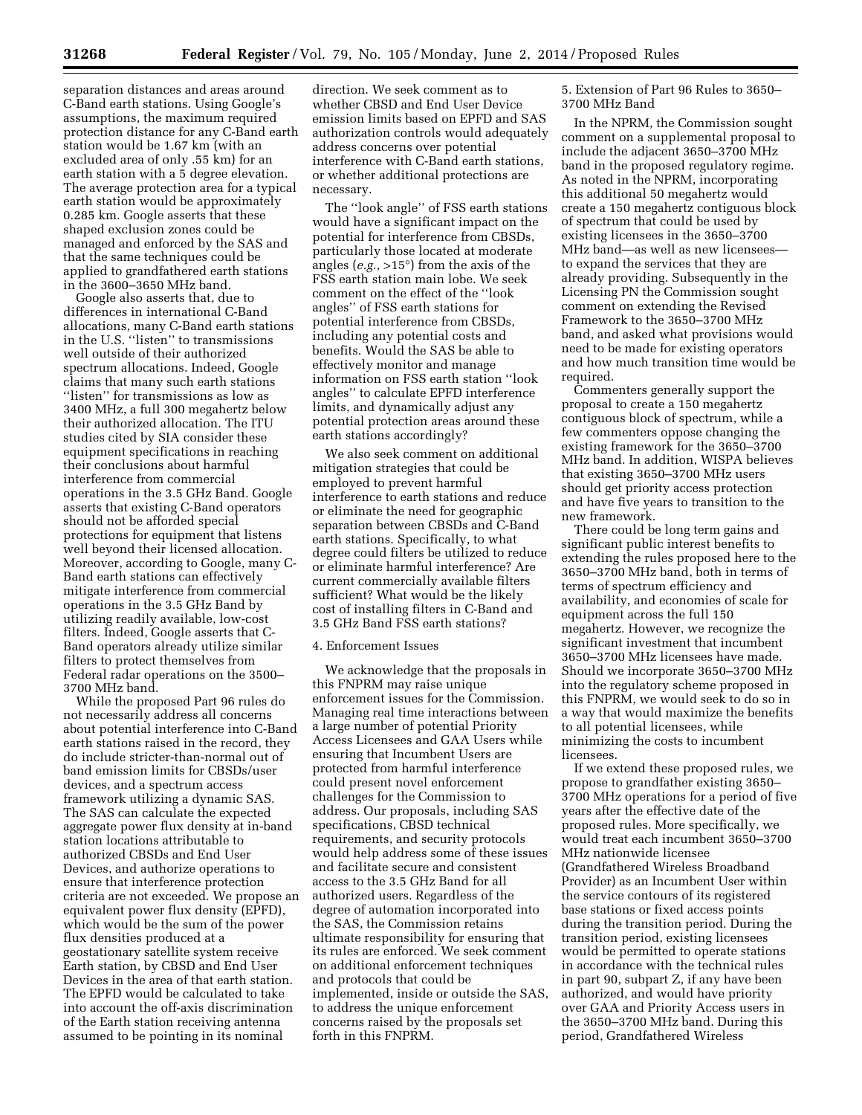separation distances and areas around C-Band earth stations. Using Google's assumptions, the maximum required protection distance for any C-Band earth station would be 1.67 km (with an excluded area of only .55 km) for an earth station with a 5 degree elevation. The average protection area for a typical earth station would be approximately 0.285 km. Google asserts that these shaped exclusion zones could be managed and enforced by the SAS and that the same techniques could be applied to grandfathered earth stations in the 3600–3650 MHz band.

Google also asserts that, due to differences in international C-Band allocations, many C-Band earth stations in the U.S. ''listen'' to transmissions well outside of their authorized spectrum allocations. Indeed, Google claims that many such earth stations ''listen'' for transmissions as low as 3400 MHz, a full 300 megahertz below their authorized allocation. The ITU studies cited by SIA consider these equipment specifications in reaching their conclusions about harmful interference from commercial operations in the 3.5 GHz Band. Google asserts that existing C-Band operators should not be afforded special protections for equipment that listens well beyond their licensed allocation. Moreover, according to Google, many C-Band earth stations can effectively mitigate interference from commercial operations in the 3.5 GHz Band by utilizing readily available, low-cost filters. Indeed, Google asserts that C-Band operators already utilize similar filters to protect themselves from Federal radar operations on the 3500– 3700 MHz band.

While the proposed Part 96 rules do not necessarily address all concerns about potential interference into C-Band earth stations raised in the record, they do include stricter-than-normal out of band emission limits for CBSDs/user devices, and a spectrum access framework utilizing a dynamic SAS. The SAS can calculate the expected aggregate power flux density at in-band station locations attributable to authorized CBSDs and End User Devices, and authorize operations to ensure that interference protection criteria are not exceeded. We propose an equivalent power flux density (EPFD), which would be the sum of the power flux densities produced at a geostationary satellite system receive Earth station, by CBSD and End User Devices in the area of that earth station. The EPFD would be calculated to take into account the off-axis discrimination of the Earth station receiving antenna assumed to be pointing in its nominal

direction. We seek comment as to whether CBSD and End User Device emission limits based on EPFD and SAS authorization controls would adequately address concerns over potential interference with C-Band earth stations, or whether additional protections are necessary.

The ''look angle'' of FSS earth stations would have a significant impact on the potential for interference from CBSDs, particularly those located at moderate angles (*e.g.,* >15°) from the axis of the FSS earth station main lobe. We seek comment on the effect of the ''look angles'' of FSS earth stations for potential interference from CBSDs, including any potential costs and benefits. Would the SAS be able to effectively monitor and manage information on FSS earth station ''look angles'' to calculate EPFD interference limits, and dynamically adjust any potential protection areas around these earth stations accordingly?

We also seek comment on additional mitigation strategies that could be employed to prevent harmful interference to earth stations and reduce or eliminate the need for geographic separation between CBSDs and C-Band earth stations. Specifically, to what degree could filters be utilized to reduce or eliminate harmful interference? Are current commercially available filters sufficient? What would be the likely cost of installing filters in C-Band and 3.5 GHz Band FSS earth stations?

## 4. Enforcement Issues

We acknowledge that the proposals in this FNPRM may raise unique enforcement issues for the Commission. Managing real time interactions between a large number of potential Priority Access Licensees and GAA Users while ensuring that Incumbent Users are protected from harmful interference could present novel enforcement challenges for the Commission to address. Our proposals, including SAS specifications, CBSD technical requirements, and security protocols would help address some of these issues and facilitate secure and consistent access to the 3.5 GHz Band for all authorized users. Regardless of the degree of automation incorporated into the SAS, the Commission retains ultimate responsibility for ensuring that its rules are enforced. We seek comment on additional enforcement techniques and protocols that could be implemented, inside or outside the SAS, to address the unique enforcement concerns raised by the proposals set forth in this FNPRM.

5. Extension of Part 96 Rules to 3650– 3700 MHz Band

In the NPRM, the Commission sought comment on a supplemental proposal to include the adjacent 3650–3700 MHz band in the proposed regulatory regime. As noted in the NPRM, incorporating this additional 50 megahertz would create a 150 megahertz contiguous block of spectrum that could be used by existing licensees in the 3650–3700 MHz band—as well as new licensees to expand the services that they are already providing. Subsequently in the Licensing PN the Commission sought comment on extending the Revised Framework to the 3650–3700 MHz band, and asked what provisions would need to be made for existing operators and how much transition time would be required.

Commenters generally support the proposal to create a 150 megahertz contiguous block of spectrum, while a few commenters oppose changing the existing framework for the 3650–3700 MHz band. In addition, WISPA believes that existing 3650–3700 MHz users should get priority access protection and have five years to transition to the new framework.

There could be long term gains and significant public interest benefits to extending the rules proposed here to the 3650–3700 MHz band, both in terms of terms of spectrum efficiency and availability, and economies of scale for equipment across the full 150 megahertz. However, we recognize the significant investment that incumbent 3650–3700 MHz licensees have made. Should we incorporate 3650–3700 MHz into the regulatory scheme proposed in this FNPRM, we would seek to do so in a way that would maximize the benefits to all potential licensees, while minimizing the costs to incumbent licensees.

If we extend these proposed rules, we propose to grandfather existing 3650– 3700 MHz operations for a period of five years after the effective date of the proposed rules. More specifically, we would treat each incumbent 3650–3700 MHz nationwide licensee (Grandfathered Wireless Broadband Provider) as an Incumbent User within the service contours of its registered base stations or fixed access points during the transition period. During the transition period, existing licensees would be permitted to operate stations in accordance with the technical rules in part 90, subpart Z, if any have been authorized, and would have priority over GAA and Priority Access users in the 3650–3700 MHz band. During this period, Grandfathered Wireless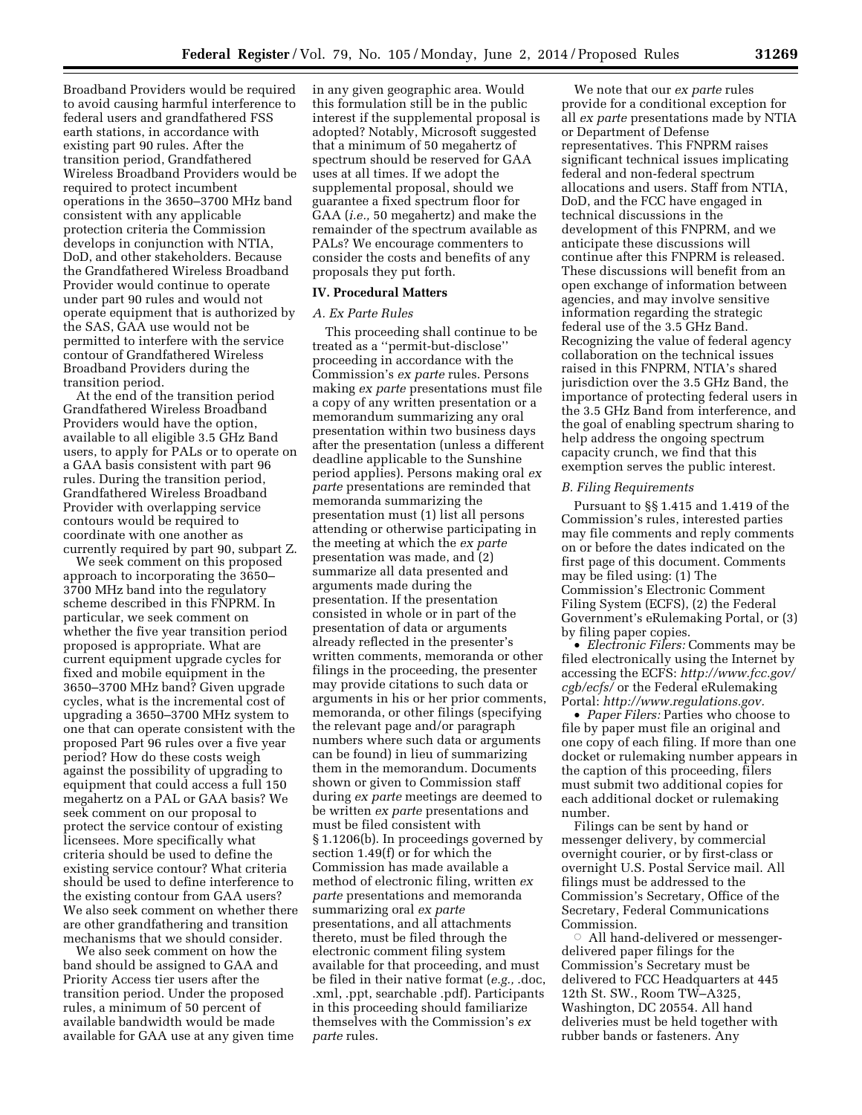Broadband Providers would be required to avoid causing harmful interference to federal users and grandfathered FSS earth stations, in accordance with existing part 90 rules. After the transition period, Grandfathered Wireless Broadband Providers would be required to protect incumbent operations in the 3650–3700 MHz band consistent with any applicable protection criteria the Commission develops in conjunction with NTIA, DoD, and other stakeholders. Because the Grandfathered Wireless Broadband Provider would continue to operate under part 90 rules and would not operate equipment that is authorized by the SAS, GAA use would not be permitted to interfere with the service contour of Grandfathered Wireless Broadband Providers during the transition period.

At the end of the transition period Grandfathered Wireless Broadband Providers would have the option, available to all eligible 3.5 GHz Band users, to apply for PALs or to operate on a GAA basis consistent with part 96 rules. During the transition period, Grandfathered Wireless Broadband Provider with overlapping service contours would be required to coordinate with one another as currently required by part 90, subpart Z.

We seek comment on this proposed approach to incorporating the 3650– 3700 MHz band into the regulatory scheme described in this FNPRM. In particular, we seek comment on whether the five year transition period proposed is appropriate. What are current equipment upgrade cycles for fixed and mobile equipment in the 3650–3700 MHz band? Given upgrade cycles, what is the incremental cost of upgrading a 3650–3700 MHz system to one that can operate consistent with the proposed Part 96 rules over a five year period? How do these costs weigh against the possibility of upgrading to equipment that could access a full 150 megahertz on a PAL or GAA basis? We seek comment on our proposal to protect the service contour of existing licensees. More specifically what criteria should be used to define the existing service contour? What criteria should be used to define interference to the existing contour from GAA users? We also seek comment on whether there are other grandfathering and transition mechanisms that we should consider.

We also seek comment on how the band should be assigned to GAA and Priority Access tier users after the transition period. Under the proposed rules, a minimum of 50 percent of available bandwidth would be made available for GAA use at any given time in any given geographic area. Would this formulation still be in the public interest if the supplemental proposal is adopted? Notably, Microsoft suggested that a minimum of 50 megahertz of spectrum should be reserved for GAA uses at all times. If we adopt the supplemental proposal, should we guarantee a fixed spectrum floor for GAA (*i.e.,* 50 megahertz) and make the remainder of the spectrum available as PALs? We encourage commenters to consider the costs and benefits of any proposals they put forth.

# **IV. Procedural Matters**

#### *A. Ex Parte Rules*

This proceeding shall continue to be treated as a ''permit-but-disclose'' proceeding in accordance with the Commission's *ex parte* rules. Persons making *ex parte* presentations must file a copy of any written presentation or a memorandum summarizing any oral presentation within two business days after the presentation (unless a different deadline applicable to the Sunshine period applies). Persons making oral *ex parte* presentations are reminded that memoranda summarizing the presentation must (1) list all persons attending or otherwise participating in the meeting at which the *ex parte*  presentation was made, and (2) summarize all data presented and arguments made during the presentation. If the presentation consisted in whole or in part of the presentation of data or arguments already reflected in the presenter's written comments, memoranda or other filings in the proceeding, the presenter may provide citations to such data or arguments in his or her prior comments, memoranda, or other filings (specifying the relevant page and/or paragraph numbers where such data or arguments can be found) in lieu of summarizing them in the memorandum. Documents shown or given to Commission staff during *ex parte* meetings are deemed to be written *ex parte* presentations and must be filed consistent with § 1.1206(b). In proceedings governed by section 1.49(f) or for which the Commission has made available a method of electronic filing, written *ex parte* presentations and memoranda summarizing oral *ex parte*  presentations, and all attachments thereto, must be filed through the electronic comment filing system available for that proceeding, and must be filed in their native format (*e.g.,* .doc, .xml, .ppt, searchable .pdf). Participants in this proceeding should familiarize themselves with the Commission's *ex parte* rules.

We note that our *ex parte* rules provide for a conditional exception for all *ex parte* presentations made by NTIA or Department of Defense representatives. This FNPRM raises significant technical issues implicating federal and non-federal spectrum allocations and users. Staff from NTIA, DoD, and the FCC have engaged in technical discussions in the development of this FNPRM, and we anticipate these discussions will continue after this FNPRM is released. These discussions will benefit from an open exchange of information between agencies, and may involve sensitive information regarding the strategic federal use of the 3.5 GHz Band. Recognizing the value of federal agency collaboration on the technical issues raised in this FNPRM, NTIA's shared jurisdiction over the 3.5 GHz Band, the importance of protecting federal users in the 3.5 GHz Band from interference, and the goal of enabling spectrum sharing to help address the ongoing spectrum capacity crunch, we find that this exemption serves the public interest.

## *B. Filing Requirements*

Pursuant to §§ 1.415 and 1.419 of the Commission's rules, interested parties may file comments and reply comments on or before the dates indicated on the first page of this document. Comments may be filed using: (1) The Commission's Electronic Comment Filing System (ECFS), (2) the Federal Government's eRulemaking Portal, or (3) by filing paper copies.

• *Electronic Filers:* Comments may be filed electronically using the Internet by accessing the ECFS: *http://www.fcc.gov/ cgb/ecfs/* or the Federal eRulemaking Portal: *http://www.regulations.gov.* 

• *Paper Filers:* Parties who choose to file by paper must file an original and one copy of each filing. If more than one docket or rulemaking number appears in the caption of this proceeding, filers must submit two additional copies for each additional docket or rulemaking number.

Filings can be sent by hand or messenger delivery, by commercial overnight courier, or by first-class or overnight U.S. Postal Service mail. All filings must be addressed to the Commission's Secretary, Office of the Secretary, Federal Communications Commission.

 $\circ$  All hand-delivered or messengerdelivered paper filings for the Commission's Secretary must be delivered to FCC Headquarters at 445 12th St. SW., Room TW–A325, Washington, DC 20554. All hand deliveries must be held together with rubber bands or fasteners. Any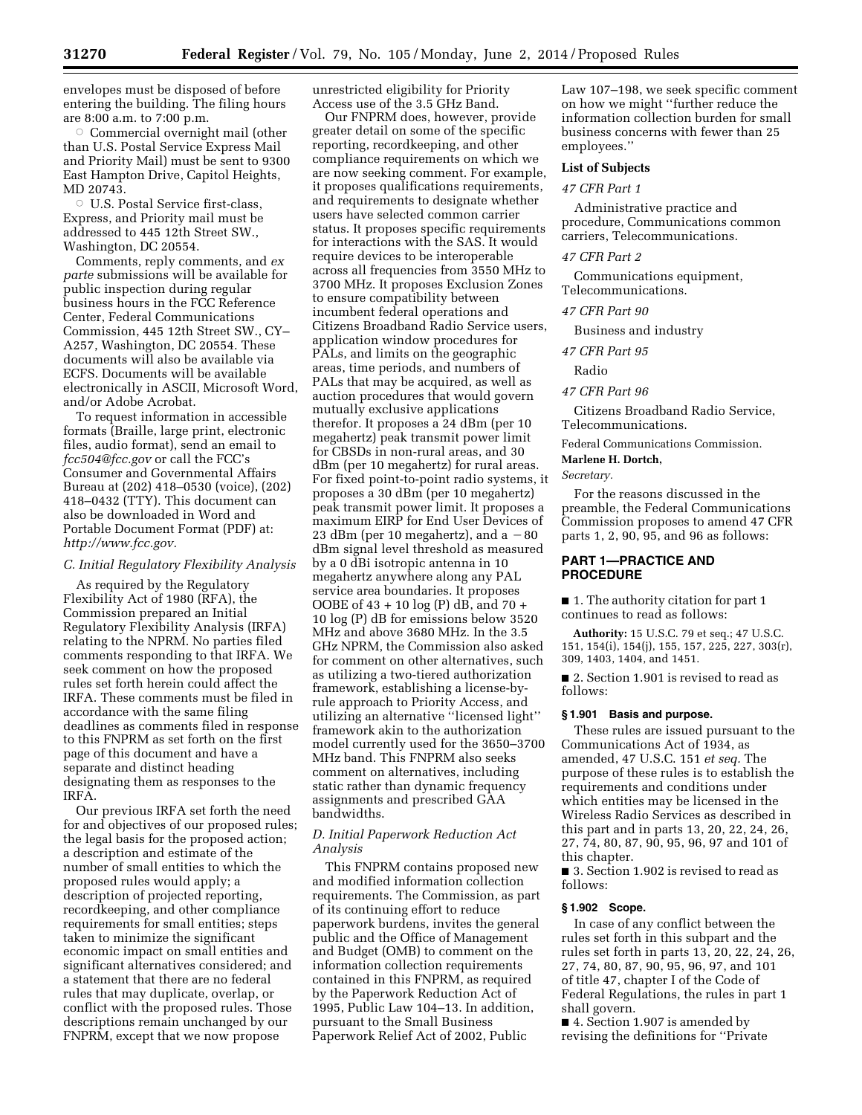envelopes must be disposed of before entering the building. The filing hours are 8:00 a.m. to 7:00 p.m.

 $\circ$  Commercial overnight mail (other than U.S. Postal Service Express Mail and Priority Mail) must be sent to 9300 East Hampton Drive, Capitol Heights, MD 20743.

O U.S. Postal Service first-class, Express, and Priority mail must be addressed to 445 12th Street SW., Washington, DC 20554.

Comments, reply comments, and *ex parte* submissions will be available for public inspection during regular business hours in the FCC Reference Center, Federal Communications Commission, 445 12th Street SW., CY– A257, Washington, DC 20554. These documents will also be available via ECFS. Documents will be available electronically in ASCII, Microsoft Word, and/or Adobe Acrobat.

To request information in accessible formats (Braille, large print, electronic files, audio format), send an email to *fcc504@fcc.gov* or call the FCC's Consumer and Governmental Affairs Bureau at (202) 418–0530 (voice), (202) 418–0432 (TTY). This document can also be downloaded in Word and Portable Document Format (PDF) at: *http://www.fcc.gov.* 

## *C. Initial Regulatory Flexibility Analysis*

As required by the Regulatory Flexibility Act of 1980 (RFA), the Commission prepared an Initial Regulatory Flexibility Analysis (IRFA) relating to the NPRM. No parties filed comments responding to that IRFA. We seek comment on how the proposed rules set forth herein could affect the IRFA. These comments must be filed in accordance with the same filing deadlines as comments filed in response to this FNPRM as set forth on the first page of this document and have a separate and distinct heading designating them as responses to the IRFA.

Our previous IRFA set forth the need for and objectives of our proposed rules; the legal basis for the proposed action; a description and estimate of the number of small entities to which the proposed rules would apply; a description of projected reporting, recordkeeping, and other compliance requirements for small entities; steps taken to minimize the significant economic impact on small entities and significant alternatives considered; and a statement that there are no federal rules that may duplicate, overlap, or conflict with the proposed rules. Those descriptions remain unchanged by our FNPRM, except that we now propose

unrestricted eligibility for Priority Access use of the 3.5 GHz Band.

Our FNPRM does, however, provide greater detail on some of the specific reporting, recordkeeping, and other compliance requirements on which we are now seeking comment. For example, it proposes qualifications requirements, and requirements to designate whether users have selected common carrier status. It proposes specific requirements for interactions with the SAS. It would require devices to be interoperable across all frequencies from 3550 MHz to 3700 MHz. It proposes Exclusion Zones to ensure compatibility between incumbent federal operations and Citizens Broadband Radio Service users, application window procedures for PALs, and limits on the geographic areas, time periods, and numbers of PALs that may be acquired, as well as auction procedures that would govern mutually exclusive applications therefor. It proposes a 24 dBm (per 10 megahertz) peak transmit power limit for CBSDs in non-rural areas, and 30 dBm (per 10 megahertz) for rural areas. For fixed point-to-point radio systems, it proposes a 30 dBm (per 10 megahertz) peak transmit power limit. It proposes a maximum EIRP for End User Devices of 23 dBm (per 10 megahertz), and a  $-80$ dBm signal level threshold as measured by a 0 dBi isotropic antenna in 10 megahertz anywhere along any PAL service area boundaries. It proposes OOBE of 43 + 10 log (P) dB, and 70 + 10 log (P) dB for emissions below 3520 MHz and above 3680 MHz. In the 3.5 GHz NPRM, the Commission also asked for comment on other alternatives, such as utilizing a two-tiered authorization framework, establishing a license-byrule approach to Priority Access, and utilizing an alternative ''licensed light'' framework akin to the authorization model currently used for the 3650–3700 MHz band. This FNPRM also seeks comment on alternatives, including static rather than dynamic frequency assignments and prescribed GAA bandwidths.

# *D. Initial Paperwork Reduction Act Analysis*

This FNPRM contains proposed new and modified information collection requirements. The Commission, as part of its continuing effort to reduce paperwork burdens, invites the general public and the Office of Management and Budget (OMB) to comment on the information collection requirements contained in this FNPRM, as required by the Paperwork Reduction Act of 1995, Public Law 104–13. In addition, pursuant to the Small Business Paperwork Relief Act of 2002, Public

Law 107–198, we seek specific comment on how we might ''further reduce the information collection burden for small business concerns with fewer than 25 employees.''

## **List of Subjects**

#### *47 CFR Part 1*

Administrative practice and procedure, Communications common carriers, Telecommunications.

## *47 CFR Part 2*

Communications equipment, Telecommunications.

## *47 CFR Part 90*

Business and industry

*47 CFR Part 95* 

Radio

# *47 CFR Part 96*

Citizens Broadband Radio Service, Telecommunications.

Federal Communications Commission.

**Marlene H. Dortch,** 

*Secretary.* 

For the reasons discussed in the preamble, the Federal Communications Commission proposes to amend 47 CFR parts 1, 2, 90, 95, and 96 as follows:

## **PART 1—PRACTICE AND PROCEDURE**

■ 1. The authority citation for part 1 continues to read as follows:

**Authority:** 15 U.S.C. 79 et seq.; 47 U.S.C. 151, 154(i), 154(j), 155, 157, 225, 227, 303(r), 309, 1403, 1404, and 1451.

■ 2. Section 1.901 is revised to read as follows:

# **§ 1.901 Basis and purpose.**

These rules are issued pursuant to the Communications Act of 1934, as amended, 47 U.S.C. 151 *et seq.* The purpose of these rules is to establish the requirements and conditions under which entities may be licensed in the Wireless Radio Services as described in this part and in parts 13, 20, 22, 24, 26, 27, 74, 80, 87, 90, 95, 96, 97 and 101 of this chapter.

■ 3. Section 1.902 is revised to read as follows:

# **§ 1.902 Scope.**

In case of any conflict between the rules set forth in this subpart and the rules set forth in parts 13, 20, 22, 24, 26, 27, 74, 80, 87, 90, 95, 96, 97, and 101 of title 47, chapter I of the Code of Federal Regulations, the rules in part 1 shall govern.

■ 4. Section 1.907 is amended by revising the definitions for ''Private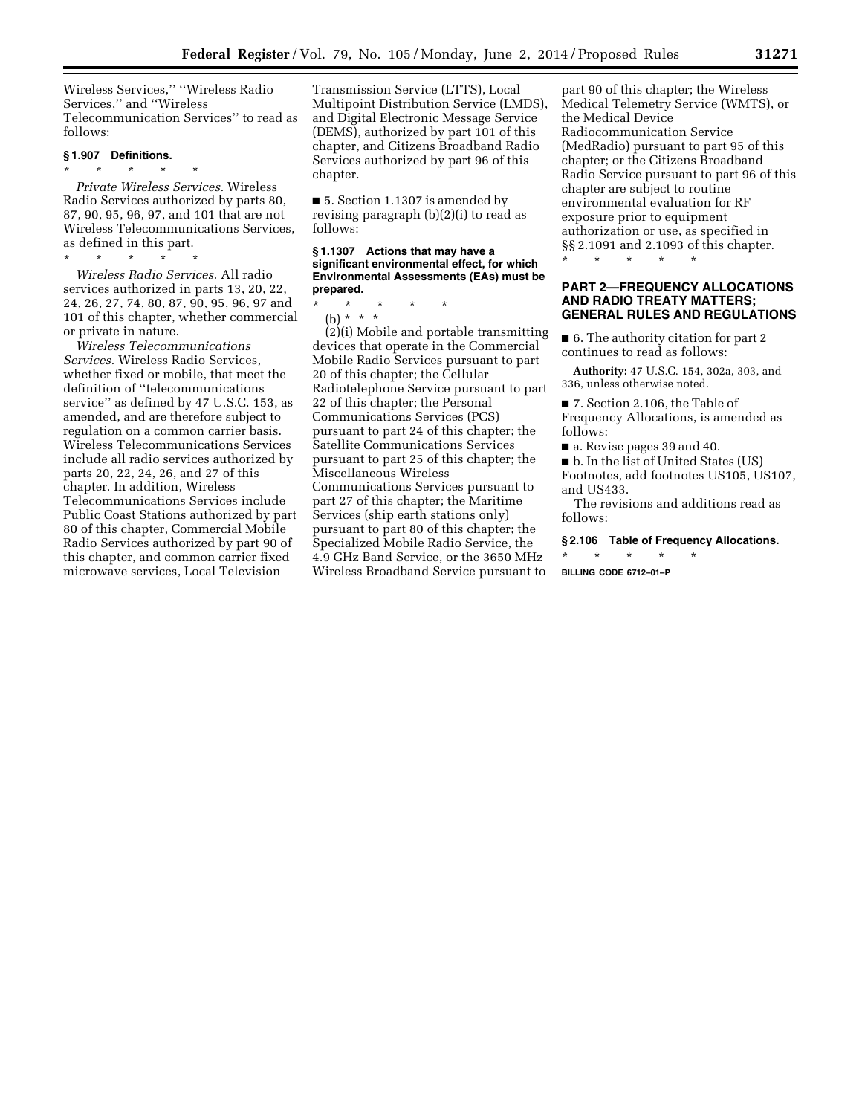Wireless Services,'' ''Wireless Radio Services,'' and ''Wireless Telecommunication Services'' to read as follows:

#### **§ 1.907 Definitions.**

\* \* \* \* \*

*Private Wireless Services.* Wireless Radio Services authorized by parts 80, 87, 90, 95, 96, 97, and 101 that are not Wireless Telecommunications Services, as defined in this part.

\* \* \* \* \* *Wireless Radio Services.* All radio services authorized in parts 13, 20, 22, 24, 26, 27, 74, 80, 87, 90, 95, 96, 97 and 101 of this chapter, whether commercial or private in nature.

*Wireless Telecommunications Services.* Wireless Radio Services, whether fixed or mobile, that meet the definition of ''telecommunications service'' as defined by 47 U.S.C. 153, as amended, and are therefore subject to regulation on a common carrier basis. Wireless Telecommunications Services include all radio services authorized by parts 20, 22, 24, 26, and 27 of this chapter. In addition, Wireless Telecommunications Services include Public Coast Stations authorized by part 80 of this chapter, Commercial Mobile Radio Services authorized by part 90 of this chapter, and common carrier fixed microwave services, Local Television

Transmission Service (LTTS), Local Multipoint Distribution Service (LMDS), and Digital Electronic Message Service (DEMS), authorized by part 101 of this chapter, and Citizens Broadband Radio Services authorized by part 96 of this chapter.

■ 5. Section 1.1307 is amended by revising paragraph (b)(2)(i) to read as follows:

#### **§ 1.1307 Actions that may have a significant environmental effect, for which Environmental Assessments (EAs) must be prepared.**

\* \* \* \* \*

(b) \* \* \* (2)(i) Mobile and portable transmitting devices that operate in the Commercial Mobile Radio Services pursuant to part 20 of this chapter; the Cellular Radiotelephone Service pursuant to part 22 of this chapter; the Personal Communications Services (PCS) pursuant to part 24 of this chapter; the Satellite Communications Services pursuant to part 25 of this chapter; the Miscellaneous Wireless Communications Services pursuant to part 27 of this chapter; the Maritime Services (ship earth stations only) pursuant to part 80 of this chapter; the Specialized Mobile Radio Service, the 4.9 GHz Band Service, or the 3650 MHz Wireless Broadband Service pursuant to

part 90 of this chapter; the Wireless Medical Telemetry Service (WMTS), or the Medical Device Radiocommunication Service (MedRadio) pursuant to part 95 of this chapter; or the Citizens Broadband Radio Service pursuant to part 96 of this chapter are subject to routine environmental evaluation for RF exposure prior to equipment authorization or use, as specified in §§ 2.1091 and 2.1093 of this chapter.

\* \* \* \* \*

# **PART 2—FREQUENCY ALLOCATIONS AND RADIO TREATY MATTERS; GENERAL RULES AND REGULATIONS**

■ 6. The authority citation for part 2 continues to read as follows:

**Authority:** 47 U.S.C. 154, 302a, 303, and 336, unless otherwise noted.

■ 7. Section 2.106, the Table of Frequency Allocations, is amended as follows:

■ a. Revise pages 39 and 40.

■ b. In the list of United States (US) Footnotes, add footnotes US105, US107, and US433.

The revisions and additions read as follows:

# **§ 2.106 Table of Frequency Allocations.**

\* \* \* \* \* **BILLING CODE 6712–01–P**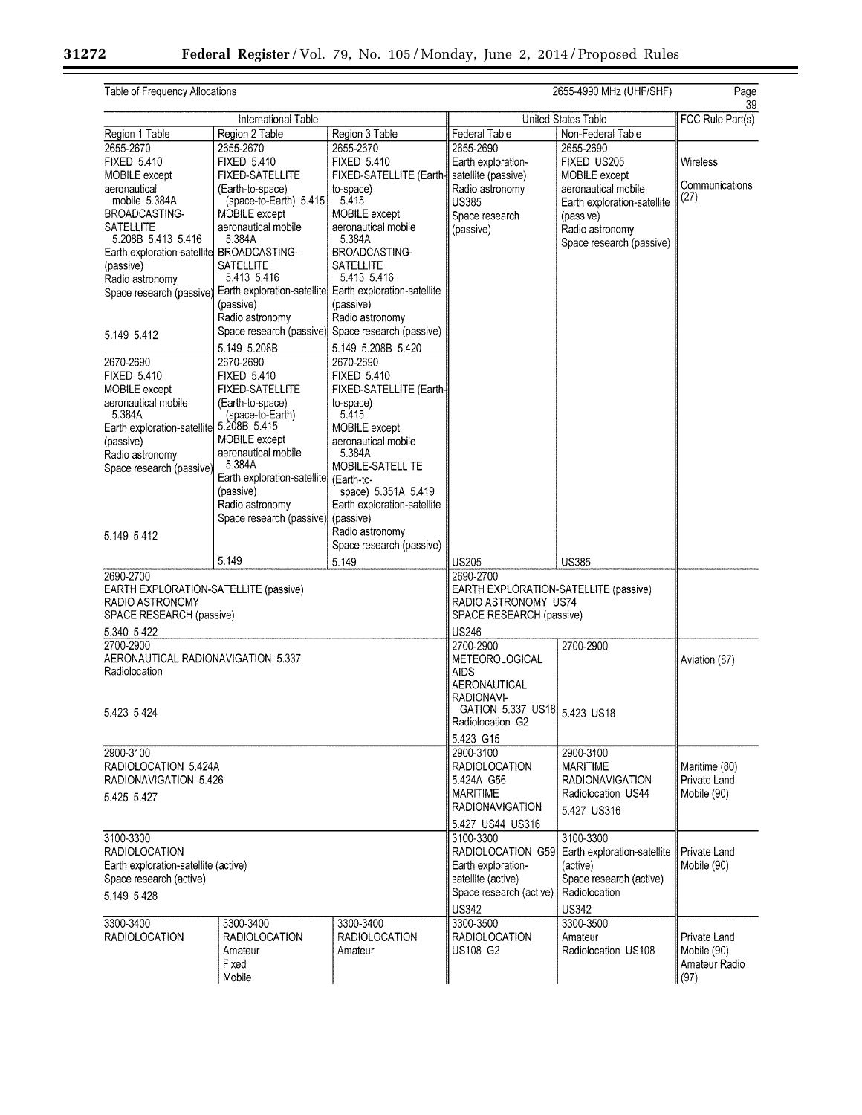Ξ

 $\equiv$ 

| Table of Frequency Allocations              |                                        |                                                         |                                       | 2655-4990 MHz (UHF/SHF)     | Page<br>39.      |
|---------------------------------------------|----------------------------------------|---------------------------------------------------------|---------------------------------------|-----------------------------|------------------|
|                                             | International Table                    |                                                         |                                       | United States Table         | FCC Rule Part(s) |
| Region 1 Table                              | Region 2 Table                         | Region 3 Table                                          | <b>Federal Table</b>                  | Non-Federal Table           |                  |
| 2655-2670                                   | 2655-2670                              | 2655-2670                                               | 2655-2690                             | 2655-2690                   |                  |
| <b>FIXED 5.410</b>                          | <b>FIXED 5.410</b>                     | <b>FIXED 5.410</b>                                      | Earth exploration-                    | FIXED US205                 | Wireless         |
| MOBILE except                               | <b>FIXED-SATELLITE</b>                 | FIXED-SATELLITE (Earth-                                 | satellite (passive)                   | MOBILE except               |                  |
| aeronautical                                | (Earth-to-space)                       | to-space)                                               | Radio astronomy                       | aeronautical mobile         | Communications   |
| mobile 5.384A                               | (space-to-Earth) 5.415                 | 5.415                                                   | <b>US385</b>                          | Earth exploration-satellite | (27)             |
| BROADCASTING-                               | MOBILE except                          | MOBILE except                                           | Space research                        | (passive)                   |                  |
| <b>SATELLITE</b>                            | aeronautical mobile                    | aeronautical mobile                                     | (passive)                             | Radio astronomy             |                  |
| 5.208B 5.413 5.416                          | 5.384A                                 | 5.384A                                                  |                                       | Space research (passive)    |                  |
| Earth exploration-satellite BROADCASTING-   |                                        | BROADCASTING-                                           |                                       |                             |                  |
| (passive)                                   | <b>SATELLITE</b>                       | <b>SATELLITE</b>                                        |                                       |                             |                  |
| Radio astronomy                             | 5.413 5.416                            | 5.413 5.416                                             |                                       |                             |                  |
| Space research (passive)                    |                                        | Earth exploration-satellite Earth exploration-satellite |                                       |                             |                  |
|                                             | (passive)                              | (passive)                                               |                                       |                             |                  |
|                                             | Radio astronomy                        | Radio astronomy                                         |                                       |                             |                  |
| 5.149 5.412                                 |                                        | Space research (passive) Space research (passive)       |                                       |                             |                  |
|                                             | 5.149 5.208B                           |                                                         |                                       |                             |                  |
|                                             |                                        | 5.149 5.208B 5.420                                      |                                       |                             |                  |
| 2670-2690                                   | 2670-2690                              | 2670-2690                                               |                                       |                             |                  |
| <b>FIXED 5.410</b>                          | <b>FIXED 5.410</b>                     | <b>FIXED 5.410</b>                                      |                                       |                             |                  |
| MOBILE except                               | <b>FIXED-SATELLITE</b>                 | FIXED-SATELLITE (Earth-                                 |                                       |                             |                  |
| aeronautical mobile<br>5.384A               | (Earth-to-space)<br>(space-to-Earth)   | to-space)<br>5.415                                      |                                       |                             |                  |
|                                             | 5.208B 5.415                           | MOBILE except                                           |                                       |                             |                  |
| Earth exploration-satellite                 | <b>MOBILE</b> except                   | aeronautical mobile                                     |                                       |                             |                  |
| (passive)                                   | aeronautical mobile                    | 5.384A                                                  |                                       |                             |                  |
| Radio astronomy<br>Space research (passive) | 5.384A                                 | MOBILE-SATELLITE                                        |                                       |                             |                  |
|                                             | Earth exploration-satellite (Earth-to- |                                                         |                                       |                             |                  |
|                                             | (passive)                              | space) 5.351A 5.419                                     |                                       |                             |                  |
|                                             | Radio astronomy                        | Earth exploration-satellite                             |                                       |                             |                  |
|                                             | Space research (passive) (passive)     |                                                         |                                       |                             |                  |
|                                             |                                        | Radio astronomy                                         |                                       |                             |                  |
| 5.149 5.412                                 |                                        | Space research (passive)                                |                                       |                             |                  |
|                                             | 5.149                                  | 5.149                                                   | <b>US205</b>                          | <b>US385</b>                |                  |
| 2690-2700                                   |                                        |                                                         | 2690-2700                             |                             |                  |
| EARTH EXPLORATION-SATELLITE (passive)       |                                        |                                                         | EARTH EXPLORATION-SATELLITE (passive) |                             |                  |
| RADIO ASTRONOMY                             |                                        |                                                         | RADIO ASTRONOMY US74                  |                             |                  |
| SPACE RESEARCH (passive)                    |                                        | SPACE RESEARCH (passive)                                |                                       |                             |                  |
| 5.340 5.422                                 |                                        |                                                         | <b>US246</b>                          |                             |                  |
| 2700-2900                                   |                                        |                                                         | 2700-2900                             | 2700-2900                   |                  |
| AERONAUTICAL RADIONAVIGATION 5.337          |                                        |                                                         | <b>METEOROLOGICAL</b>                 |                             | Aviation (87)    |
| Radiolocation                               |                                        |                                                         | AIDS                                  |                             |                  |
|                                             |                                        |                                                         | AERONAUTICAL                          |                             |                  |
|                                             |                                        |                                                         | RADIONAVI-                            |                             |                  |
| 5.423 5.424                                 |                                        |                                                         | GATION 5.337 US18 5.423 US18          |                             |                  |
|                                             |                                        |                                                         | Radiolocation G2                      |                             |                  |
|                                             |                                        |                                                         | 5.423 G15                             |                             |                  |
| 2900-3100                                   |                                        |                                                         | 2900-3100                             | 2900-3100                   |                  |
| RADIOLOCATION 5.424A                        |                                        |                                                         | <b>RADIOLOCATION</b>                  | <b>MARITIME</b>             | Maritime (80)    |
| RADIONAVIGATION 5.426                       |                                        |                                                         | 5.424A G56                            | <b>RADIONAVIGATION</b>      | Private Land     |
| 5.425 5.427                                 |                                        |                                                         | <b>MARITIME</b>                       | Radiolocation US44          | Mobile (90)      |
|                                             |                                        |                                                         | <b>RADIONAVIGATION</b>                | 5.427 US316                 |                  |
|                                             |                                        |                                                         | 5.427 US44 US316                      |                             |                  |
| 3100-3300                                   |                                        |                                                         | 3100-3300                             | 3100-3300                   |                  |
| <b>RADIOLOCATION</b>                        |                                        |                                                         | RADIOLOCATION G59                     | Earth exploration-satellite | Private Land     |
| Earth exploration-satellite (active)        |                                        |                                                         | Earth exploration-                    | (active)                    | Mobile (90)      |
| Space research (active)                     |                                        |                                                         | satellite (active)                    | Space research (active)     |                  |
|                                             |                                        |                                                         | Space research (active)               | Radiolocation               |                  |
| 5.149 5.428                                 |                                        |                                                         |                                       |                             |                  |
|                                             |                                        |                                                         | <b>US342</b>                          | <b>US342</b>                |                  |
| 3300-3400                                   | 3300-3400                              | 3300-3400                                               | 3300-3500                             | 3300-3500                   |                  |
| <b>RADIOLOCATION</b>                        | <b>RADIOLOCATION</b>                   | <b>RADIOLOCATION</b>                                    | <b>RADIOLOCATION</b>                  | Amateur                     | Private Land     |
|                                             | Amateur                                | Amateur                                                 | US108 G2                              | Radiolocation US108         | Mobile (90)      |
|                                             | Fixed                                  |                                                         |                                       |                             | Amateur Radio    |
|                                             | Mobile                                 |                                                         |                                       |                             | (97)             |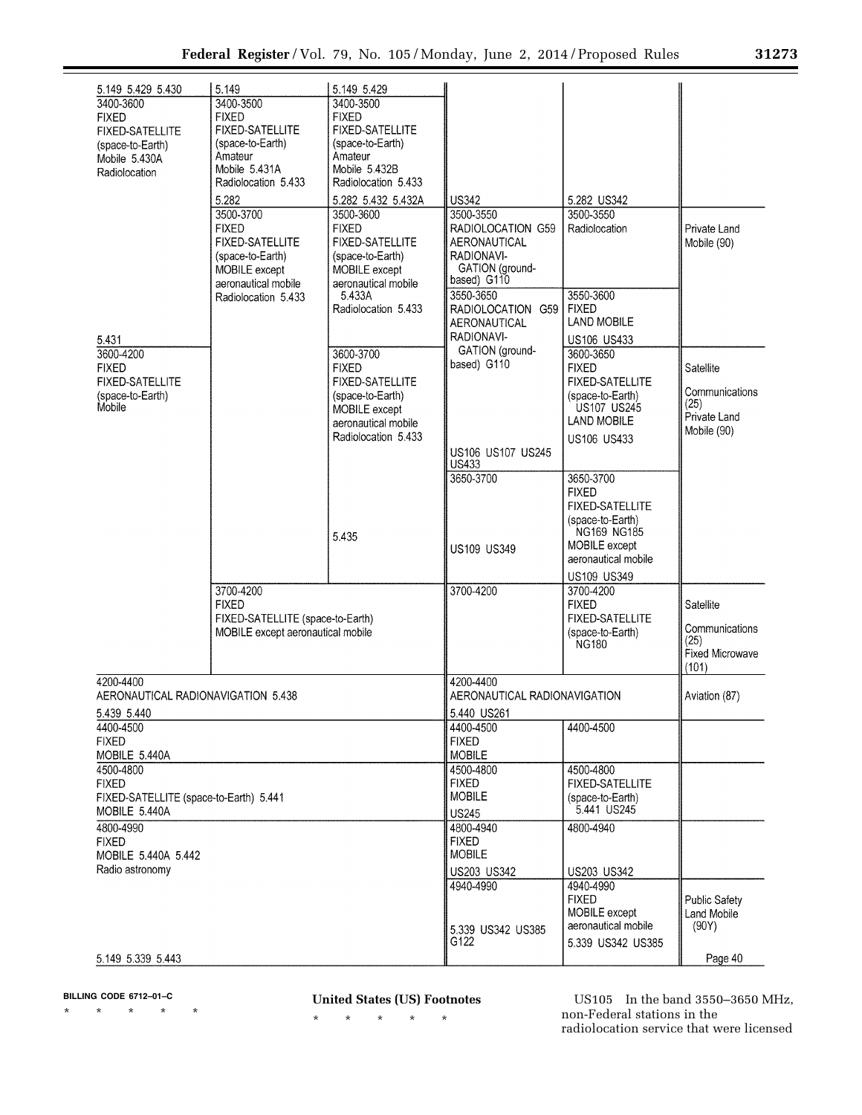| 5.149 5.429 5.430<br>3400-3600         | 5.149<br>3400-3500                         | 5.149 5.429<br>3400-3500             |                                |                                 |                                |
|----------------------------------------|--------------------------------------------|--------------------------------------|--------------------------------|---------------------------------|--------------------------------|
| <b>FIXED</b>                           | <b>FIXED</b>                               | <b>FIXED</b>                         |                                |                                 |                                |
| <b>FIXED-SATELLITE</b>                 | <b>FIXED-SATELLITE</b>                     | <b>FIXED-SATELLITE</b>               |                                |                                 |                                |
| (space-to-Earth)                       | (space-to-Earth)                           | (space-to-Earth)                     |                                |                                 |                                |
| Mobile 5.430A                          | Amateur<br>Mobile 5.431A                   | Amateur                              |                                |                                 |                                |
| Radiolocation                          | Radiolocation 5.433                        | Mobile 5.432B<br>Radiolocation 5.433 |                                |                                 |                                |
|                                        | 5.282                                      |                                      | <b>US342</b>                   | 5.282 US342                     |                                |
|                                        | 3500-3700                                  | 5.282 5.432 5.432A<br>3500-3600      | 3500-3550                      | 3500-3550                       |                                |
|                                        | <b>FIXED</b>                               | <b>FIXED</b>                         | RADIOLOCATION G59              | Radiolocation                   | Private Land                   |
|                                        | <b>FIXED-SATELLITE</b>                     | <b>FIXED-SATELLITE</b>               | AERONAUTICAL                   |                                 | Mobile (90)                    |
|                                        | (space-to-Earth)                           | (space-to-Earth)                     | RADIONAVI-                     |                                 |                                |
|                                        | MOBILE except                              | MOBILE except                        | GATION (ground-<br>based) G110 |                                 |                                |
|                                        | aeronautical mobile<br>Radiolocation 5.433 | aeronautical mobile<br>5.433A        | 3550-3650                      | 3550-3600                       |                                |
|                                        |                                            | Radiolocation 5.433                  | RADIOLOCATION G59              | <b>FIXED</b>                    |                                |
|                                        |                                            |                                      | AERONAUTICAL                   | <b>LAND MOBILE</b>              |                                |
| 5.431                                  |                                            |                                      | RADIONAVI-                     | US106 US433                     |                                |
| 3600-4200                              |                                            | 3600-3700                            | GATION (ground-                | 3600-3650                       |                                |
| <b>FIXED</b>                           |                                            | <b>FIXED</b>                         | based) G110                    | <b>FIXED</b>                    | Satellite                      |
| <b>FIXED-SATELLITE</b>                 |                                            | <b>FIXED-SATELLITE</b>               |                                | <b>FIXED-SATELLITE</b>          | Communications                 |
| (space-to-Earth)<br>Mobile             |                                            | (space-to-Earth)<br>MOBILE except    |                                | (space-to-Earth)<br>US107 US245 | (25)                           |
|                                        |                                            | aeronautical mobile                  |                                | <b>LAND MOBILE</b>              | Private Land                   |
|                                        |                                            | Radiolocation 5.433                  |                                | <b>US106 US433</b>              | Mobile (90)                    |
|                                        |                                            |                                      | US106 US107 US245              |                                 |                                |
|                                        |                                            |                                      | US433                          |                                 |                                |
|                                        |                                            |                                      | 3650-3700                      | 3650-3700<br><b>FIXED</b>       |                                |
|                                        |                                            |                                      |                                | <b>FIXED-SATELLITE</b>          |                                |
|                                        |                                            |                                      |                                | (space-to-Earth)                |                                |
|                                        |                                            | 5.435                                |                                | <b>NG169 NG185</b>              |                                |
|                                        |                                            |                                      | <b>US109 US349</b>             | MOBILE except                   |                                |
|                                        |                                            |                                      |                                | aeronautical mobile             |                                |
|                                        |                                            |                                      |                                | <b>US109 US349</b><br>3700-4200 |                                |
|                                        | 3700-4200<br><b>FIXED</b>                  |                                      | 3700-4200                      | <b>FIXED</b>                    | Satellite                      |
|                                        | FIXED-SATELLITE (space-to-Earth)           |                                      |                                | <b>FIXED-SATELLITE</b>          |                                |
|                                        | MOBILE except aeronautical mobile          |                                      |                                | (space-to-Earth)                | Communications                 |
|                                        |                                            |                                      |                                | <b>NG180</b>                    | (25)<br><b>Fixed Microwave</b> |
|                                        |                                            |                                      |                                |                                 | (101)                          |
| 4200-4400                              |                                            |                                      | 4200-4400                      |                                 |                                |
|                                        | AERONAUTICAL RADIONAVIGATION 5.438         |                                      | AERONAUTICAL RADIONAVIGATION   |                                 | Aviation (87)                  |
| 5.439 5.440                            |                                            |                                      | 5.440 US261                    |                                 |                                |
| 4400-4500                              |                                            |                                      | 4400-4500                      | 4400-4500                       |                                |
| <b>FIXED</b><br>MOBILE 5.440A          |                                            |                                      | <b>FIXED</b><br><b>MOBILE</b>  |                                 |                                |
| 4500-4800                              |                                            |                                      | 4500-4800                      | 4500-4800                       |                                |
| <b>FIXED</b>                           |                                            |                                      | <b>FIXED</b>                   | <b>FIXED-SATELLITE</b>          |                                |
| FIXED-SATELLITE (space-to-Earth) 5.441 |                                            |                                      | <b>MOBILE</b>                  | (space-to-Earth)                |                                |
| MOBILE 5.440A                          |                                            |                                      | <b>US245</b>                   | 5.441 US245                     |                                |
| 4800-4990                              |                                            |                                      | 4800-4940                      | 4800-4940                       |                                |
| <b>FIXED</b>                           |                                            |                                      | <b>FIXED</b>                   |                                 |                                |
| MOBILE 5.440A 5.442                    |                                            |                                      | <b>MOBILE</b>                  |                                 |                                |
| Radio astronomy                        |                                            |                                      | US203 US342                    | <b>US203 US342</b>              |                                |
|                                        |                                            |                                      | 4940-4990                      | 4940-4990<br><b>FIXED</b>       | <b>Public Safety</b>           |
|                                        |                                            |                                      |                                | MOBILE except                   | Land Mobile                    |
|                                        |                                            |                                      | 5.339 US342 US385              | aeronautical mobile             | (90Y)                          |
|                                        |                                            |                                      | G122                           | 5.339 US342 US385               |                                |
| 5.149 5.339 5.443                      |                                            |                                      |                                |                                 | Page 40                        |

**BILLING CODE 6712–01–C** 

\* \* \* \* \*

**United States (US) Footnotes** 

\* \* \* \* \*

US105 In the band 3550–3650 MHz, non-Federal stations in the radiolocation service that were licensed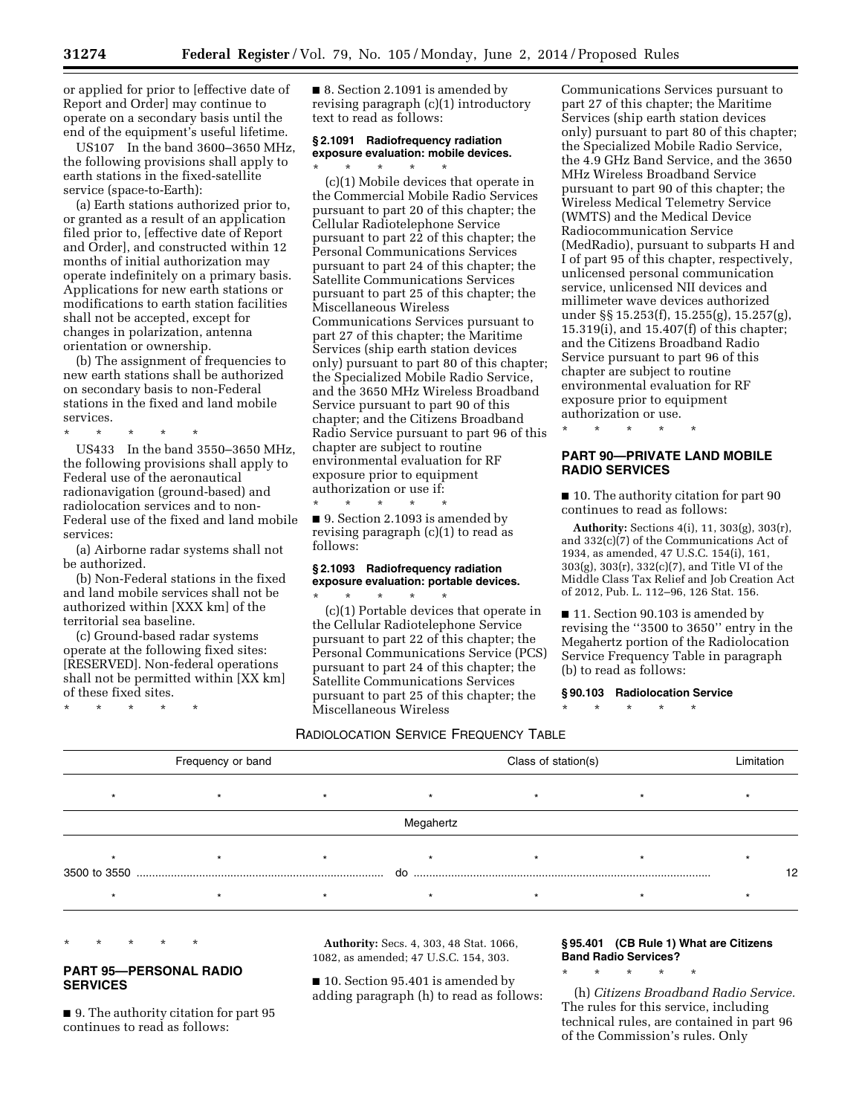or applied for prior to [effective date of Report and Order] may continue to operate on a secondary basis until the end of the equipment's useful lifetime.

US107 In the band 3600–3650 MHz, the following provisions shall apply to earth stations in the fixed-satellite service (space-to-Earth):

(a) Earth stations authorized prior to, or granted as a result of an application filed prior to, [effective date of Report and Order], and constructed within 12 months of initial authorization may operate indefinitely on a primary basis. Applications for new earth stations or modifications to earth station facilities shall not be accepted, except for changes in polarization, antenna orientation or ownership.

(b) The assignment of frequencies to new earth stations shall be authorized on secondary basis to non-Federal stations in the fixed and land mobile services.

\* \* \* \* \*

US433 In the band 3550–3650 MHz, the following provisions shall apply to Federal use of the aeronautical radionavigation (ground-based) and radiolocation services and to non-Federal use of the fixed and land mobile services:

(a) Airborne radar systems shall not be authorized.

(b) Non-Federal stations in the fixed and land mobile services shall not be authorized within [XXX km] of the territorial sea baseline.

(c) Ground-based radar systems operate at the following fixed sites: [RESERVED]. Non-federal operations shall not be permitted within [XX km] of these fixed sites.

\* \* \* \* \*

■ 8. Section 2.1091 is amended by revising paragraph (c)(1) introductory text to read as follows:

# **§ 2.1091 Radiofrequency radiation exposure evaluation: mobile devices.**

\* \* \* \* \* (c)(1) Mobile devices that operate in the Commercial Mobile Radio Services pursuant to part 20 of this chapter; the Cellular Radiotelephone Service pursuant to part 22 of this chapter; the Personal Communications Services pursuant to part 24 of this chapter; the Satellite Communications Services pursuant to part 25 of this chapter; the Miscellaneous Wireless Communications Services pursuant to part 27 of this chapter; the Maritime Services (ship earth station devices only) pursuant to part 80 of this chapter; the Specialized Mobile Radio Service, and the 3650 MHz Wireless Broadband Service pursuant to part 90 of this chapter; and the Citizens Broadband Radio Service pursuant to part 96 of this chapter are subject to routine environmental evaluation for RF exposure prior to equipment authorization or use if:

\* \* \* \* \* ■ 9. Section 2.1093 is amended by revising paragraph (c)(1) to read as follows:

# **§ 2.1093 Radiofrequency radiation exposure evaluation: portable devices.**

\* \* \* \* \* (c)(1) Portable devices that operate in the Cellular Radiotelephone Service pursuant to part 22 of this chapter; the Personal Communications Service (PCS) pursuant to part 24 of this chapter; the Satellite Communications Services pursuant to part 25 of this chapter; the Miscellaneous Wireless

RADIOLOCATION SERVICE FREQUENCY TABLE

Communications Services pursuant to part 27 of this chapter; the Maritime Services (ship earth station devices only) pursuant to part 80 of this chapter; the Specialized Mobile Radio Service, the 4.9 GHz Band Service, and the 3650 MHz Wireless Broadband Service pursuant to part 90 of this chapter; the Wireless Medical Telemetry Service (WMTS) and the Medical Device Radiocommunication Service (MedRadio), pursuant to subparts H and I of part 95 of this chapter, respectively, unlicensed personal communication service, unlicensed NII devices and millimeter wave devices authorized under §§ 15.253(f), 15.255(g), 15.257(g), 15.319(i), and 15.407(f) of this chapter; and the Citizens Broadband Radio Service pursuant to part 96 of this chapter are subject to routine environmental evaluation for RF exposure prior to equipment authorization or use.

\* \* \* \* \*

# **PART 90—PRIVATE LAND MOBILE RADIO SERVICES**

■ 10. The authority citation for part 90 continues to read as follows:

**Authority:** Sections 4(i), 11, 303(g), 303(r), and 332(c)(7) of the Communications Act of 1934, as amended, 47 U.S.C. 154(i), 161, 303(g), 303(r), 332(c)(7), and Title VI of the Middle Class Tax Relief and Job Creation Act of 2012, Pub. L. 112–96, 126 Stat. 156.

■ 11. Section 90.103 is amended by revising the ''3500 to 3650'' entry in the Megahertz portion of the Radiolocation Service Frequency Table in paragraph (b) to read as follows:

**§ 90.103 Radiolocation Service** 

\* \* \* \* \*

| Frequency or band |  |  |           | Class of station(s) |  |    |
|-------------------|--|--|-----------|---------------------|--|----|
|                   |  |  |           |                     |  |    |
|                   |  |  | Megahertz |                     |  |    |
| 3500 to 3550      |  |  | do        |                     |  | 12 |
|                   |  |  |           |                     |  |    |

\* \* \* \* \*

# **PART 95—PERSONAL RADIO SERVICES**

■ 9. The authority citation for part 95 continues to read as follows:

**Authority:** Secs. 4, 303, 48 Stat. 1066, 1082, as amended; 47 U.S.C. 154, 303.

■ 10. Section 95.401 is amended by adding paragraph (h) to read as follows:

# **§ 95.401 (CB Rule 1) What are Citizens Band Radio Services?**

\* \* \* \* \*

(h) *Citizens Broadband Radio Service.*  The rules for this service, including technical rules, are contained in part 96 of the Commission's rules. Only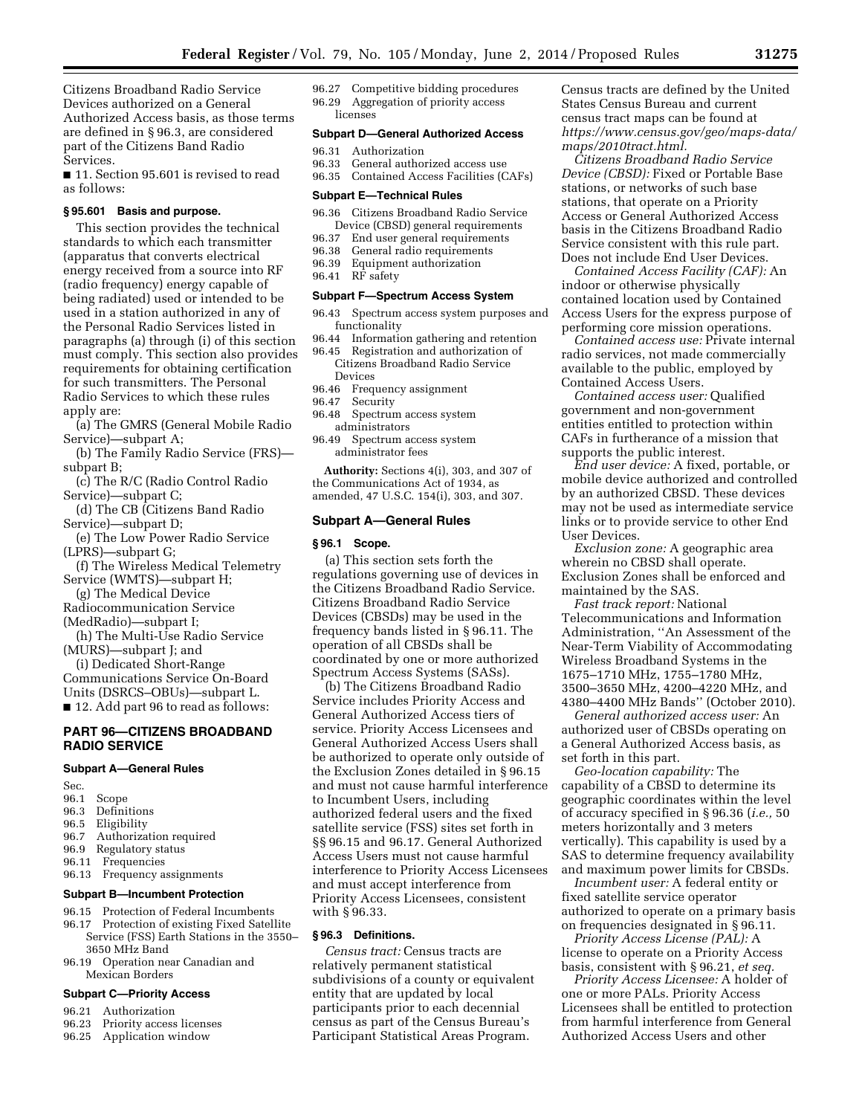Citizens Broadband Radio Service Devices authorized on a General Authorized Access basis, as those terms are defined in § 96.3, are considered part of the Citizens Band Radio Services.

■ 11. Section 95.601 is revised to read as follows:

# **§ 95.601 Basis and purpose.**

This section provides the technical standards to which each transmitter (apparatus that converts electrical energy received from a source into RF (radio frequency) energy capable of being radiated) used or intended to be used in a station authorized in any of the Personal Radio Services listed in paragraphs (a) through (i) of this section must comply. This section also provides requirements for obtaining certification for such transmitters. The Personal Radio Services to which these rules apply are:

(a) The GMRS (General Mobile Radio Service)—subpart A;

- (b) The Family Radio Service (FRS) subpart B;
- (c) The R/C (Radio Control Radio Service)—subpart C;
- (d) The CB (Citizens Band Radio Service)—subpart D;
- (e) The Low Power Radio Service (LPRS)—subpart G;
- (f) The Wireless Medical Telemetry Service (WMTS)—subpart H;

(g) The Medical Device Radiocommunication Service

(MedRadio)—subpart I;

(h) The Multi-Use Radio Service (MURS)—subpart J; and

(i) Dedicated Short-Range Communications Service On-Board Units (DSRCS–OBUs)—subpart L. ■ 12. Add part 96 to read as follows:

# **PART 96—CITIZENS BROADBAND RADIO SERVICE**

#### **Subpart A—General Rules**

- Sec.
- 96.1 Scope
- 96.3 Definitions
- 96.5 Eligibility
- 96.7 Authorization required
- 96.9 Regulatory status
- 96.11 Frequencies
- 96.13 Frequency assignments

#### **Subpart B—Incumbent Protection**

- 96.15 Protection of Federal Incumbents
- 96.17 Protection of existing Fixed Satellite Service (FSS) Earth Stations in the 3550– 3650 MHz Band
- 96.19 Operation near Canadian and Mexican Borders

# **Subpart C—Priority Access**

- 96.21 Authorization
- 96.23 Priority access licenses
- 96.25 Application window

96.27 Competitive bidding procedures 96.29 Aggregation of priority access licenses

## **Subpart D—General Authorized Access**

- 96.31 Authorization
- 96.33 General authorized access use
- 96.35 Contained Access Facilities (CAFs)

#### **Subpart E—Technical Rules**

- 96.36 Citizens Broadband Radio Service Device (CBSD) general requirements<br>96.37 End user general requirements
- End user general requirements
- 96.38 General radio requirements<br>96.39 Equipment authorization
- Equipment authorization
- 96.41 RF safety

## **Subpart F—Spectrum Access System**

- 96.43 Spectrum access system purposes and functionality
- 96.44 Information gathering and retention
- 96.45 Registration and authorization of Citizens Broadband Radio Service Devices
- 96.46 Frequency assignment<br>96.47 Security
- Security
- 96.48 Spectrum access system administrators
- 96.49 Spectrum access system administrator fees

**Authority:** Sections 4(i), 303, and 307 of the Communications Act of 1934, as amended, 47 U.S.C. 154(i), 303, and 307.

## **Subpart A—General Rules**

#### **§ 96.1 Scope.**

(a) This section sets forth the regulations governing use of devices in the Citizens Broadband Radio Service. Citizens Broadband Radio Service Devices (CBSDs) may be used in the frequency bands listed in § 96.11. The operation of all CBSDs shall be coordinated by one or more authorized Spectrum Access Systems (SASs).

(b) The Citizens Broadband Radio Service includes Priority Access and General Authorized Access tiers of service. Priority Access Licensees and General Authorized Access Users shall be authorized to operate only outside of the Exclusion Zones detailed in § 96.15 and must not cause harmful interference to Incumbent Users, including authorized federal users and the fixed satellite service (FSS) sites set forth in §§ 96.15 and 96.17. General Authorized Access Users must not cause harmful interference to Priority Access Licensees and must accept interference from Priority Access Licensees, consistent with § 96.33.

# **§ 96.3 Definitions.**

*Census tract:* Census tracts are relatively permanent statistical subdivisions of a county or equivalent entity that are updated by local participants prior to each decennial census as part of the Census Bureau's Participant Statistical Areas Program.

Census tracts are defined by the United States Census Bureau and current census tract maps can be found at *https://www.census.gov/geo/maps-data/ maps/2010tract.html.* 

*Citizens Broadband Radio Service Device (CBSD):* Fixed or Portable Base stations, or networks of such base stations, that operate on a Priority Access or General Authorized Access basis in the Citizens Broadband Radio Service consistent with this rule part. Does not include End User Devices.

*Contained Access Facility (CAF):* An indoor or otherwise physically contained location used by Contained Access Users for the express purpose of performing core mission operations.

*Contained access use:* Private internal radio services, not made commercially available to the public, employed by Contained Access Users.

*Contained access user:* Qualified government and non-government entities entitled to protection within CAFs in furtherance of a mission that supports the public interest.

*End user device:* A fixed, portable, or mobile device authorized and controlled by an authorized CBSD. These devices may not be used as intermediate service links or to provide service to other End User Devices.

*Exclusion zone:* A geographic area wherein no CBSD shall operate. Exclusion Zones shall be enforced and maintained by the SAS.

*Fast track report:* National Telecommunications and Information Administration, ''An Assessment of the Near-Term Viability of Accommodating Wireless Broadband Systems in the 1675–1710 MHz, 1755–1780 MHz, 3500–3650 MHz, 4200–4220 MHz, and 4380–4400 MHz Bands'' (October 2010).

*General authorized access user:* An authorized user of CBSDs operating on a General Authorized Access basis, as set forth in this part.

*Geo-location capability:* The capability of a CBSD to determine its geographic coordinates within the level of accuracy specified in § 96.36 (*i.e.,* 50 meters horizontally and 3 meters vertically). This capability is used by a SAS to determine frequency availability and maximum power limits for CBSDs.

*Incumbent user:* A federal entity or fixed satellite service operator authorized to operate on a primary basis on frequencies designated in § 96.11.

*Priority Access License (PAL):* A license to operate on a Priority Access basis, consistent with § 96.21, *et seq.* 

*Priority Access Licensee:* A holder of one or more PALs. Priority Access Licensees shall be entitled to protection from harmful interference from General Authorized Access Users and other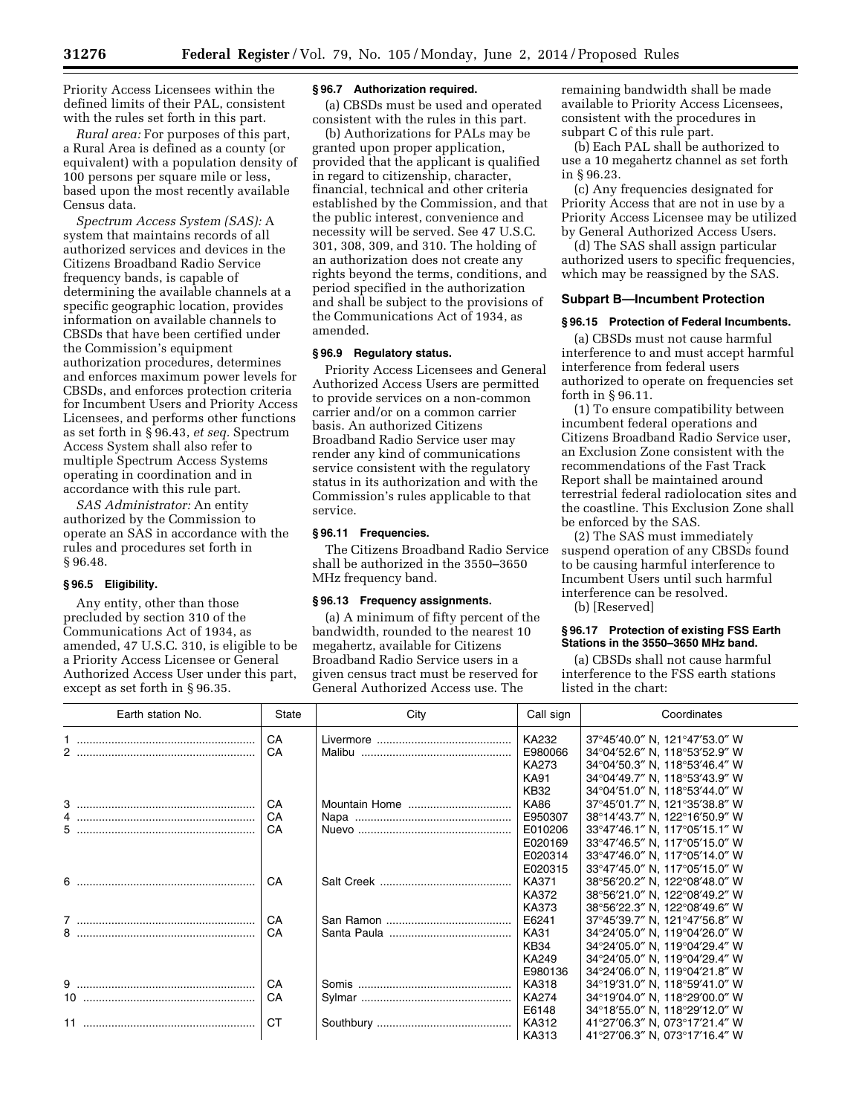Priority Access Licensees within the defined limits of their PAL, consistent with the rules set forth in this part.

*Rural area:* For purposes of this part, a Rural Area is defined as a county (or equivalent) with a population density of 100 persons per square mile or less, based upon the most recently available Census data.

*Spectrum Access System (SAS):* A system that maintains records of all authorized services and devices in the Citizens Broadband Radio Service frequency bands, is capable of determining the available channels at a specific geographic location, provides information on available channels to CBSDs that have been certified under the Commission's equipment authorization procedures, determines and enforces maximum power levels for CBSDs, and enforces protection criteria for Incumbent Users and Priority Access Licensees, and performs other functions as set forth in § 96.43, *et seq.* Spectrum Access System shall also refer to multiple Spectrum Access Systems operating in coordination and in accordance with this rule part.

*SAS Administrator:* An entity authorized by the Commission to operate an SAS in accordance with the rules and procedures set forth in § 96.48.

# **§ 96.5 Eligibility.**

Any entity, other than those precluded by section 310 of the Communications Act of 1934, as amended, 47 U.S.C. 310, is eligible to be a Priority Access Licensee or General Authorized Access User under this part, except as set forth in § 96.35.

# **§ 96.7 Authorization required.**

(a) CBSDs must be used and operated consistent with the rules in this part.

(b) Authorizations for PALs may be granted upon proper application, provided that the applicant is qualified in regard to citizenship, character, financial, technical and other criteria established by the Commission, and that the public interest, convenience and necessity will be served. See 47 U.S.C. 301, 308, 309, and 310. The holding of an authorization does not create any rights beyond the terms, conditions, and period specified in the authorization and shall be subject to the provisions of the Communications Act of 1934, as amended.

# **§ 96.9 Regulatory status.**

Priority Access Licensees and General Authorized Access Users are permitted to provide services on a non-common carrier and/or on a common carrier basis. An authorized Citizens Broadband Radio Service user may render any kind of communications service consistent with the regulatory status in its authorization and with the Commission's rules applicable to that service.

# **§ 96.11 Frequencies.**

The Citizens Broadband Radio Service shall be authorized in the 3550–3650 MHz frequency band.

# **§ 96.13 Frequency assignments.**

(a) A minimum of fifty percent of the bandwidth, rounded to the nearest 10 megahertz, available for Citizens Broadband Radio Service users in a given census tract must be reserved for General Authorized Access use. The

remaining bandwidth shall be made available to Priority Access Licensees, consistent with the procedures in subpart C of this rule part.

(b) Each PAL shall be authorized to use a 10 megahertz channel as set forth in § 96.23.

(c) Any frequencies designated for Priority Access that are not in use by a Priority Access Licensee may be utilized by General Authorized Access Users.

(d) The SAS shall assign particular authorized users to specific frequencies, which may be reassigned by the SAS.

# **Subpart B—Incumbent Protection**

# **§ 96.15 Protection of Federal Incumbents.**

(a) CBSDs must not cause harmful interference to and must accept harmful interference from federal users authorized to operate on frequencies set forth in § 96.11.

(1) To ensure compatibility between incumbent federal operations and Citizens Broadband Radio Service user, an Exclusion Zone consistent with the recommendations of the Fast Track Report shall be maintained around terrestrial federal radiolocation sites and the coastline. This Exclusion Zone shall be enforced by the SAS.

(2) The SAS must immediately suspend operation of any CBSDs found to be causing harmful interference to Incumbent Users until such harmful interference can be resolved.

(b) [Reserved]

# **§ 96.17 Protection of existing FSS Earth Stations in the 3550–3650 MHz band.**

(a) CBSDs shall not cause harmful interference to the FSS earth stations listed in the chart:

| Earth station No. | State     | City   | Call sign                 | Coordinates                                                                                     |
|-------------------|-----------|--------|---------------------------|-------------------------------------------------------------------------------------------------|
|                   | CA<br>CA  | Malibu | KA232<br>E980066<br>KA273 | 37°45'40.0" N, 121°47'53.0" W<br>34°04'52.6" N, 118°53'52.9" W<br>34°04'50.3" N, 118°53'46.4" W |
|                   |           |        | <b>KA91</b><br>KB32       | 34°04'49.7" N, 118°53'43.9" W<br>34°04'51.0" N, 118°53'44.0" W                                  |
|                   | CA<br>CA  |        | <b>KA86</b><br>E950307    | 37°45'01.7" N, 121°35'38.8" W<br>38°14'43.7" N, 122°16'50.9" W                                  |
| 5                 | CA        |        | E010206                   | 33°47'46.1" N, 117°05'15.1" W                                                                   |
|                   |           |        | E020169                   | 33°47'46.5" N, 117°05'15.0" W                                                                   |
|                   |           |        | E020314                   | 33°47'46.0" N, 117°05'14.0" W                                                                   |
|                   |           |        | E020315                   | 33°47'45.0" N, 117°05'15.0" W                                                                   |
|                   | CA        |        | KA371                     | 38°56'20.2" N, 122°08'48.0" W                                                                   |
|                   |           |        | KA372                     | 38°56'21.0" N, 122°08'49.2" W                                                                   |
|                   |           |        | KA373                     | 38°56'22.3" N, 122°08'49.6" W                                                                   |
|                   | CA        |        | E6241                     | 37°45'39.7" N, 121°47'56.8" W                                                                   |
| 8                 | CA        |        | <b>KA31</b>               | 34°24'05.0" N, 119°04'26.0" W                                                                   |
|                   |           |        | <b>KB34</b>               | 34°24'05.0" N, 119°04'29.4" W                                                                   |
|                   |           |        | KA249                     | 34°24'05.0" N, 119°04'29.4" W                                                                   |
|                   |           |        | E980136                   | 34°24'06.0" N, 119°04'21.8" W                                                                   |
|                   | CA        |        | KA318                     | 34°19'31.0" N, 118°59'41.0" W                                                                   |
| 10 <sup>1</sup>   | CA        |        | <b>KA274</b>              | 34°19'04.0" N, 118°29'00.0" W                                                                   |
|                   |           |        | E6148                     | 34°18'55.0" N, 118°29'12.0" W                                                                   |
|                   | <b>CT</b> |        | KA312                     | 41°27'06.3" N, 073°17'21.4" W                                                                   |
|                   |           |        | KA313                     | 41°27'06.3" N, 073°17'16.4" W                                                                   |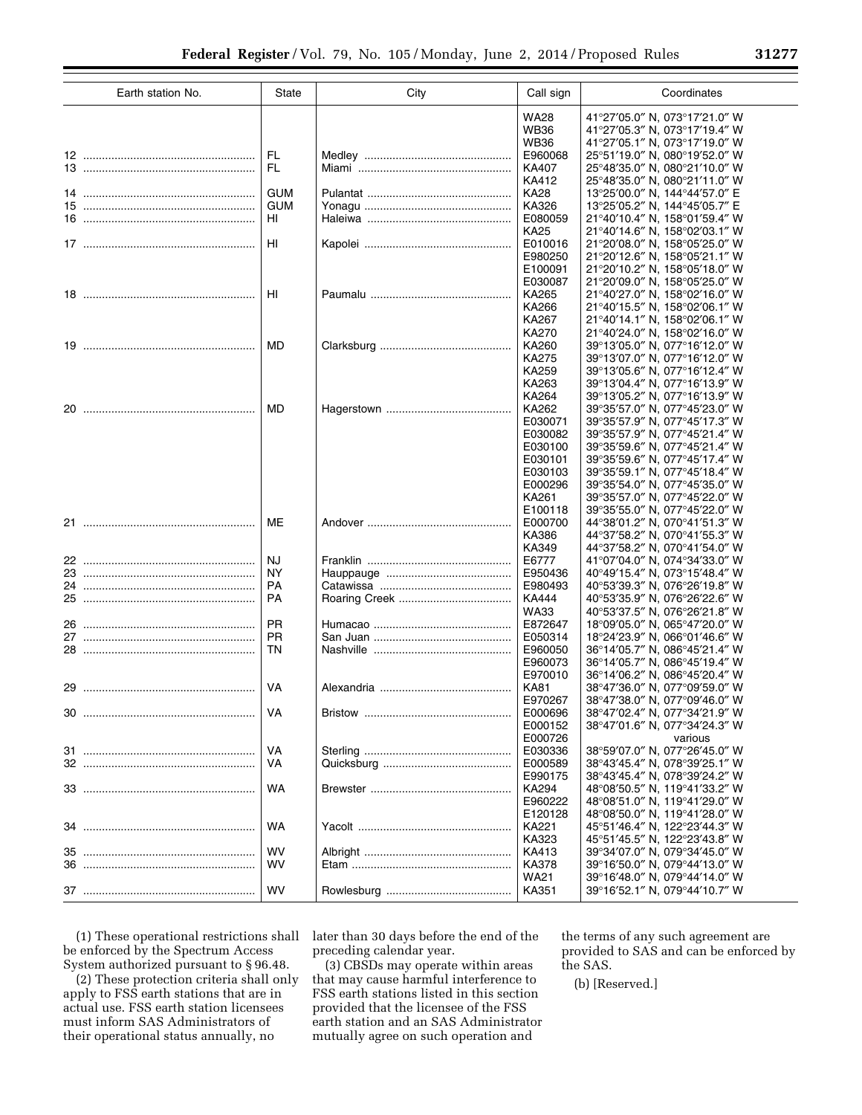| Earth station No. | State                    | City | Call sign                                                               | Coordinates                                                                                                                                                                                                                         |
|-------------------|--------------------------|------|-------------------------------------------------------------------------|-------------------------------------------------------------------------------------------------------------------------------------------------------------------------------------------------------------------------------------|
|                   |                          |      | <b>WA28</b><br><b>WB36</b><br><b>WB36</b>                               | 41°27'05.0" N. 073°17'21.0" W<br>41°27'05.3" N, 073°17'19.4" W<br>41°27'05.1" N, 073°17'19.0" W                                                                                                                                     |
|                   | <b>FL</b><br><b>FL</b>   |      | E960068<br>KA407<br>KA412                                               | 25°51'19.0" N. 080°19'52.0" W<br>25°48'35.0" N. 080°21'10.0" W<br>25°48'35.0" N, 080°21'11.0" W                                                                                                                                     |
|                   | <b>GUM</b><br><b>GUM</b> |      | <b>KA28</b><br>KA326                                                    | 13°25'00.0" N, 144°44'57.0" E<br>13°25'05.2" N, 144°45'05.7" E                                                                                                                                                                      |
|                   | HI                       |      | E080059<br><b>KA25</b>                                                  | 21°40'10.4" N, 158°01'59.4" W<br>21°40'14.6" N, 158°02'03.1" W                                                                                                                                                                      |
|                   | H <sub>II</sub>          |      | E010016<br>E980250<br>E100091                                           | 21°20'08.0" N. 158°05'25.0" W<br>21°20'12.6" N, 158°05'21.1" W<br>21°20'10.2" N, 158°05'18.0" W                                                                                                                                     |
|                   | HI                       |      | E030087<br>KA265<br>KA266<br>KA267                                      | 21°20'09.0" N. 158°05'25.0" W<br>21°40′27.0″ N, 158°02′16.0″ W<br>21°40'15.5" N, 158°02'06.1" W<br>21°40'14.1" N, 158°02'06.1" W                                                                                                    |
|                   | <b>MD</b>                |      | <b>KA270</b><br>KA260<br><b>KA275</b><br>KA259                          | 21°40'24.0" N, 158°02'16.0" W<br>39°13′05.0″ N. 077°16′12.0″ W<br>39°13'07.0" N. 077°16'12.0" W<br>39°13'05.6" N, 077°16'12.4" W                                                                                                    |
|                   | <b>MD</b>                |      | KA263<br>KA264<br>KA262<br>E030071                                      | 39°13'04.4" N. 077°16'13.9" W<br>39°13'05.2" N, 077°16'13.9" W<br>39°35'57.0" N, 077°45'23.0" W<br>39°35'57.9" N, 077°45'17.3" W                                                                                                    |
|                   |                          |      | E030082<br>E030100<br>E030101<br>E030103<br>E000296<br>KA261<br>E100118 | 39°35'57.9" N. 077°45'21.4" W<br>39°35'59.6" N, 077°45'21.4" W<br>39°35'59.6" N, 077°45'17.4" W<br>39°35'59.1" N, 077°45'18.4" W<br>39°35'54.0" N. 077°45'35.0" W<br>39°35′57.0″ N, 077°45′22.0″ W<br>39°35′55.0" N, 077°45′22.0" W |
|                   | <b>ME</b>                |      | E000700<br>KA386<br>KA349                                               | 44°38'01.2" N, 070°41'51.3" W<br>44°37′58.2″ N. 070°41′55.3″ W<br>44°37′58.2″ N. 070°41′54.0″ W                                                                                                                                     |
|                   | <b>NJ</b>                |      | E6777                                                                   | 41°07'04.0" N, 074°34'33.0" W                                                                                                                                                                                                       |
|                   | <b>NY</b>                |      | E950436                                                                 | 40°49'15.4" N, 073°15'48.4" W                                                                                                                                                                                                       |
|                   | <b>PA</b>                |      | E980493                                                                 | 40°53'39.3" N, 076°26'19.8" W                                                                                                                                                                                                       |
|                   | <b>PA</b>                |      | <b>KA444</b><br><b>WA33</b>                                             | 40°53'35.9" N, 076°26'22.6" W<br>40°53'37.5" N, 076°26'21.8" W                                                                                                                                                                      |
|                   | <b>PR</b>                |      | E872647                                                                 | 18°09'05.0" N. 065°47'20.0" W                                                                                                                                                                                                       |
|                   | <b>PR</b>                |      | E050314                                                                 | 18°24'23.9" N, 066°01'46.6" W                                                                                                                                                                                                       |
|                   | <b>TN</b>                |      | E960050<br>E960073<br>E970010                                           | 36°14′05.7″ N. 086°45′21.4″ W<br>36°14′05.7″ N, 086°45′19.4″ W<br>36°14′06.2″ N. 086°45′20.4″ W                                                                                                                                     |
|                   | VA                       |      | <b>KA81</b><br>E970267                                                  | 38°47'36.0" N, 077°09'59.0" W<br>38°47'38.0" N, 077°09'46.0" W                                                                                                                                                                      |
|                   | VA                       |      | E000696<br>E000152<br>E000726                                           | 38°47′02.4″ N, 077°34′21.9″ W<br>38°47'01.6" N, 077°34'24.3" W<br>various                                                                                                                                                           |
|                   | VA                       |      | E030336                                                                 | 38°59'07.0" N, 077°26'45.0" W                                                                                                                                                                                                       |
|                   | VA                       |      | E000589<br>E990175                                                      | 38°43'45.4" N, 078°39'25.1" W<br>38°43'45.4" N. 078°39'24.2" W                                                                                                                                                                      |
|                   | <b>WA</b>                |      | KA294<br>E960222<br>E120128                                             | 48°08'50.5" N, 119°41'33.2" W<br>48°08′51.0″ N, 119°41′29.0″ W<br>48°08′50.0″ N, 119°41′28.0″ W                                                                                                                                     |
|                   | <b>WA</b>                |      | KA221<br>KA323                                                          | 45°51′46.4″ N, 122°23′44.3″ W<br>45°51'45.5" N, 122°23'43.8" W                                                                                                                                                                      |
|                   | <b>WV</b>                |      | KA413                                                                   | 39°34'07.0" N, 079°34'45.0" W                                                                                                                                                                                                       |
|                   | <b>WV</b>                |      | KA378<br><b>WA21</b>                                                    | 39°16'50.0" N, 079°44'13.0" W<br>39°16'48.0" N, 079°44'14.0" W                                                                                                                                                                      |
|                   | WV                       |      | KA351                                                                   | 39°16'52.1" N, 079°44'10.7" W                                                                                                                                                                                                       |

(1) These operational restrictions shall be enforced by the Spectrum Access System authorized pursuant to § 96.48.

(2) These protection criteria shall only apply to FSS earth stations that are in actual use. FSS earth station licensees must inform SAS Administrators of their operational status annually, no

later than 30 days before the end of the preceding calendar year.

(3) CBSDs may operate within areas that may cause harmful interference to FSS earth stations listed in this section provided that the licensee of the FSS earth station and an SAS Administrator mutually agree on such operation and

the terms of any such agreement are provided to SAS and can be enforced by the SAS.

(b) [Reserved.]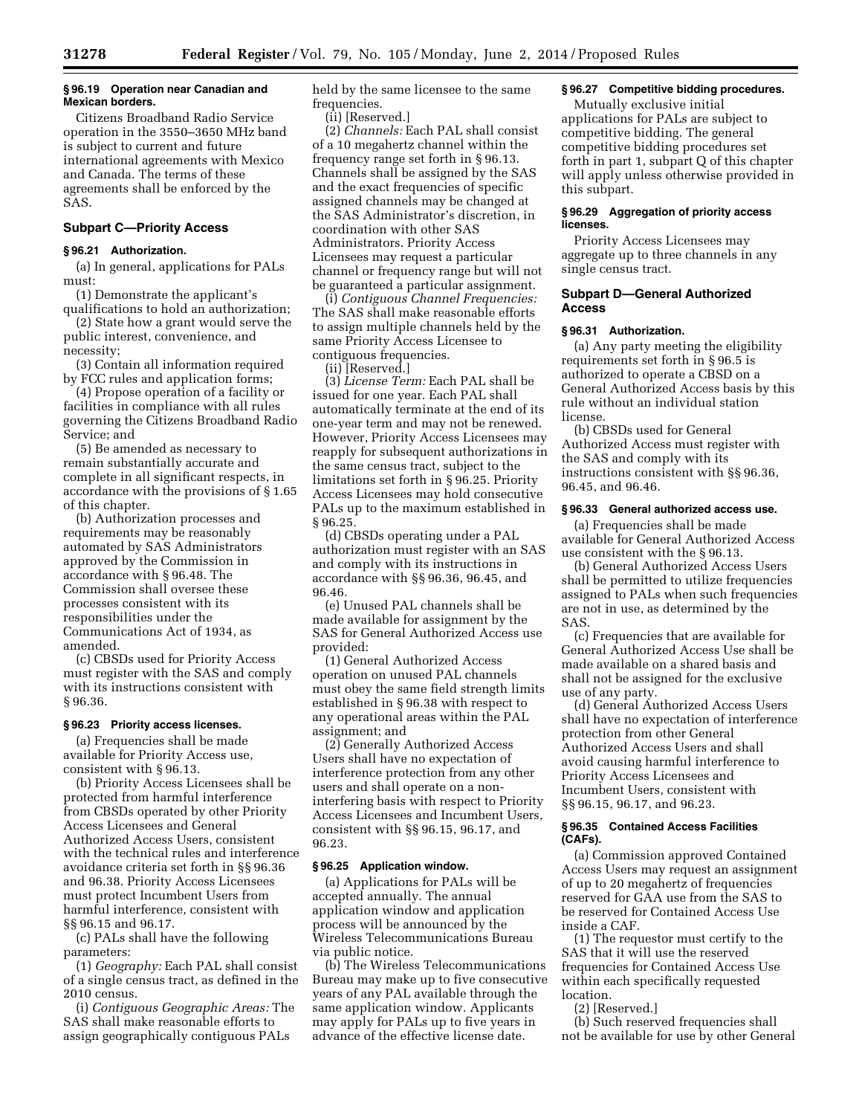## **§ 96.19 Operation near Canadian and Mexican borders.**

Citizens Broadband Radio Service operation in the 3550–3650 MHz band is subject to current and future international agreements with Mexico and Canada. The terms of these agreements shall be enforced by the SAS.

# **Subpart C—Priority Access**

#### **§ 96.21 Authorization.**

(a) In general, applications for PALs must:

(1) Demonstrate the applicant's qualifications to hold an authorization;

(2) State how a grant would serve the public interest, convenience, and necessity;

(3) Contain all information required by FCC rules and application forms;

(4) Propose operation of a facility or facilities in compliance with all rules governing the Citizens Broadband Radio Service; and

(5) Be amended as necessary to remain substantially accurate and complete in all significant respects, in accordance with the provisions of § 1.65 of this chapter.

(b) Authorization processes and requirements may be reasonably automated by SAS Administrators approved by the Commission in accordance with § 96.48. The Commission shall oversee these processes consistent with its responsibilities under the Communications Act of 1934, as amended.

(c) CBSDs used for Priority Access must register with the SAS and comply with its instructions consistent with § 96.36.

## **§ 96.23 Priority access licenses.**

(a) Frequencies shall be made available for Priority Access use, consistent with § 96.13.

(b) Priority Access Licensees shall be protected from harmful interference from CBSDs operated by other Priority Access Licensees and General Authorized Access Users, consistent with the technical rules and interference avoidance criteria set forth in §§ 96.36 and 96.38. Priority Access Licensees must protect Incumbent Users from harmful interference, consistent with §§ 96.15 and 96.17.

(c) PALs shall have the following parameters:

(1) *Geography:* Each PAL shall consist of a single census tract, as defined in the 2010 census.

(i) *Contiguous Geographic Areas:* The SAS shall make reasonable efforts to assign geographically contiguous PALs

held by the same licensee to the same frequencies.

(ii) [Reserved.]

(2) *Channels:* Each PAL shall consist of a 10 megahertz channel within the frequency range set forth in § 96.13. Channels shall be assigned by the SAS and the exact frequencies of specific assigned channels may be changed at the SAS Administrator's discretion, in coordination with other SAS Administrators. Priority Access Licensees may request a particular channel or frequency range but will not be guaranteed a particular assignment.

(i) *Contiguous Channel Frequencies:*  The SAS shall make reasonable efforts to assign multiple channels held by the same Priority Access Licensee to contiguous frequencies.

(ii) [Reserved.]

(3) *License Term:* Each PAL shall be issued for one year. Each PAL shall automatically terminate at the end of its one-year term and may not be renewed. However, Priority Access Licensees may reapply for subsequent authorizations in the same census tract, subject to the limitations set forth in § 96.25. Priority Access Licensees may hold consecutive PALs up to the maximum established in § 96.25.

(d) CBSDs operating under a PAL authorization must register with an SAS and comply with its instructions in accordance with §§ 96.36, 96.45, and 96.46.

(e) Unused PAL channels shall be made available for assignment by the SAS for General Authorized Access use provided:

(1) General Authorized Access operation on unused PAL channels must obey the same field strength limits established in § 96.38 with respect to any operational areas within the PAL assignment; and

(2) Generally Authorized Access Users shall have no expectation of interference protection from any other users and shall operate on a noninterfering basis with respect to Priority Access Licensees and Incumbent Users, consistent with §§ 96.15, 96.17, and 96.23.

# **§ 96.25 Application window.**

(a) Applications for PALs will be accepted annually. The annual application window and application process will be announced by the Wireless Telecommunications Bureau via public notice.

(b) The Wireless Telecommunications Bureau may make up to five consecutive years of any PAL available through the same application window. Applicants may apply for PALs up to five years in advance of the effective license date.

# **§ 96.27 Competitive bidding procedures.**

Mutually exclusive initial applications for PALs are subject to competitive bidding. The general competitive bidding procedures set forth in part 1, subpart Q of this chapter will apply unless otherwise provided in this subpart.

# **§ 96.29 Aggregation of priority access licenses.**

Priority Access Licensees may aggregate up to three channels in any single census tract.

# **Subpart D—General Authorized Access**

## **§ 96.31 Authorization.**

(a) Any party meeting the eligibility requirements set forth in § 96.5 is authorized to operate a CBSD on a General Authorized Access basis by this rule without an individual station license.

(b) CBSDs used for General Authorized Access must register with the SAS and comply with its instructions consistent with §§ 96.36, 96.45, and 96.46.

# **§ 96.33 General authorized access use.**

(a) Frequencies shall be made available for General Authorized Access use consistent with the § 96.13.

(b) General Authorized Access Users shall be permitted to utilize frequencies assigned to PALs when such frequencies are not in use, as determined by the SAS.

(c) Frequencies that are available for General Authorized Access Use shall be made available on a shared basis and shall not be assigned for the exclusive use of any party.

(d) General Authorized Access Users shall have no expectation of interference protection from other General Authorized Access Users and shall avoid causing harmful interference to Priority Access Licensees and Incumbent Users, consistent with §§ 96.15, 96.17, and 96.23.

# **§ 96.35 Contained Access Facilities (CAFs).**

(a) Commission approved Contained Access Users may request an assignment of up to 20 megahertz of frequencies reserved for GAA use from the SAS to be reserved for Contained Access Use inside a CAF.

(1) The requestor must certify to the SAS that it will use the reserved frequencies for Contained Access Use within each specifically requested location.

(2) [Reserved.]

(b) Such reserved frequencies shall not be available for use by other General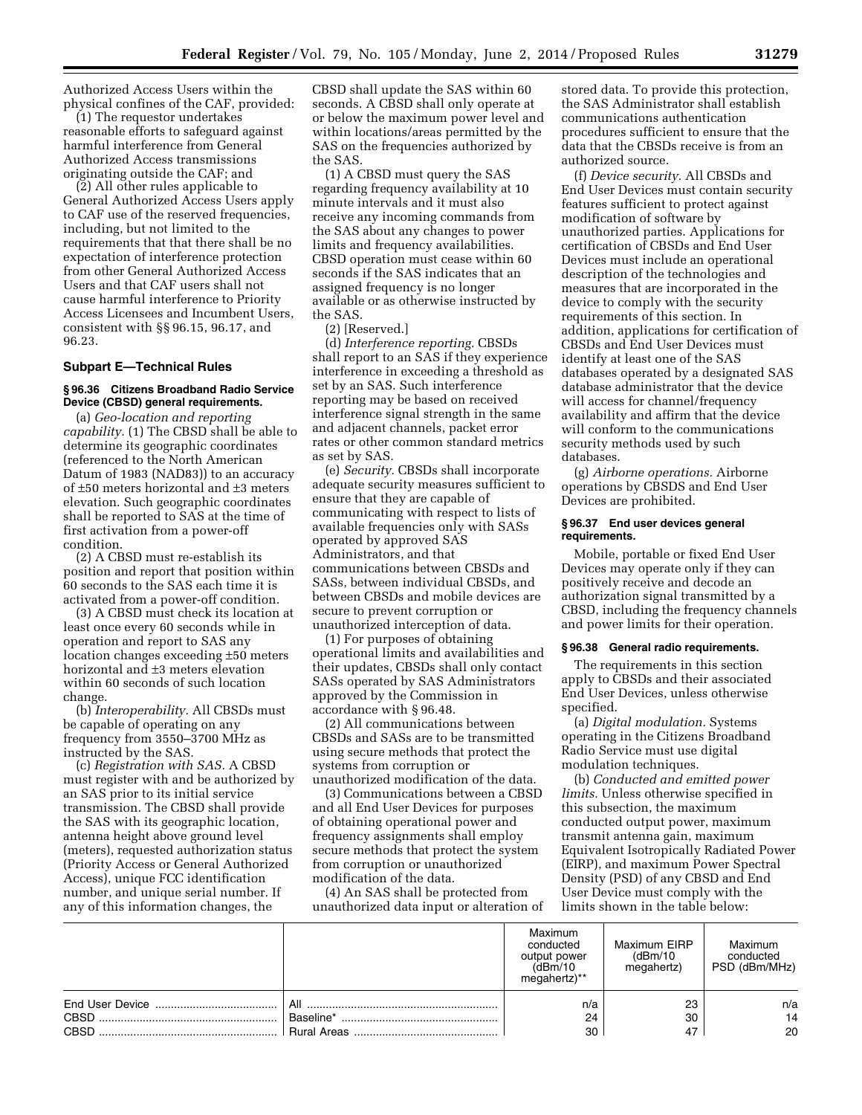Authorized Access Users within the physical confines of the CAF, provided:

(1) The requestor undertakes reasonable efforts to safeguard against harmful interference from General Authorized Access transmissions originating outside the CAF; and

(2) All other rules applicable to General Authorized Access Users apply to CAF use of the reserved frequencies, including, but not limited to the requirements that that there shall be no expectation of interference protection from other General Authorized Access Users and that CAF users shall not cause harmful interference to Priority Access Licensees and Incumbent Users, consistent with §§ 96.15, 96.17, and 96.23.

# **Subpart E—Technical Rules**

# **§ 96.36 Citizens Broadband Radio Service Device (CBSD) general requirements.**

(a) *Geo-location and reporting capability.* (1) The CBSD shall be able to determine its geographic coordinates (referenced to the North American Datum of 1983 (NAD83)) to an accuracy of ±50 meters horizontal and ±3 meters elevation. Such geographic coordinates shall be reported to SAS at the time of first activation from a power-off condition.

(2) A CBSD must re-establish its position and report that position within 60 seconds to the SAS each time it is activated from a power-off condition.

(3) A CBSD must check its location at least once every 60 seconds while in operation and report to SAS any location changes exceeding ±50 meters horizontal and ±3 meters elevation within 60 seconds of such location change.

(b) *Interoperability.* All CBSDs must be capable of operating on any frequency from 3550–3700 MHz as instructed by the SAS.

(c) *Registration with SAS.* A CBSD must register with and be authorized by an SAS prior to its initial service transmission. The CBSD shall provide the SAS with its geographic location, antenna height above ground level (meters), requested authorization status (Priority Access or General Authorized Access), unique FCC identification number, and unique serial number. If any of this information changes, the

CBSD shall update the SAS within 60 seconds. A CBSD shall only operate at or below the maximum power level and within locations/areas permitted by the SAS on the frequencies authorized by the SAS.

(1) A CBSD must query the SAS regarding frequency availability at 10 minute intervals and it must also receive any incoming commands from the SAS about any changes to power limits and frequency availabilities. CBSD operation must cease within 60 seconds if the SAS indicates that an assigned frequency is no longer available or as otherwise instructed by the SAS.

(2) [Reserved.]

(d) *Interference reporting.* CBSDs shall report to an SAS if they experience interference in exceeding a threshold as set by an SAS. Such interference reporting may be based on received interference signal strength in the same and adjacent channels, packet error rates or other common standard metrics as set by SAS.

(e) *Security.* CBSDs shall incorporate adequate security measures sufficient to ensure that they are capable of communicating with respect to lists of available frequencies only with SASs operated by approved SAS Administrators, and that communications between CBSDs and SASs, between individual CBSDs, and between CBSDs and mobile devices are secure to prevent corruption or unauthorized interception of data.

(1) For purposes of obtaining operational limits and availabilities and their updates, CBSDs shall only contact SASs operated by SAS Administrators approved by the Commission in accordance with § 96.48.

(2) All communications between CBSDs and SASs are to be transmitted using secure methods that protect the systems from corruption or unauthorized modification of the data.

(3) Communications between a CBSD and all End User Devices for purposes of obtaining operational power and frequency assignments shall employ secure methods that protect the system from corruption or unauthorized modification of the data.

(4) An SAS shall be protected from unauthorized data input or alteration of

stored data. To provide this protection, the SAS Administrator shall establish communications authentication procedures sufficient to ensure that the data that the CBSDs receive is from an authorized source.

(f) *Device security.* All CBSDs and End User Devices must contain security features sufficient to protect against modification of software by unauthorized parties. Applications for certification of CBSDs and End User Devices must include an operational description of the technologies and measures that are incorporated in the device to comply with the security requirements of this section. In addition, applications for certification of CBSDs and End User Devices must identify at least one of the SAS databases operated by a designated SAS database administrator that the device will access for channel/frequency availability and affirm that the device will conform to the communications security methods used by such databases.

(g) *Airborne operations.* Airborne operations by CBSDS and End User Devices are prohibited.

## **§ 96.37 End user devices general requirements.**

Mobile, portable or fixed End User Devices may operate only if they can positively receive and decode an authorization signal transmitted by a CBSD, including the frequency channels and power limits for their operation.

# **§ 96.38 General radio requirements.**

The requirements in this section apply to CBSDs and their associated End User Devices, unless otherwise specified.

(a) *Digital modulation.* Systems operating in the Citizens Broadband Radio Service must use digital modulation techniques.

(b) *Conducted and emitted power limits.* Unless otherwise specified in this subsection, the maximum conducted output power, maximum transmit antenna gain, maximum Equivalent Isotropically Radiated Power (EIRP), and maximum Power Spectral Density (PSD) of any CBSD and End User Device must comply with the limits shown in the table below:

|             |                    | Maximum<br>conducted<br>output power<br>(dBm/10<br>megahertz)** | Maximum EIRP<br>(dBm/10)<br>megahertz) | Maximum<br>conducted<br>PSD (dBm/MHz) |
|-------------|--------------------|-----------------------------------------------------------------|----------------------------------------|---------------------------------------|
|             | All                | n/a                                                             | 23                                     | n/a                                   |
| CBSD        | Baseline*          | 24                                                              | 30                                     | 14                                    |
| <b>CBSD</b> | <b>Rural Areas</b> | 30                                                              | 47                                     | 20                                    |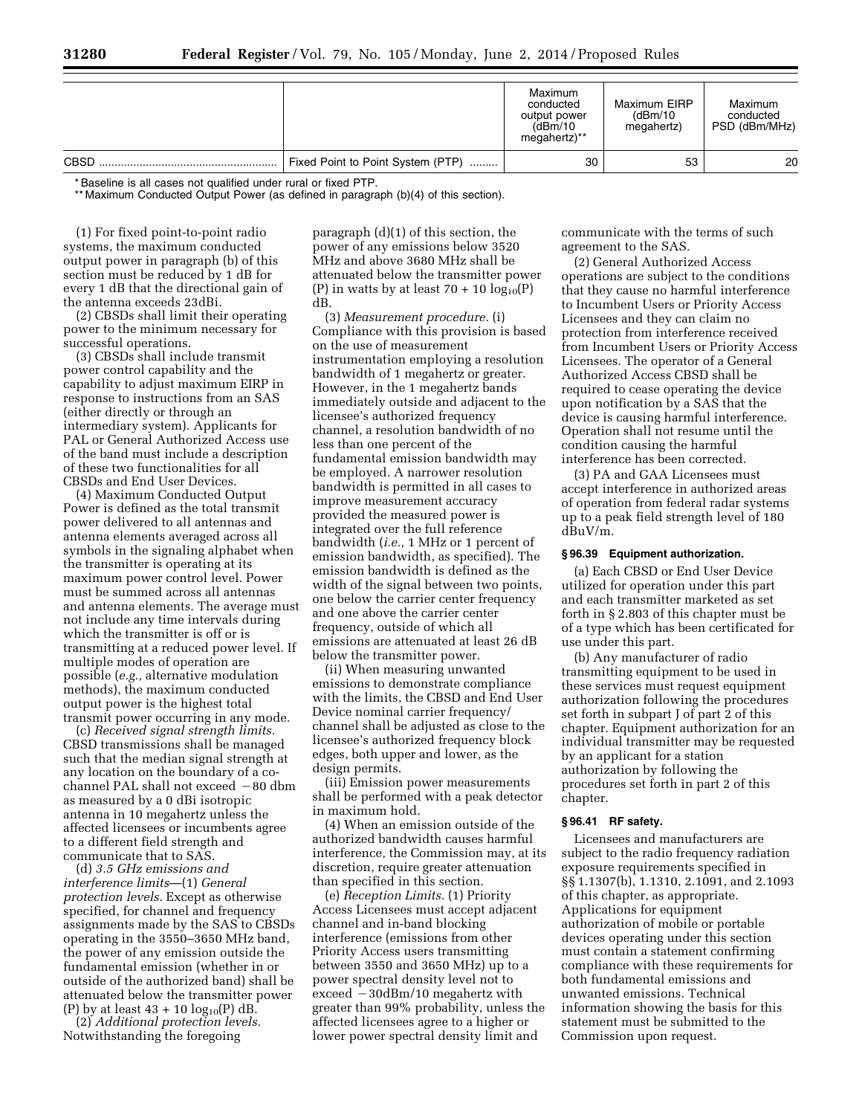|             |                                        | Maximum<br>conducted<br>output power<br>(dBm/10)<br>megahertz)** | Maximum EIRP<br>(dBm/10)<br>megahertz) | Maximum<br>conducted<br>PSD (dBm/MHz) |
|-------------|----------------------------------------|------------------------------------------------------------------|----------------------------------------|---------------------------------------|
| <b>CBSD</b> | Fixed Point to Point System (PTP)<br>. | 30                                                               | 53                                     | 20                                    |

\* Baseline is all cases not qualified under rural or fixed PTP.

\*\* Maximum Conducted Output Power (as defined in paragraph (b)(4) of this section).

(1) For fixed point-to-point radio systems, the maximum conducted output power in paragraph (b) of this section must be reduced by 1 dB for every 1 dB that the directional gain of the antenna exceeds 23dBi.

(2) CBSDs shall limit their operating power to the minimum necessary for successful operations.

(3) CBSDs shall include transmit power control capability and the capability to adjust maximum EIRP in response to instructions from an SAS (either directly or through an intermediary system). Applicants for PAL or General Authorized Access use of the band must include a description of these two functionalities for all CBSDs and End User Devices.

(4) Maximum Conducted Output Power is defined as the total transmit power delivered to all antennas and antenna elements averaged across all symbols in the signaling alphabet when the transmitter is operating at its maximum power control level. Power must be summed across all antennas and antenna elements. The average must not include any time intervals during which the transmitter is off or is transmitting at a reduced power level. If multiple modes of operation are possible (*e.g.,* alternative modulation methods), the maximum conducted output power is the highest total transmit power occurring in any mode.

(c) *Received signal strength limits.*  CBSD transmissions shall be managed such that the median signal strength at any location on the boundary of a cochannel PAL shall not exceed  $-80$  dbm as measured by a 0 dBi isotropic antenna in 10 megahertz unless the affected licensees or incumbents agree to a different field strength and communicate that to SAS.

(d) *3.5 GHz emissions and interference limits*—(1) *General protection levels.* Except as otherwise specified, for channel and frequency assignments made by the SAS to CBSDs operating in the 3550–3650 MHz band, the power of any emission outside the fundamental emission (whether in or outside of the authorized band) shall be attenuated below the transmitter power (P) by at least  $43 + 10 \log_{10}(P)$  dB.

(2) *Additional protection levels.*  Notwithstanding the foregoing

paragraph (d)(1) of this section, the power of any emissions below 3520 MHz and above 3680 MHz shall be attenuated below the transmitter power (P) in watts by at least  $70 + 10 \log_{10}(P)$ dB.

(3) *Measurement procedure.* (i) Compliance with this provision is based on the use of measurement instrumentation employing a resolution bandwidth of 1 megahertz or greater. However, in the 1 megahertz bands immediately outside and adjacent to the licensee's authorized frequency channel, a resolution bandwidth of no less than one percent of the fundamental emission bandwidth may be employed. A narrower resolution bandwidth is permitted in all cases to improve measurement accuracy provided the measured power is integrated over the full reference bandwidth (*i.e.,* 1 MHz or 1 percent of emission bandwidth, as specified). The emission bandwidth is defined as the width of the signal between two points, one below the carrier center frequency and one above the carrier center frequency, outside of which all emissions are attenuated at least 26 dB below the transmitter power.

(ii) When measuring unwanted emissions to demonstrate compliance with the limits, the CBSD and End User Device nominal carrier frequency/ channel shall be adjusted as close to the licensee's authorized frequency block edges, both upper and lower, as the design permits.

(iii) Emission power measurements shall be performed with a peak detector in maximum hold.

(4) When an emission outside of the authorized bandwidth causes harmful interference, the Commission may, at its discretion, require greater attenuation than specified in this section.

(e) *Reception Limits.* (1) Priority Access Licensees must accept adjacent channel and in-band blocking interference (emissions from other Priority Access users transmitting between 3550 and 3650 MHz) up to a power spectral density level not to  $exceed -30dBm/10$  megahertz with greater than 99% probability, unless the affected licensees agree to a higher or lower power spectral density limit and

communicate with the terms of such agreement to the SAS.

(2) General Authorized Access operations are subject to the conditions that they cause no harmful interference to Incumbent Users or Priority Access Licensees and they can claim no protection from interference received from Incumbent Users or Priority Access Licensees. The operator of a General Authorized Access CBSD shall be required to cease operating the device upon notification by a SAS that the device is causing harmful interference. Operation shall not resume until the condition causing the harmful interference has been corrected.

(3) PA and GAA Licensees must accept interference in authorized areas of operation from federal radar systems up to a peak field strength level of 180 dBuV/m.

#### **§ 96.39 Equipment authorization.**

(a) Each CBSD or End User Device utilized for operation under this part and each transmitter marketed as set forth in § 2.803 of this chapter must be of a type which has been certificated for use under this part.

(b) Any manufacturer of radio transmitting equipment to be used in these services must request equipment authorization following the procedures set forth in subpart J of part 2 of this chapter. Equipment authorization for an individual transmitter may be requested by an applicant for a station authorization by following the procedures set forth in part 2 of this chapter.

# **§ 96.41 RF safety.**

Licensees and manufacturers are subject to the radio frequency radiation exposure requirements specified in §§ 1.1307(b), 1.1310, 2.1091, and 2.1093 of this chapter, as appropriate. Applications for equipment authorization of mobile or portable devices operating under this section must contain a statement confirming compliance with these requirements for both fundamental emissions and unwanted emissions. Technical information showing the basis for this statement must be submitted to the Commission upon request.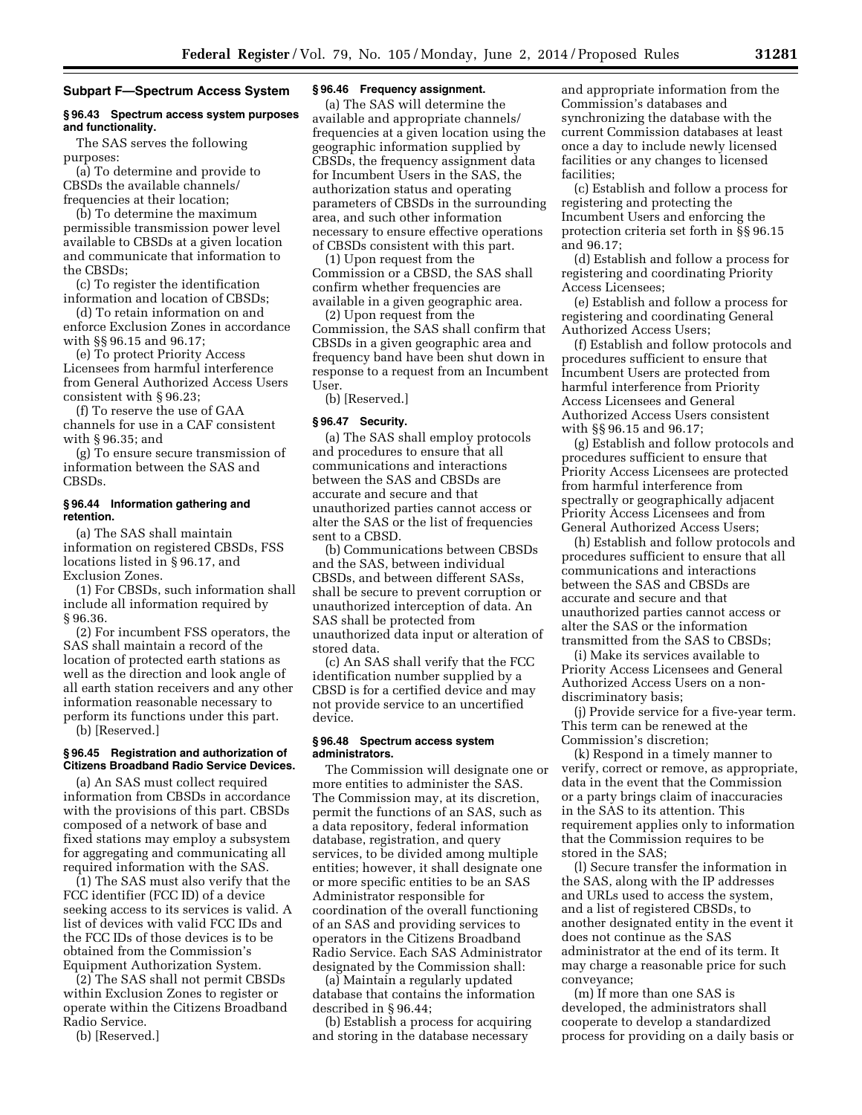## **Subpart F—Spectrum Access System**

# **§ 96.43 Spectrum access system purposes and functionality.**

The SAS serves the following purposes:

(a) To determine and provide to CBSDs the available channels/ frequencies at their location;

(b) To determine the maximum permissible transmission power level available to CBSDs at a given location and communicate that information to the CBSDs;

(c) To register the identification information and location of CBSDs;

(d) To retain information on and enforce Exclusion Zones in accordance with §§ 96.15 and 96.17;

(e) To protect Priority Access Licensees from harmful interference from General Authorized Access Users consistent with § 96.23;

(f) To reserve the use of GAA channels for use in a CAF consistent with § 96.35; and

(g) To ensure secure transmission of information between the SAS and CBSDs.

# **§ 96.44 Information gathering and retention.**

(a) The SAS shall maintain information on registered CBSDs, FSS locations listed in § 96.17, and Exclusion Zones.

(1) For CBSDs, such information shall include all information required by § 96.36.

(2) For incumbent FSS operators, the SAS shall maintain a record of the location of protected earth stations as well as the direction and look angle of all earth station receivers and any other information reasonable necessary to perform its functions under this part. (b) [Reserved.]

**§ 96.45 Registration and authorization of Citizens Broadband Radio Service Devices.** 

(a) An SAS must collect required information from CBSDs in accordance with the provisions of this part. CBSDs composed of a network of base and fixed stations may employ a subsystem for aggregating and communicating all required information with the SAS.

(1) The SAS must also verify that the FCC identifier (FCC ID) of a device seeking access to its services is valid. A list of devices with valid FCC IDs and the FCC IDs of those devices is to be obtained from the Commission's Equipment Authorization System.

(2) The SAS shall not permit CBSDs within Exclusion Zones to register or operate within the Citizens Broadband Radio Service.

(b) [Reserved.]

# **§ 96.46 Frequency assignment.**

(a) The SAS will determine the available and appropriate channels/ frequencies at a given location using the geographic information supplied by CBSDs, the frequency assignment data for Incumbent Users in the SAS, the authorization status and operating parameters of CBSDs in the surrounding area, and such other information necessary to ensure effective operations of CBSDs consistent with this part.

(1) Upon request from the Commission or a CBSD, the SAS shall confirm whether frequencies are available in a given geographic area.

(2) Upon request from the Commission, the SAS shall confirm that CBSDs in a given geographic area and frequency band have been shut down in response to a request from an Incumbent User.

(b) [Reserved.]

# **§ 96.47 Security.**

(a) The SAS shall employ protocols and procedures to ensure that all communications and interactions between the SAS and CBSDs are accurate and secure and that unauthorized parties cannot access or alter the SAS or the list of frequencies sent to a CBSD.

(b) Communications between CBSDs and the SAS, between individual CBSDs, and between different SASs, shall be secure to prevent corruption or unauthorized interception of data. An SAS shall be protected from unauthorized data input or alteration of stored data.

(c) An SAS shall verify that the FCC identification number supplied by a CBSD is for a certified device and may not provide service to an uncertified device.

## **§ 96.48 Spectrum access system administrators.**

The Commission will designate one or more entities to administer the SAS. The Commission may, at its discretion, permit the functions of an SAS, such as a data repository, federal information database, registration, and query services, to be divided among multiple entities; however, it shall designate one or more specific entities to be an SAS Administrator responsible for coordination of the overall functioning of an SAS and providing services to operators in the Citizens Broadband Radio Service. Each SAS Administrator designated by the Commission shall:

(a) Maintain a regularly updated database that contains the information described in § 96.44;

(b) Establish a process for acquiring and storing in the database necessary

and appropriate information from the Commission's databases and synchronizing the database with the current Commission databases at least once a day to include newly licensed facilities or any changes to licensed facilities;

(c) Establish and follow a process for registering and protecting the Incumbent Users and enforcing the protection criteria set forth in §§ 96.15 and 96.17;

(d) Establish and follow a process for registering and coordinating Priority Access Licensees;

(e) Establish and follow a process for registering and coordinating General Authorized Access Users;

(f) Establish and follow protocols and procedures sufficient to ensure that Incumbent Users are protected from harmful interference from Priority Access Licensees and General Authorized Access Users consistent with §§ 96.15 and 96.17;

(g) Establish and follow protocols and procedures sufficient to ensure that Priority Access Licensees are protected from harmful interference from spectrally or geographically adjacent Priority Access Licensees and from General Authorized Access Users;

(h) Establish and follow protocols and procedures sufficient to ensure that all communications and interactions between the SAS and CBSDs are accurate and secure and that unauthorized parties cannot access or alter the SAS or the information transmitted from the SAS to CBSDs;

(i) Make its services available to Priority Access Licensees and General Authorized Access Users on a nondiscriminatory basis;

(j) Provide service for a five-year term. This term can be renewed at the Commission's discretion;

(k) Respond in a timely manner to verify, correct or remove, as appropriate, data in the event that the Commission or a party brings claim of inaccuracies in the SAS to its attention. This requirement applies only to information that the Commission requires to be stored in the SAS;

(l) Secure transfer the information in the SAS, along with the IP addresses and URLs used to access the system, and a list of registered CBSDs, to another designated entity in the event it does not continue as the SAS administrator at the end of its term. It may charge a reasonable price for such conveyance;

(m) If more than one SAS is developed, the administrators shall cooperate to develop a standardized process for providing on a daily basis or